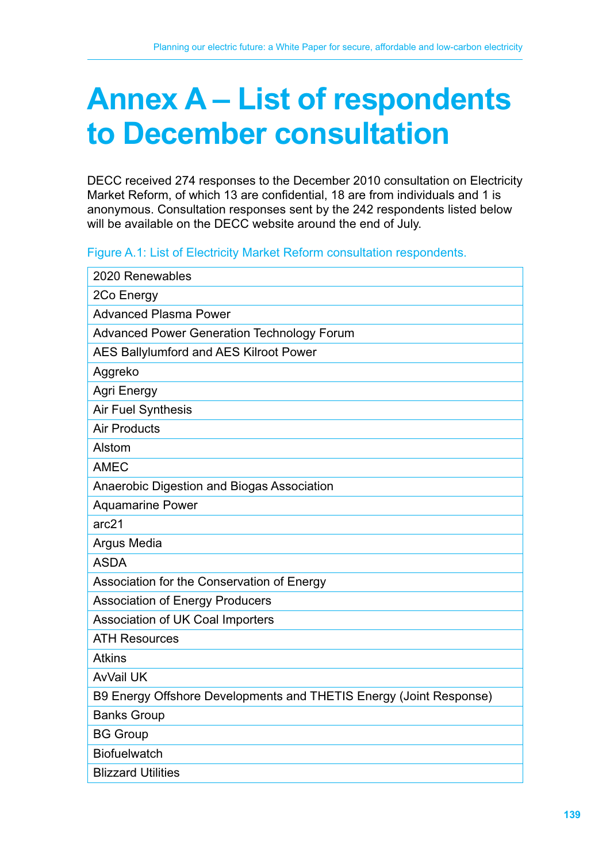# **Annex A – List of respondents to December consultation**

DECC received 274 responses to the December 2010 consultation on Electricity Market Reform, of which 13 are confidential, 18 are from individuals and 1 is anonymous. Consultation responses sent by the 242 respondents listed below will be available on the DECC website around the end of July.

#### Figure A.1: List of Electricity Market Reform consultation respondents.

| 2020 Renewables                                                    |
|--------------------------------------------------------------------|
| 2Co Energy                                                         |
| <b>Advanced Plasma Power</b>                                       |
| <b>Advanced Power Generation Technology Forum</b>                  |
| <b>AES Ballylumford and AES Kilroot Power</b>                      |
| Aggreko                                                            |
| Agri Energy                                                        |
| <b>Air Fuel Synthesis</b>                                          |
| <b>Air Products</b>                                                |
| Alstom                                                             |
| <b>AMEC</b>                                                        |
| Anaerobic Digestion and Biogas Association                         |
| <b>Aquamarine Power</b>                                            |
| arc21                                                              |
| Argus Media                                                        |
| <b>ASDA</b>                                                        |
| Association for the Conservation of Energy                         |
| <b>Association of Energy Producers</b>                             |
| Association of UK Coal Importers                                   |
| <b>ATH Resources</b>                                               |
| <b>Atkins</b>                                                      |
| <b>AvVail UK</b>                                                   |
| B9 Energy Offshore Developments and THETIS Energy (Joint Response) |
| <b>Banks Group</b>                                                 |
| <b>BG Group</b>                                                    |
| <b>Biofuelwatch</b>                                                |
| <b>Blizzard Utilities</b>                                          |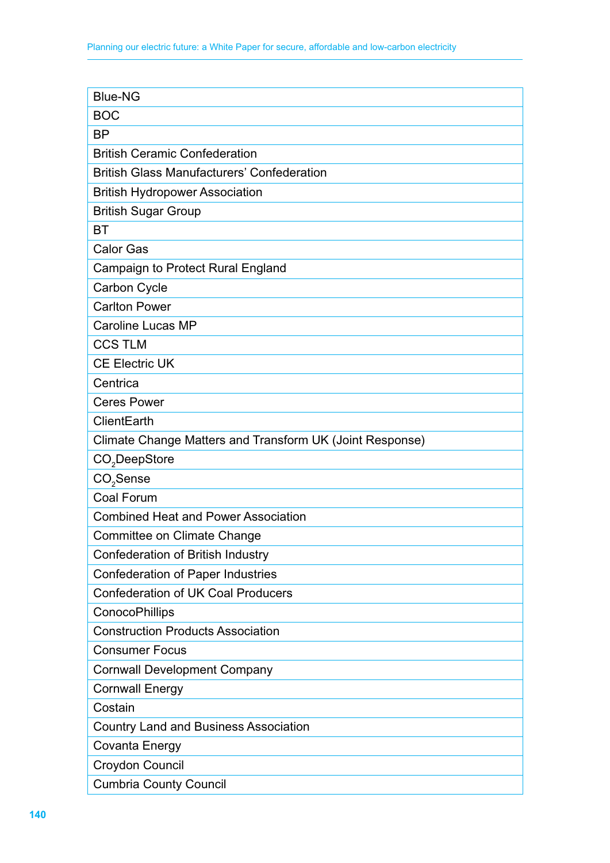| <b>Blue-NG</b>                                           |
|----------------------------------------------------------|
| <b>BOC</b>                                               |
| <b>BP</b>                                                |
| <b>British Ceramic Confederation</b>                     |
| <b>British Glass Manufacturers' Confederation</b>        |
| <b>British Hydropower Association</b>                    |
| <b>British Sugar Group</b>                               |
| BT                                                       |
| <b>Calor Gas</b>                                         |
| <b>Campaign to Protect Rural England</b>                 |
| Carbon Cycle                                             |
| <b>Carlton Power</b>                                     |
| <b>Caroline Lucas MP</b>                                 |
| <b>CCS TLM</b>                                           |
| <b>CE Electric UK</b>                                    |
| Centrica                                                 |
| <b>Ceres Power</b>                                       |
| ClientEarth                                              |
| Climate Change Matters and Transform UK (Joint Response) |
| CO <sub>2</sub> DeepStore                                |
| $CO2$ Sense                                              |
| <b>Coal Forum</b>                                        |
| <b>Combined Heat and Power Association</b>               |
| Committee on Climate Change                              |
| Confederation of British Industry                        |
| <b>Confederation of Paper Industries</b>                 |
| <b>Confederation of UK Coal Producers</b>                |
| ConocoPhillips                                           |
| <b>Construction Products Association</b>                 |
| <b>Consumer Focus</b>                                    |
| <b>Cornwall Development Company</b>                      |
| <b>Cornwall Energy</b>                                   |
| Costain                                                  |
| <b>Country Land and Business Association</b>             |
| Covanta Energy                                           |
| Croydon Council                                          |
| <b>Cumbria County Council</b>                            |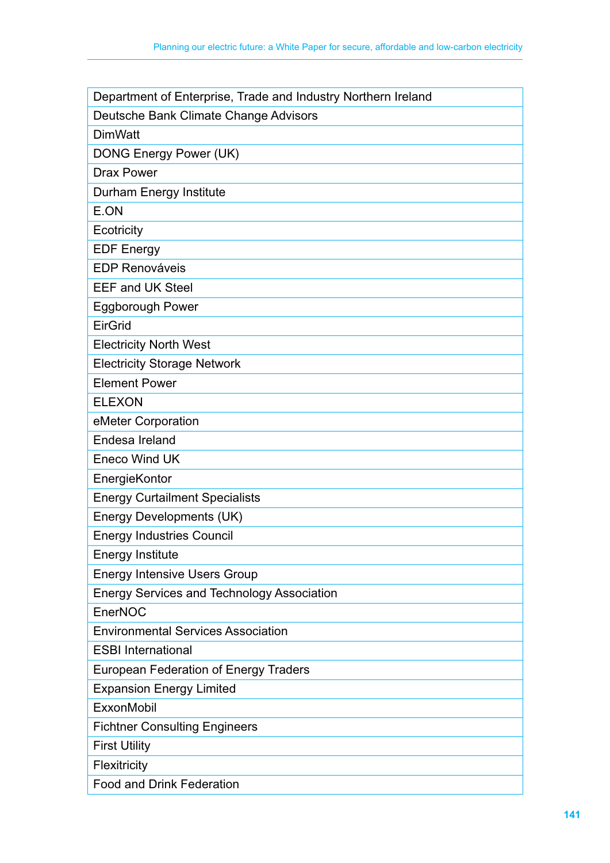| Department of Enterprise, Trade and Industry Northern Ireland |
|---------------------------------------------------------------|
| Deutsche Bank Climate Change Advisors                         |
| <b>DimWatt</b>                                                |
| DONG Energy Power (UK)                                        |
| <b>Drax Power</b>                                             |
| Durham Energy Institute                                       |
| E.ON                                                          |
| Ecotricity                                                    |
| <b>EDF Energy</b>                                             |
| <b>EDP Renováveis</b>                                         |
| <b>EEF and UK Steel</b>                                       |
| <b>Eggborough Power</b>                                       |
| EirGrid                                                       |
| <b>Electricity North West</b>                                 |
| <b>Electricity Storage Network</b>                            |
| <b>Element Power</b>                                          |
| <b>ELEXON</b>                                                 |
| eMeter Corporation                                            |
| Endesa Ireland                                                |
| <b>Eneco Wind UK</b>                                          |
| EnergieKontor                                                 |
| <b>Energy Curtailment Specialists</b>                         |
| Energy Developments (UK)                                      |
| <b>Energy Industries Council</b>                              |
| <b>Energy Institute</b>                                       |
| <b>Energy Intensive Users Group</b>                           |
| <b>Energy Services and Technology Association</b>             |
| EnerNOC                                                       |
| <b>Environmental Services Association</b>                     |
| <b>ESBI International</b>                                     |
| <b>European Federation of Energy Traders</b>                  |
| <b>Expansion Energy Limited</b>                               |
| <b>ExxonMobil</b>                                             |
| <b>Fichtner Consulting Engineers</b>                          |
| <b>First Utility</b>                                          |
| Flexitricity                                                  |
| <b>Food and Drink Federation</b>                              |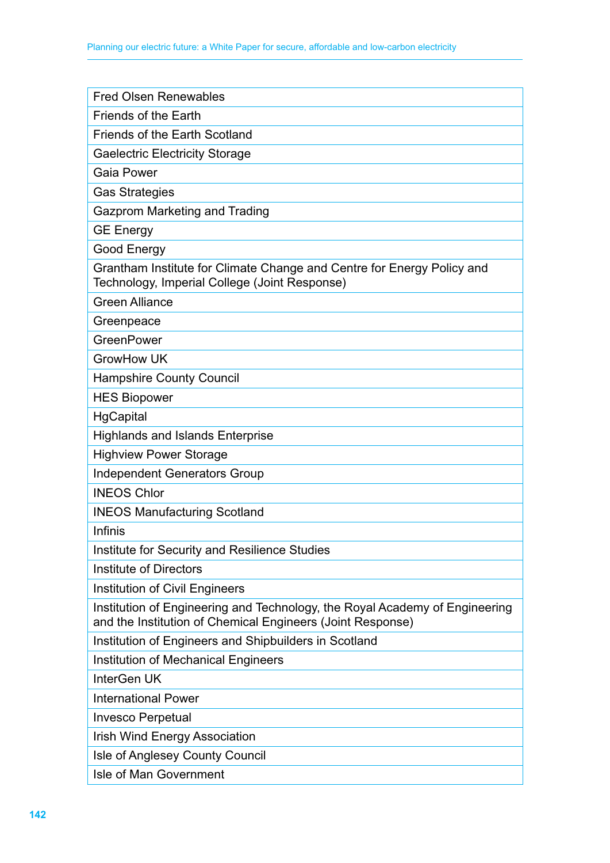| <b>Fred Olsen Renewables</b>                                                                                                              |
|-------------------------------------------------------------------------------------------------------------------------------------------|
| <b>Friends of the Earth</b>                                                                                                               |
| <b>Friends of the Earth Scotland</b>                                                                                                      |
| <b>Gaelectric Electricity Storage</b>                                                                                                     |
| <b>Gaia Power</b>                                                                                                                         |
| <b>Gas Strategies</b>                                                                                                                     |
| Gazprom Marketing and Trading                                                                                                             |
| <b>GE Energy</b>                                                                                                                          |
| Good Energy                                                                                                                               |
| Grantham Institute for Climate Change and Centre for Energy Policy and<br>Technology, Imperial College (Joint Response)                   |
| <b>Green Alliance</b>                                                                                                                     |
| Greenpeace                                                                                                                                |
| GreenPower                                                                                                                                |
| <b>GrowHow UK</b>                                                                                                                         |
| <b>Hampshire County Council</b>                                                                                                           |
| <b>HES Biopower</b>                                                                                                                       |
| HgCapital                                                                                                                                 |
| <b>Highlands and Islands Enterprise</b>                                                                                                   |
| <b>Highview Power Storage</b>                                                                                                             |
| <b>Independent Generators Group</b>                                                                                                       |
| <b>INEOS Chlor</b>                                                                                                                        |
| <b>INEOS Manufacturing Scotland</b>                                                                                                       |
| Infinis                                                                                                                                   |
| Institute for Security and Resilience Studies                                                                                             |
| <b>Institute of Directors</b>                                                                                                             |
| Institution of Civil Engineers                                                                                                            |
| Institution of Engineering and Technology, the Royal Academy of Engineering<br>and the Institution of Chemical Engineers (Joint Response) |
| Institution of Engineers and Shipbuilders in Scotland                                                                                     |
| <b>Institution of Mechanical Engineers</b>                                                                                                |
| InterGen UK                                                                                                                               |
| <b>International Power</b>                                                                                                                |
| <b>Invesco Perpetual</b>                                                                                                                  |
| <b>Irish Wind Energy Association</b>                                                                                                      |
| Isle of Anglesey County Council                                                                                                           |
| Isle of Man Government                                                                                                                    |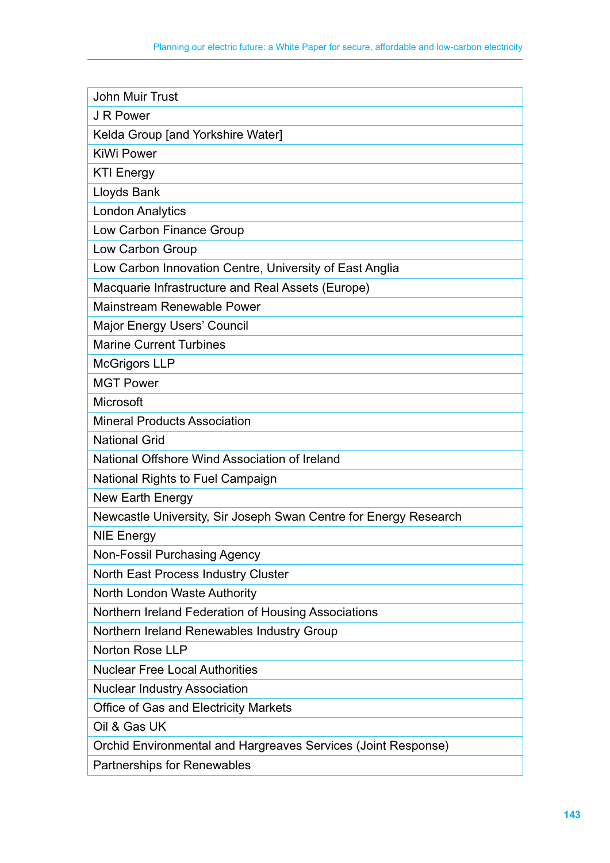| <b>John Muir Trust</b>                                           |
|------------------------------------------------------------------|
| J R Power                                                        |
| Kelda Group [and Yorkshire Water]                                |
| <b>KiWi Power</b>                                                |
| <b>KTI Energy</b>                                                |
| Lloyds Bank                                                      |
| <b>London Analytics</b>                                          |
| Low Carbon Finance Group                                         |
| Low Carbon Group                                                 |
| Low Carbon Innovation Centre, University of East Anglia          |
| Macquarie Infrastructure and Real Assets (Europe)                |
| Mainstream Renewable Power                                       |
| Major Energy Users' Council                                      |
| <b>Marine Current Turbines</b>                                   |
| <b>McGrigors LLP</b>                                             |
| <b>MGT Power</b>                                                 |
| Microsoft                                                        |
| <b>Mineral Products Association</b>                              |
| <b>National Grid</b>                                             |
| National Offshore Wind Association of Ireland                    |
| National Rights to Fuel Campaign                                 |
| New Earth Energy                                                 |
| Newcastle University, Sir Joseph Swan Centre for Energy Research |
| <b>NIE Energy</b>                                                |
| Non-Fossil Purchasing Agency                                     |
| North East Process Industry Cluster                              |
| North London Waste Authority                                     |
| Northern Ireland Federation of Housing Associations              |
| Northern Ireland Renewables Industry Group                       |
| Norton Rose LLP                                                  |
| <b>Nuclear Free Local Authorities</b>                            |
| <b>Nuclear Industry Association</b>                              |
| <b>Office of Gas and Electricity Markets</b>                     |
| Oil & Gas UK                                                     |
| Orchid Environmental and Hargreaves Services (Joint Response)    |
| <b>Partnerships for Renewables</b>                               |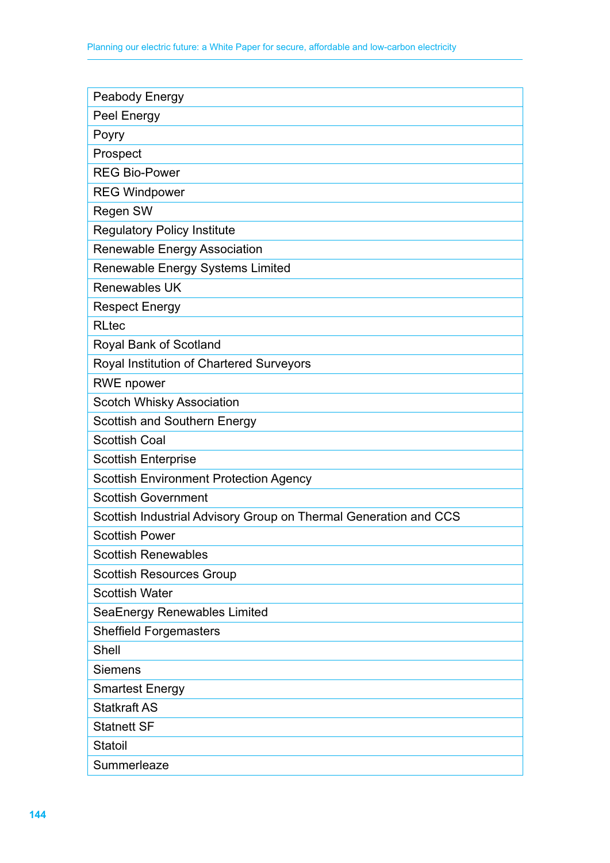| Peabody Energy                                                   |
|------------------------------------------------------------------|
| Peel Energy                                                      |
| Poyry                                                            |
| Prospect                                                         |
| <b>REG Bio-Power</b>                                             |
| <b>REG Windpower</b>                                             |
| Regen SW                                                         |
| <b>Regulatory Policy Institute</b>                               |
| Renewable Energy Association                                     |
| Renewable Energy Systems Limited                                 |
| Renewables UK                                                    |
| <b>Respect Energy</b>                                            |
| <b>RLtec</b>                                                     |
| Royal Bank of Scotland                                           |
| Royal Institution of Chartered Surveyors                         |
| <b>RWE</b> npower                                                |
| <b>Scotch Whisky Association</b>                                 |
| <b>Scottish and Southern Energy</b>                              |
| <b>Scottish Coal</b>                                             |
| <b>Scottish Enterprise</b>                                       |
| <b>Scottish Environment Protection Agency</b>                    |
| <b>Scottish Government</b>                                       |
| Scottish Industrial Advisory Group on Thermal Generation and CCS |
| <b>Scottish Power</b>                                            |
| <b>Scottish Renewables</b>                                       |
| <b>Scottish Resources Group</b>                                  |
| <b>Scottish Water</b>                                            |
| SeaEnergy Renewables Limited                                     |
| <b>Sheffield Forgemasters</b>                                    |
| Shell                                                            |
| <b>Siemens</b>                                                   |
| <b>Smartest Energy</b>                                           |
| <b>Statkraft AS</b>                                              |
| <b>Statnett SF</b>                                               |
| Statoil                                                          |
| Summerleaze                                                      |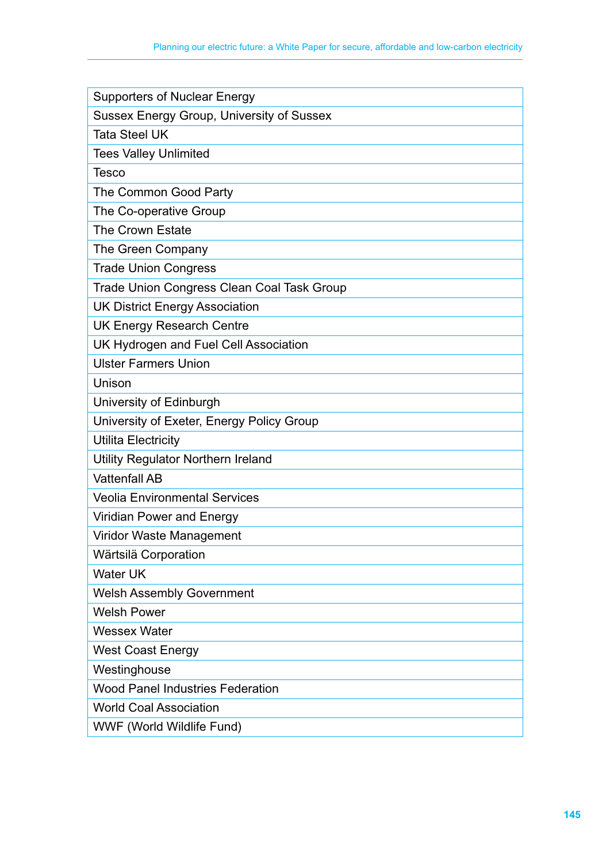| <b>Supporters of Nuclear Energy</b>        |
|--------------------------------------------|
| Sussex Energy Group, University of Sussex  |
| <b>Tata Steel UK</b>                       |
| <b>Tees Valley Unlimited</b>               |
| <b>Tesco</b>                               |
| The Common Good Party                      |
| The Co-operative Group                     |
| <b>The Crown Estate</b>                    |
| The Green Company                          |
| <b>Trade Union Congress</b>                |
| Trade Union Congress Clean Coal Task Group |
| <b>UK District Energy Association</b>      |
| <b>UK Energy Research Centre</b>           |
| UK Hydrogen and Fuel Cell Association      |
| <b>Ulster Farmers Union</b>                |
| Unison                                     |
| University of Edinburgh                    |
| University of Exeter, Energy Policy Group  |
| <b>Utilita Electricity</b>                 |
| Utility Regulator Northern Ireland         |
| <b>Vattenfall AB</b>                       |
| <b>Veolia Environmental Services</b>       |
| <b>Viridian Power and Energy</b>           |
| Viridor Waste Management                   |
| Wärtsilä Corporation                       |
| <b>Water UK</b>                            |
| <b>Welsh Assembly Government</b>           |
| <b>Welsh Power</b>                         |
| <b>Wessex Water</b>                        |
| <b>West Coast Energy</b>                   |
| Westinghouse                               |
| <b>Wood Panel Industries Federation</b>    |
| <b>World Coal Association</b>              |
| WWF (World Wildlife Fund)                  |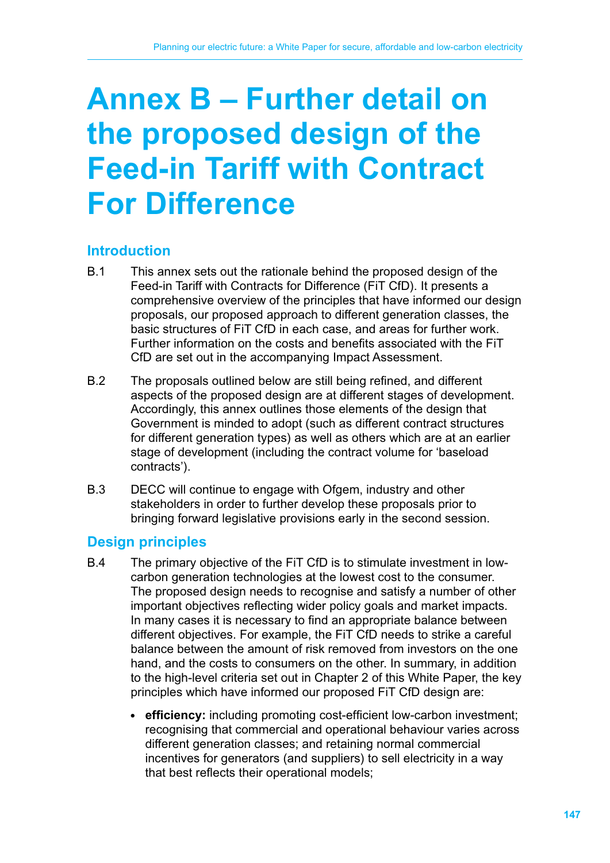# **Annex B – Further detail on the proposed design of the Feed‑in Tariff with Contract For Difference**

# **Introduction**

- B.1 This annex sets out the rationale behind the proposed design of the Feed-in Tariff with Contracts for Difference (FiT CfD). It presents a comprehensive overview of the principles that have informed our design proposals, our proposed approach to different generation classes, the basic structures of FiT CfD in each case, and areas for further work. Further information on the costs and benefits associated with the FiT CfD are set out in the accompanying Impact Assessment.
- B.2 The proposals outlined below are still being refined, and different aspects of the proposed design are at different stages of development. Accordingly, this annex outlines those elements of the design that Government is minded to adopt (such as different contract structures for different generation types) as well as others which are at an earlier stage of development (including the contract volume for 'baseload contracts').
- B.3 DECC will continue to engage with Ofgem, industry and other stakeholders in order to further develop these proposals prior to bringing forward legislative provisions early in the second session.

# **Design principles**

- B.4 The primary objective of the FiT CfD is to stimulate investment in lowcarbon generation technologies at the lowest cost to the consumer. The proposed design needs to recognise and satisfy a number of other important objectives reflecting wider policy goals and market impacts. In many cases it is necessary to find an appropriate balance between different objectives. For example, the FiT CfD needs to strike a careful balance between the amount of risk removed from investors on the one hand, and the costs to consumers on the other. In summary, in addition to the high-level criteria set out in Chapter 2 of this White Paper, the key principles which have informed our proposed FiT CfD design are:
	- **efficiency:** including promoting cost-efficient low-carbon investment; recognising that commercial and operational behaviour varies across different generation classes; and retaining normal commercial incentives for generators (and suppliers) to sell electricity in a way that best reflects their operational models;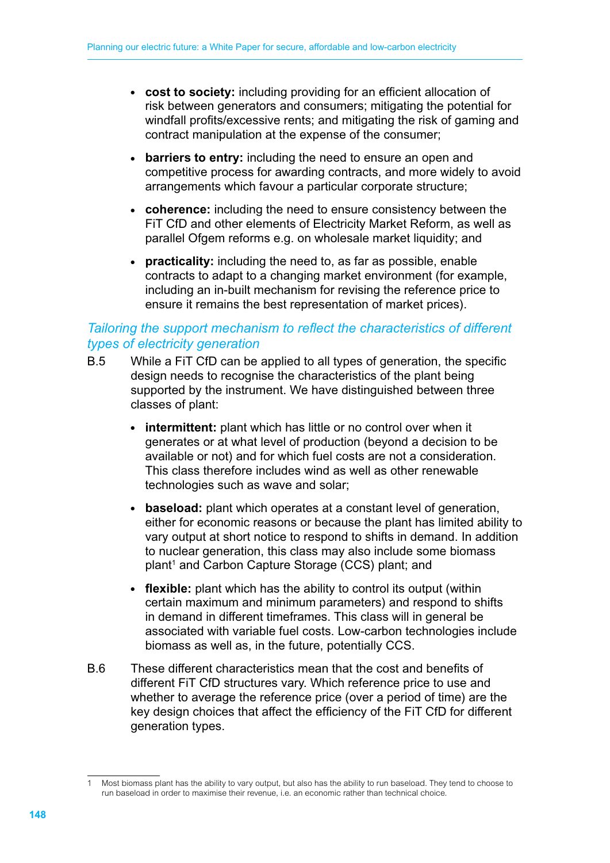- **cost to society:** including providing for an efficient allocation of risk between generators and consumers; mitigating the potential for windfall profits/excessive rents; and mitigating the risk of gaming and contract manipulation at the expense of the consumer;
- **barriers to entry:** including the need to ensure an open and competitive process for awarding contracts, and more widely to avoid arrangements which favour a particular corporate structure;
- **coherence:** including the need to ensure consistency between the FiT CfD and other elements of Electricity Market Reform, as well as parallel Ofgem reforms e.g. on wholesale market liquidity; and
- **practicality:** including the need to, as far as possible, enable contracts to adapt to a changing market environment (for example, including an in-built mechanism for revising the reference price to ensure it remains the best representation of market prices).

#### *Tailoring the support mechanism to reflect the characteristics of different types of electricity generation*

- B.5 While a FiT CfD can be applied to all types of generation, the specific design needs to recognise the characteristics of the plant being supported by the instrument. We have distinguished between three classes of plant:
	- **intermittent:** plant which has little or no control over when it generates or at what level of production (beyond a decision to be available or not) and for which fuel costs are not a consideration. This class therefore includes wind as well as other renewable technologies such as wave and solar;
	- **baseload:** plant which operates at a constant level of generation, either for economic reasons or because the plant has limited ability to vary output at short notice to respond to shifts in demand. In addition to nuclear generation, this class may also include some biomass plant<sup>1</sup> and Carbon Capture Storage (CCS) plant; and
	- **flexible:** plant which has the ability to control its output (within certain maximum and minimum parameters) and respond to shifts in demand in different timeframes. This class will in general be associated with variable fuel costs. Low-carbon technologies include biomass as well as, in the future, potentially CCS.
- B.6 These different characteristics mean that the cost and benefits of different FiT CfD structures vary. Which reference price to use and whether to average the reference price (over a period of time) are the key design choices that affect the efficiency of the FiT CfD for different generation types.

<sup>1</sup> Most biomass plant has the ability to vary output, but also has the ability to run baseload. They tend to choose to run baseload in order to maximise their revenue, i.e. an economic rather than technical choice.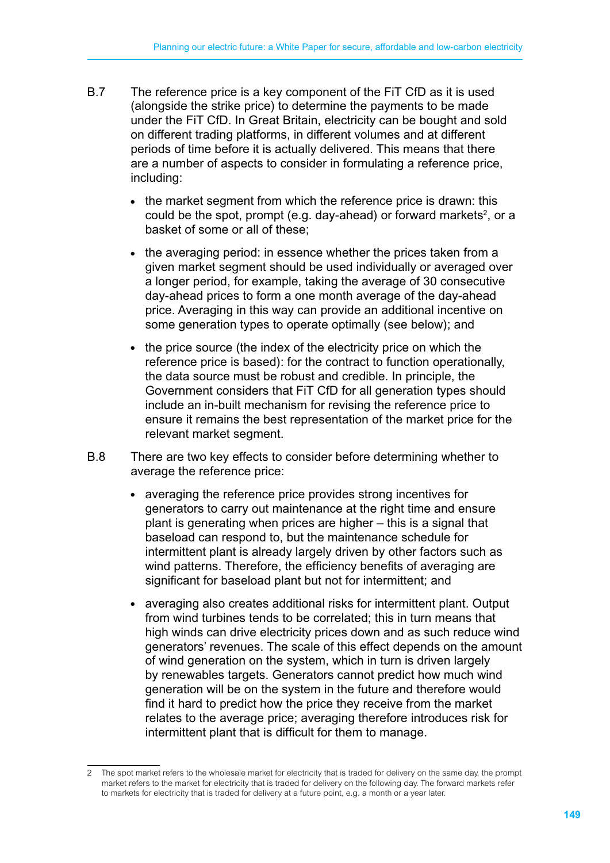- B.7 The reference price is a key component of the FiT CfD as it is used (alongside the strike price) to determine the payments to be made under the FiT CfD. In Great Britain, electricity can be bought and sold on different trading platforms, in different volumes and at different periods of time before it is actually delivered. This means that there are a number of aspects to consider in formulating a reference price, including:
	- the market segment from which the reference price is drawn: this could be the spot, prompt (e.g. day-ahead) or forward markets<sup>2</sup>, or a basket of some or all of these;
	- the averaging period: in essence whether the prices taken from a given market segment should be used individually or averaged over a longer period, for example, taking the average of 30 consecutive day-ahead prices to form a one month average of the day-ahead price. Averaging in this way can provide an additional incentive on some generation types to operate optimally (see below); and
	- the price source (the index of the electricity price on which the reference price is based): for the contract to function operationally, the data source must be robust and credible. In principle, the Government considers that FiT CfD for all generation types should include an in-built mechanism for revising the reference price to ensure it remains the best representation of the market price for the relevant market segment.
- B.8 There are two key effects to consider before determining whether to average the reference price:
	- averaging the reference price provides strong incentives for generators to carry out maintenance at the right time and ensure plant is generating when prices are higher – this is a signal that baseload can respond to, but the maintenance schedule for intermittent plant is already largely driven by other factors such as wind patterns. Therefore, the efficiency benefits of averaging are significant for baseload plant but not for intermittent; and
	- averaging also creates additional risks for intermittent plant. Output from wind turbines tends to be correlated; this in turn means that high winds can drive electricity prices down and as such reduce wind generators' revenues. The scale of this effect depends on the amount of wind generation on the system, which in turn is driven largely by renewables targets. Generators cannot predict how much wind generation will be on the system in the future and therefore would find it hard to predict how the price they receive from the market relates to the average price; averaging therefore introduces risk for intermittent plant that is difficult for them to manage.

<sup>2</sup> The spot market refers to the wholesale market for electricity that is traded for delivery on the same day, the prompt market refers to the market for electricity that is traded for delivery on the following day. The forward markets refer to markets for electricity that is traded for delivery at a future point, e.g. a month or a year later.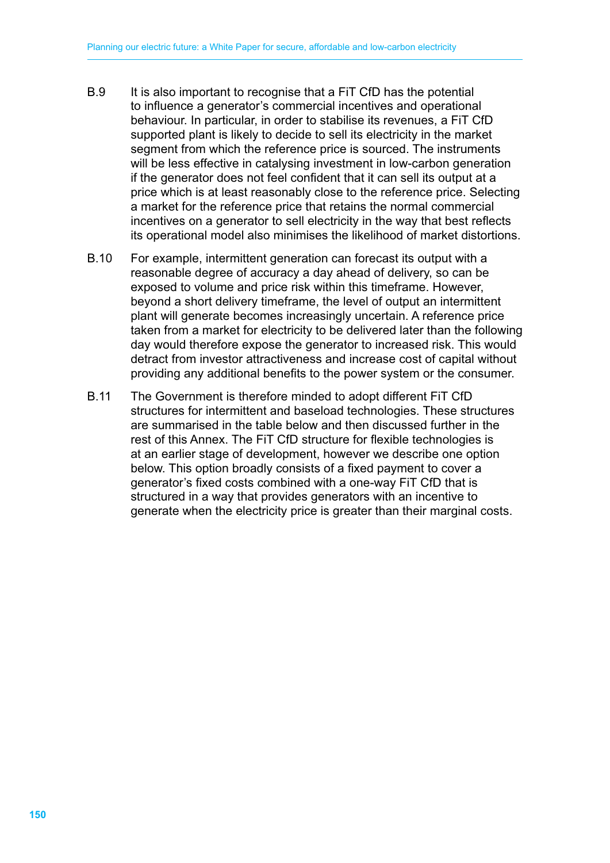- B.9 It is also important to recognise that a FiT CfD has the potential to influence a generator's commercial incentives and operational behaviour. In particular, in order to stabilise its revenues, a FiT CfD supported plant is likely to decide to sell its electricity in the market segment from which the reference price is sourced. The instruments will be less effective in catalysing investment in low-carbon generation if the generator does not feel confident that it can sell its output at a price which is at least reasonably close to the reference price. Selecting a market for the reference price that retains the normal commercial incentives on a generator to sell electricity in the way that best reflects its operational model also minimises the likelihood of market distortions.
- B.10 For example, intermittent generation can forecast its output with a reasonable degree of accuracy a day ahead of delivery, so can be exposed to volume and price risk within this timeframe. However, beyond a short delivery timeframe, the level of output an intermittent plant will generate becomes increasingly uncertain. A reference price taken from a market for electricity to be delivered later than the following day would therefore expose the generator to increased risk. This would detract from investor attractiveness and increase cost of capital without providing any additional benefits to the power system or the consumer.
- B.11 The Government is therefore minded to adopt different FiT CfD structures for intermittent and baseload technologies. These structures are summarised in the table below and then discussed further in the rest of this Annex. The FiT CfD structure for flexible technologies is at an earlier stage of development, however we describe one option below. This option broadly consists of a fixed payment to cover a generator's fixed costs combined with a one-way FiT CfD that is structured in a way that provides generators with an incentive to generate when the electricity price is greater than their marginal costs.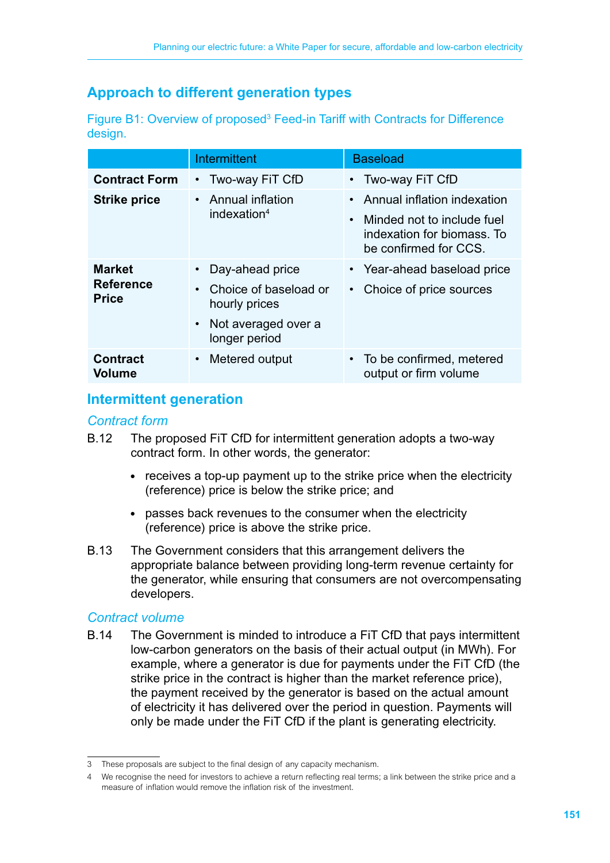# **Approach to different generation types**

| Figure B1: Overview of proposed <sup>3</sup> Feed-in Tariff with Contracts for Difference |  |  |  |
|-------------------------------------------------------------------------------------------|--|--|--|
| design.                                                                                   |  |  |  |

|                                                   | Intermittent                                                                                                                | <b>Baseload</b>                                                                                                                 |
|---------------------------------------------------|-----------------------------------------------------------------------------------------------------------------------------|---------------------------------------------------------------------------------------------------------------------------------|
| <b>Contract Form</b>                              | • Two-way FiT CfD                                                                                                           | Two-way FiT CfD<br>$\bullet$                                                                                                    |
| <b>Strike price</b>                               | • Annual inflation<br>indexation $4$                                                                                        | • Annual inflation indexation<br>Minded not to include fuel<br>$\bullet$<br>indexation for biomass. To<br>be confirmed for CCS. |
| <b>Market</b><br><b>Reference</b><br><b>Price</b> | Day-ahead price<br>Choice of baseload or<br>$\bullet$<br>hourly prices<br>Not averaged over a<br>$\bullet$<br>longer period | • Year-ahead baseload price<br>Choice of price sources                                                                          |
| <b>Contract</b><br><b>Volume</b>                  | Metered output<br>$\bullet$                                                                                                 | To be confirmed, metered<br>$\bullet$<br>output or firm volume                                                                  |

# **Intermittent generation**<sup>4</sup>

#### *Contract form*

- B.12 The proposed FiT CfD for intermittent generation adopts a two-way contract form. In other words, the generator:
	- receives a top-up payment up to the strike price when the electricity (reference) price is below the strike price; and
	- passes back revenues to the consumer when the electricity (reference) price is above the strike price.
- B.13 The Government considers that this arrangement delivers the appropriate balance between providing long-term revenue certainty for the generator, while ensuring that consumers are not overcompensating developers.

## *Contract volume*

B.14 The Government is minded to introduce a FiT CfD that pays intermittent low-carbon generators on the basis of their actual output (in MWh). For example, where a generator is due for payments under the FiT CfD (the strike price in the contract is higher than the market reference price), the payment received by the generator is based on the actual amount of electricity it has delivered over the period in question. Payments will only be made under the FiT CfD if the plant is generating electricity.

<sup>3</sup> These proposals are subject to the final design of any capacity mechanism.

We recognise the need for investors to achieve a return reflecting real terms; a link between the strike price and a measure of inflation would remove the inflation risk of the investment.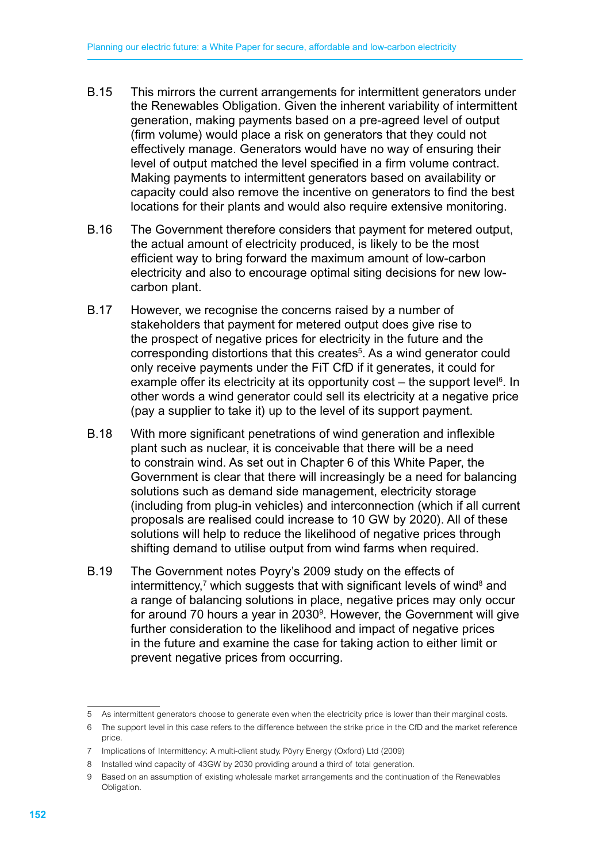- B.15 This mirrors the current arrangements for intermittent generators under the Renewables Obligation. Given the inherent variability of intermittent generation, making payments based on a pre-agreed level of output (firm volume) would place a risk on generators that they could not effectively manage. Generators would have no way of ensuring their level of output matched the level specified in a firm volume contract. Making payments to intermittent generators based on availability or capacity could also remove the incentive on generators to find the best locations for their plants and would also require extensive monitoring.
- B.16 The Government therefore considers that payment for metered output, the actual amount of electricity produced, is likely to be the most efficient way to bring forward the maximum amount of low-carbon electricity and also to encourage optimal siting decisions for new lowcarbon plant.
- B.17 However, we recognise the concerns raised by a number of stakeholders that payment for metered output does give rise to the prospect of negative prices for electricity in the future and the corresponding distortions that this creates<sup>5</sup>. As a wind generator could only receive payments under the FiT CfD if it generates, it could for example offer its electricity at its opportunity cost  $-$  the support level<sup>6</sup>. In other words a wind generator could sell its electricity at a negative price (pay a supplier to take it) up to the level of its support payment.
- B.18 With more significant penetrations of wind generation and inflexible plant such as nuclear, it is conceivable that there will be a need to constrain wind. As set out in Chapter 6 of this White Paper, the Government is clear that there will increasingly be a need for balancing solutions such as demand side management, electricity storage (including from plug-in vehicles) and interconnection (which if all current proposals are realised could increase to 10 GW by 2020). All of these solutions will help to reduce the likelihood of negative prices through shifting demand to utilise output from wind farms when required.
- B.19 The Government notes Poyry's 2009 study on the effects of intermittency,<sup>7</sup> which suggests that with significant levels of wind<sup>8</sup> and a range of balancing solutions in place, negative prices may only occur for around 70 hours a year in  $2030^\circ$ . However, the Government will give further consideration to the likelihood and impact of negative prices in the future and examine the case for taking action to either limit or prevent negative prices from occurring.

<sup>5</sup> As intermittent generators choose to generate even when the electricity price is lower than their marginal costs.

<sup>6</sup> The support level in this case refers to the difference between the strike price in the CfD and the market reference price.

<sup>7</sup> Implications of Intermittency: A multi-client study. Pöyry Energy (Oxford) Ltd (2009)

<sup>8</sup> Installed wind capacity of 43GW by 2030 providing around a third of total generation.

<sup>9</sup> Based on an assumption of existing wholesale market arrangements and the continuation of the Renewables Obligation.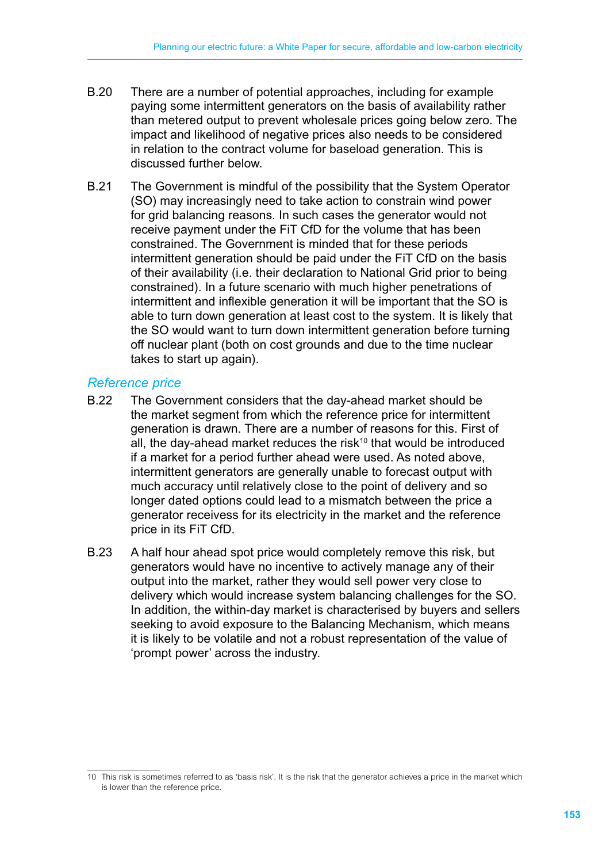- B.20 There are a number of potential approaches, including for example paying some intermittent generators on the basis of availability rather than metered output to prevent wholesale prices going below zero. The impact and likelihood of negative prices also needs to be considered in relation to the contract volume for baseload generation. This is discussed further below.
- B.21 The Government is mindful of the possibility that the System Operator (SO) may increasingly need to take action to constrain wind power for grid balancing reasons. In such cases the generator would not receive payment under the FiT CfD for the volume that has been constrained. The Government is minded that for these periods intermittent generation should be paid under the FiT CfD on the basis of their availability (i.e. their declaration to National Grid prior to being constrained). In a future scenario with much higher penetrations of intermittent and inflexible generation it will be important that the SO is able to turn down generation at least cost to the system. It is likely that the SO would want to turn down intermittent generation before turning off nuclear plant (both on cost grounds and due to the time nuclear takes to start up again).

#### *Reference price*

- B.22 The Government considers that the day-ahead market should be the market segment from which the reference price for intermittent generation is drawn. There are a number of reasons for this. First of all, the day-ahead market reduces the risk<sup>10</sup> that would be introduced if a market for a period further ahead were used. As noted above, intermittent generators are generally unable to forecast output with much accuracy until relatively close to the point of delivery and so longer dated options could lead to a mismatch between the price a generator receivess for its electricity in the market and the reference price in its FiT CfD.
- B.23 A half hour ahead spot price would completely remove this risk, but generators would have no incentive to actively manage any of their output into the market, rather they would sell power very close to delivery which would increase system balancing challenges for the SO. In addition, the within-day market is characterised by buyers and sellers seeking to avoid exposure to the Balancing Mechanism, which means it is likely to be volatile and not a robust representation of the value of 'prompt power' across the industry.

<sup>10</sup> This risk is sometimes referred to as 'basis risk'. It is the risk that the generator achieves a price in the market which is lower than the reference price.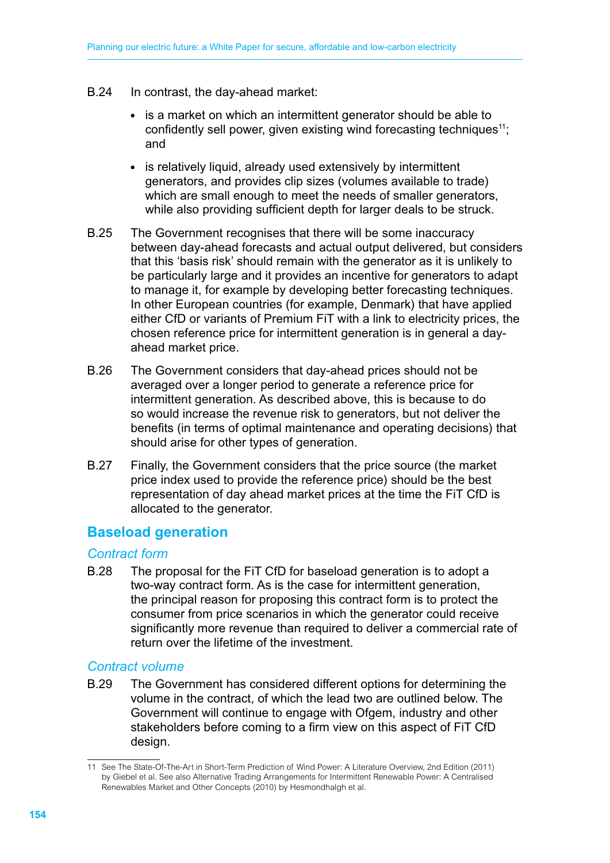- B.24 In contrast, the day-ahead market:
	- is a market on which an intermittent generator should be able to confidently sell power, given existing wind forecasting techniques<sup>11</sup>; and
	- is relatively liquid, already used extensively by intermittent generators, and provides clip sizes (volumes available to trade) which are small enough to meet the needs of smaller generators, while also providing sufficient depth for larger deals to be struck.
- B.25 The Government recognises that there will be some inaccuracy between day-ahead forecasts and actual output delivered, but considers that this 'basis risk' should remain with the generator as it is unlikely to be particularly large and it provides an incentive for generators to adapt to manage it, for example by developing better forecasting techniques. In other European countries (for example, Denmark) that have applied either CfD or variants of Premium FiT with a link to electricity prices, the chosen reference price for intermittent generation is in general a dayahead market price.
- B.26 The Government considers that day-ahead prices should not be averaged over a longer period to generate a reference price for intermittent generation. As described above, this is because to do so would increase the revenue risk to generators, but not deliver the benefits (in terms of optimal maintenance and operating decisions) that should arise for other types of generation.
- B.27 Finally, the Government considers that the price source (the market price index used to provide the reference price) should be the best representation of day ahead market prices at the time the FiT CfD is allocated to the generator.

# **Baseload generation**

#### *Contract form*

B.28 The proposal for the FiT CfD for baseload generation is to adopt a two-way contract form. As is the case for intermittent generation, the principal reason for proposing this contract form is to protect the consumer from price scenarios in which the generator could receive significantly more revenue than required to deliver a commercial rate of return over the lifetime of the investment.

#### *Contract volume*

B.29 The Government has considered different options for determining the volume in the contract, of which the lead two are outlined below. The Government will continue to engage with Ofgem, industry and other stakeholders before coming to a firm view on this aspect of FiT CfD design.

<sup>11</sup> See The State-Of-The-Art in Short-Term Prediction of Wind Power: A Literature Overview, 2nd Edition (2011) by Giebel et al. See also Alternative Trading Arrangements for Intermittent Renewable Power: A Centralised Renewables Market and Other Concepts (2010) by Hesmondhalgh et al.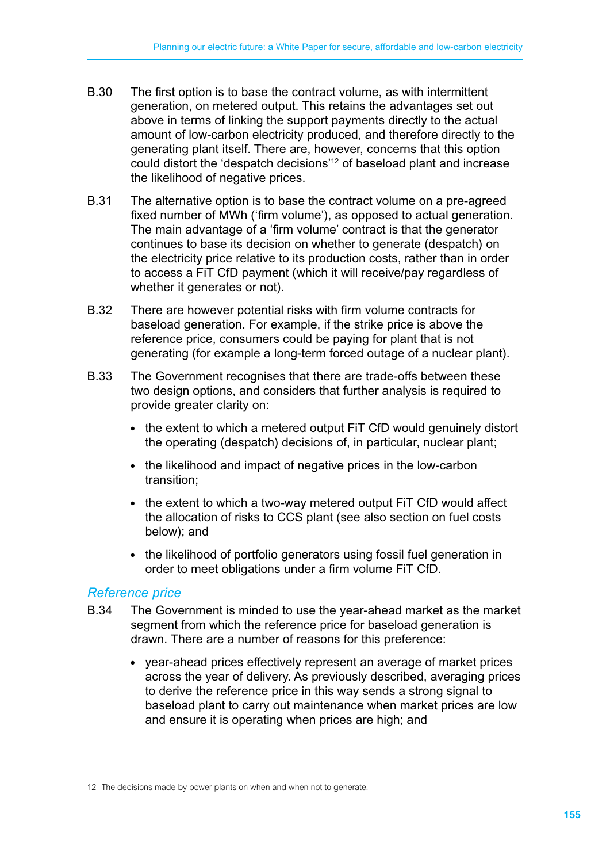- B.30 The first option is to base the contract volume, as with intermittent generation, on metered output. This retains the advantages set out above in terms of linking the support payments directly to the actual amount of low-carbon electricity produced, and therefore directly to the generating plant itself. There are, however, concerns that this option could distort the 'despatch decisions'12 of baseload plant and increase the likelihood of negative prices.
- B.31 The alternative option is to base the contract volume on a pre-agreed fixed number of MWh ('firm volume'), as opposed to actual generation. The main advantage of a 'firm volume' contract is that the generator continues to base its decision on whether to generate (despatch) on the electricity price relative to its production costs, rather than in order to access a FiT CfD payment (which it will receive/pay regardless of whether it generates or not).
- B.32 There are however potential risks with firm volume contracts for baseload generation. For example, if the strike price is above the reference price, consumers could be paying for plant that is not generating (for example a long-term forced outage of a nuclear plant).
- B.33 The Government recognises that there are trade-offs between these two design options, and considers that further analysis is required to provide greater clarity on:
	- the extent to which a metered output FIT CfD would genuinely distort the operating (despatch) decisions of, in particular, nuclear plant;
	- the likelihood and impact of negative prices in the low-carbon transition;
	- the extent to which a two-way metered output FIT CfD would affect the allocation of risks to CCS plant (see also section on fuel costs below); and
	- the likelihood of portfolio generators using fossil fuel generation in order to meet obligations under a firm volume FiT CfD.

#### *Reference price*

- B.34 The Government is minded to use the year-ahead market as the market segment from which the reference price for baseload generation is drawn. There are a number of reasons for this preference:
	- year-ahead prices effectively represent an average of market prices across the year of delivery. As previously described, averaging prices to derive the reference price in this way sends a strong signal to baseload plant to carry out maintenance when market prices are low and ensure it is operating when prices are high; and

<sup>12</sup> The decisions made by power plants on when and when not to generate.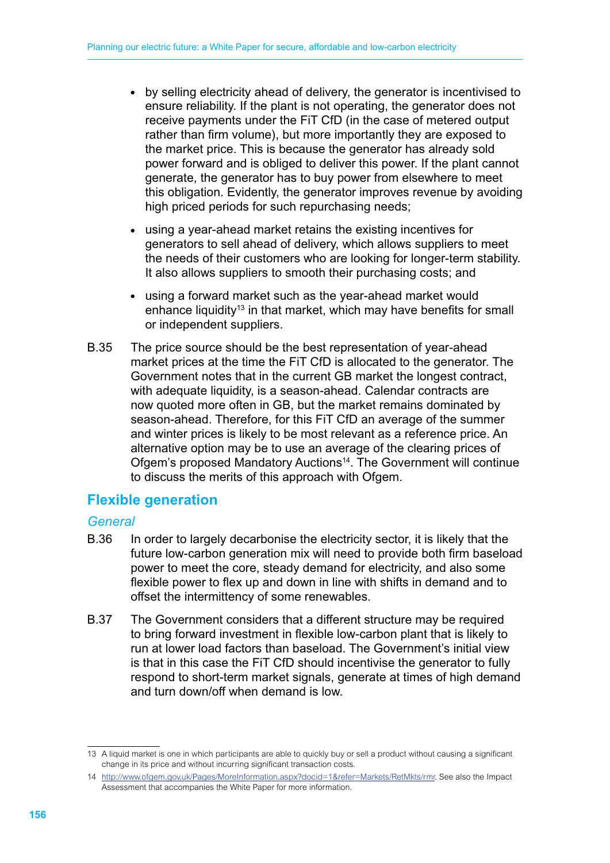- by selling electricity ahead of delivery, the generator is incentivised to ensure reliability. If the plant is not operating, the generator does not receive payments under the FiT CfD (in the case of metered output rather than firm volume), but more importantly they are exposed to the market price. This is because the generator has already sold power forward and is obliged to deliver this power. If the plant cannot generate, the generator has to buy power from elsewhere to meet this obligation. Evidently, the generator improves revenue by avoiding high priced periods for such repurchasing needs;
- using a year-ahead market retains the existing incentives for generators to sell ahead of delivery, which allows suppliers to meet the needs of their customers who are looking for longer-term stability. It also allows suppliers to smooth their purchasing costs; and
- using a forward market such as the year-ahead market would enhance liquidity<sup>13</sup> in that market, which may have benefits for small or independent suppliers.
- B.35 The price source should be the best representation of year-ahead market prices at the time the FiT CfD is allocated to the generator. The Government notes that in the current GB market the longest contract, with adequate liquidity, is a season-ahead. Calendar contracts are now quoted more often in GB, but the market remains dominated by season-ahead. Therefore, for this FiT CfD an average of the summer and winter prices is likely to be most relevant as a reference price. An alternative option may be to use an average of the clearing prices of Ofgem's proposed Mandatory Auctions<sup>14</sup>. The Government will continue to discuss the merits of this approach with Ofgem.

# **Flexible generation**

## *General*

- B.36 In order to largely decarbonise the electricity sector, it is likely that the future low-carbon generation mix will need to provide both firm baseload power to meet the core, steady demand for electricity, and also some flexible power to flex up and down in line with shifts in demand and to offset the intermittency of some renewables.
- B.37 The Government considers that a different structure may be required to bring forward investment in flexible low-carbon plant that is likely to run at lower load factors than baseload. The Government's initial view is that in this case the FiT CfD should incentivise the generator to fully respond to short-term market signals, generate at times of high demand and turn down/off when demand is low.

<sup>13</sup> A liquid market is one in which participants are able to quickly buy or sell a product without causing a significant change in its price and without incurring significant transaction costs.

<sup>14</sup> <http://www.ofgem.gov.uk/Pages/MoreInformation.aspx?docid=1&refer=Markets/RetMkts/rmr>. See also the Impact Assessment that accompanies the White Paper for more information.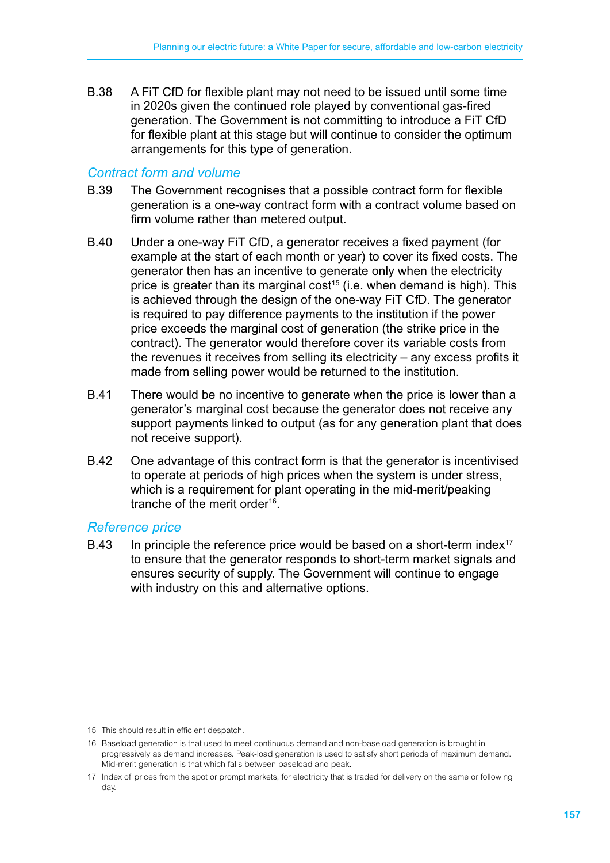B.38 A FiT CfD for flexible plant may not need to be issued until some time in 2020s given the continued role played by conventional gas-fired generation. The Government is not committing to introduce a FiT CfD for flexible plant at this stage but will continue to consider the optimum arrangements for this type of generation.

#### *Contract form and volume*

- B.39 The Government recognises that a possible contract form for flexible generation is a one-way contract form with a contract volume based on firm volume rather than metered output.
- B.40 Under a one-way FiT CfD, a generator receives a fixed payment (for example at the start of each month or year) to cover its fixed costs. The generator then has an incentive to generate only when the electricity price is greater than its marginal cost<sup>15</sup> (i.e. when demand is high). This is achieved through the design of the one-way FiT CfD. The generator is required to pay difference payments to the institution if the power price exceeds the marginal cost of generation (the strike price in the contract). The generator would therefore cover its variable costs from the revenues it receives from selling its electricity – any excess profits it made from selling power would be returned to the institution.
- B.41 There would be no incentive to generate when the price is lower than a generator's marginal cost because the generator does not receive any support payments linked to output (as for any generation plant that does not receive support).
- B.42 One advantage of this contract form is that the generator is incentivised to operate at periods of high prices when the system is under stress, which is a requirement for plant operating in the mid-merit/peaking tranche of the merit order<sup>16</sup>.

#### *Reference price*

B.43 In principle the reference price would be based on a short-term index<sup>17</sup> to ensure that the generator responds to short-term market signals and ensures security of supply. The Government will continue to engage with industry on this and alternative options.

<sup>15</sup> This should result in efficient despatch.

<sup>16</sup> Baseload generation is that used to meet continuous demand and non-baseload generation is brought in progressively as demand increases. Peak-load generation is used to satisfy short periods of maximum demand. Mid-merit generation is that which falls between baseload and peak.

<sup>17</sup> Index of prices from the spot or prompt markets, for electricity that is traded for delivery on the same or following day.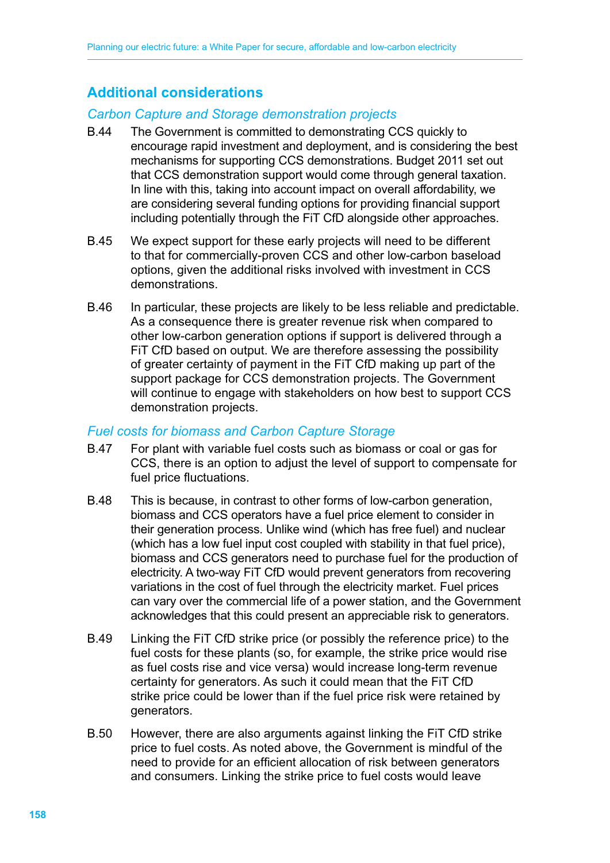# **Additional considerations**

#### *Carbon Capture and Storage demonstration projects*

- B.44 The Government is committed to demonstrating CCS quickly to encourage rapid investment and deployment, and is considering the best mechanisms for supporting CCS demonstrations. Budget 2011 set out that CCS demonstration support would come through general taxation. In line with this, taking into account impact on overall affordability, we are considering several funding options for providing financial support including potentially through the FiT CfD alongside other approaches.
- B.45 We expect support for these early projects will need to be different to that for commercially-proven CCS and other low-carbon baseload options, given the additional risks involved with investment in CCS demonstrations.
- B.46 In particular, these projects are likely to be less reliable and predictable. As a consequence there is greater revenue risk when compared to other low-carbon generation options if support is delivered through a FiT CfD based on output. We are therefore assessing the possibility of greater certainty of payment in the FiT CfD making up part of the support package for CCS demonstration projects. The Government will continue to engage with stakeholders on how best to support CCS demonstration projects.

#### *Fuel costs for biomass and Carbon Capture Storage*

- B.47 For plant with variable fuel costs such as biomass or coal or gas for CCS, there is an option to adjust the level of support to compensate for fuel price fluctuations.
- B.48 This is because, in contrast to other forms of low-carbon generation, biomass and CCS operators have a fuel price element to consider in their generation process. Unlike wind (which has free fuel) and nuclear (which has a low fuel input cost coupled with stability in that fuel price), biomass and CCS generators need to purchase fuel for the production of electricity. A two-way FiT CfD would prevent generators from recovering variations in the cost of fuel through the electricity market. Fuel prices can vary over the commercial life of a power station, and the Government acknowledges that this could present an appreciable risk to generators.
- B.49 Linking the FiT CfD strike price (or possibly the reference price) to the fuel costs for these plants (so, for example, the strike price would rise as fuel costs rise and vice versa) would increase long-term revenue certainty for generators. As such it could mean that the FiT CfD strike price could be lower than if the fuel price risk were retained by generators.
- B.50 However, there are also arguments against linking the FiT CfD strike price to fuel costs. As noted above, the Government is mindful of the need to provide for an efficient allocation of risk between generators and consumers. Linking the strike price to fuel costs would leave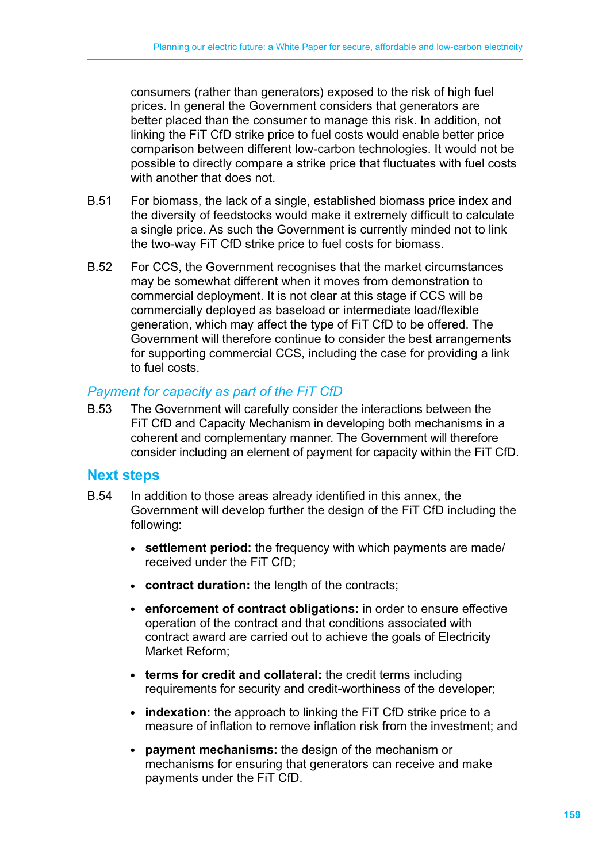consumers (rather than generators) exposed to the risk of high fuel prices. In general the Government considers that generators are better placed than the consumer to manage this risk. In addition, not linking the FiT CfD strike price to fuel costs would enable better price comparison between different low-carbon technologies. It would not be possible to directly compare a strike price that fluctuates with fuel costs with another that does not.

- B.51 For biomass, the lack of a single, established biomass price index and the diversity of feedstocks would make it extremely difficult to calculate a single price. As such the Government is currently minded not to link the two-way FiT CfD strike price to fuel costs for biomass.
- B.52 For CCS, the Government recognises that the market circumstances may be somewhat different when it moves from demonstration to commercial deployment. It is not clear at this stage if CCS will be commercially deployed as baseload or intermediate load/flexible generation, which may affect the type of FiT CfD to be offered. The Government will therefore continue to consider the best arrangements for supporting commercial CCS, including the case for providing a link to fuel costs.

#### *Payment for capacity as part of the FiT CfD*

B.53 The Government will carefully consider the interactions between the FiT CfD and Capacity Mechanism in developing both mechanisms in a coherent and complementary manner. The Government will therefore consider including an element of payment for capacity within the FiT CfD.

#### **Next steps**

- B.54 In addition to those areas already identified in this annex, the Government will develop further the design of the FiT CfD including the following:
	- settlement period: the frequency with which payments are made/ received under the FiT CfD;
	- **contract duration:** the length of the contracts;
	- enforcement of contract obligations: in order to ensure effective operation of the contract and that conditions associated with contract award are carried out to achieve the goals of Electricity Market Reform;
	- terms for credit and collateral: the credit terms including requirements for security and credit-worthiness of the developer;
	- **indexation:** the approach to linking the FiT CfD strike price to a measure of inflation to remove inflation risk from the investment; and
	- **payment mechanisms:** the design of the mechanism or mechanisms for ensuring that generators can receive and make payments under the FiT CfD.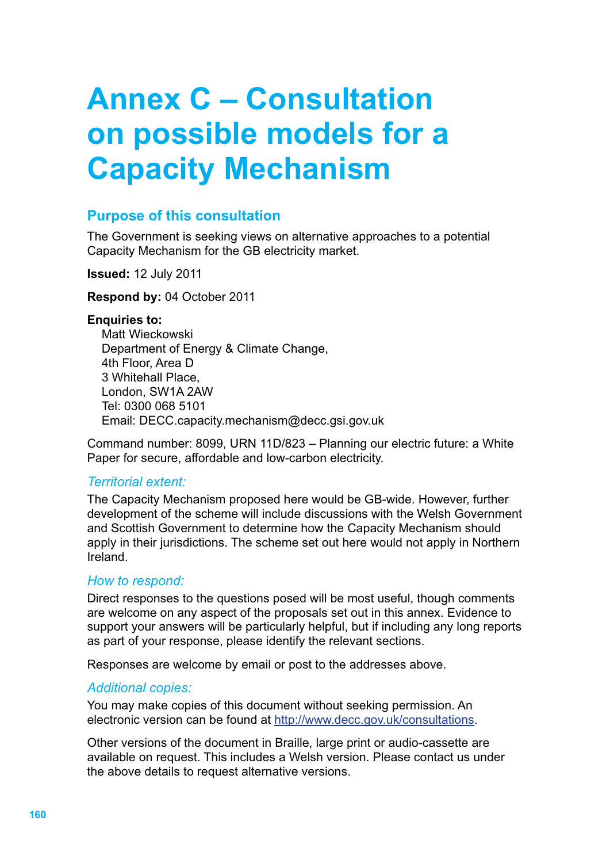# **Annex C – Consultation on possible models for a Capacity Mechanism**

# **Purpose of this consultation**

The Government is seeking views on alternative approaches to a potential Capacity Mechanism for the GB electricity market.

**Issued:** 12 July 2011

**Respond by:** 04 October 2011

#### **Enquiries to:**

Matt Wieckowski Department of Energy & Climate Change, 4th Floor, Area D 3 Whitehall Place, London, SW1A 2AW Tel: 0300 068 5101 Email: [DECC.capacity.mechanism@decc.gsi.gov.uk](mailto:DECC.capacity.mechanism@decc.gsi.gov.uk)

Command number: 8099, URN 11D/823 – Planning our electric future: a White Paper for secure, affordable and low-carbon electricity.

#### *Territorial extent:*

The Capacity Mechanism proposed here would be GB-wide. However, further development of the scheme will include discussions with the Welsh Government and Scottish Government to determine how the Capacity Mechanism should apply in their jurisdictions. The scheme set out here would not apply in Northern Ireland.

#### *How to respond:*

Direct responses to the questions posed will be most useful, though comments are welcome on any aspect of the proposals set out in this annex. Evidence to support your answers will be particularly helpful, but if including any long reports as part of your response, please identify the relevant sections.

Responses are welcome by email or post to the addresses above.

#### *Additional copies:*

You may make copies of this document without seeking permission. An electronic version can be found at http://www.decc.gov.uk/consultations.

Other versions of the document in Braille, large print or audio-cassette are available on request. This includes a Welsh version. Please contact us under the above details to request alternative versions.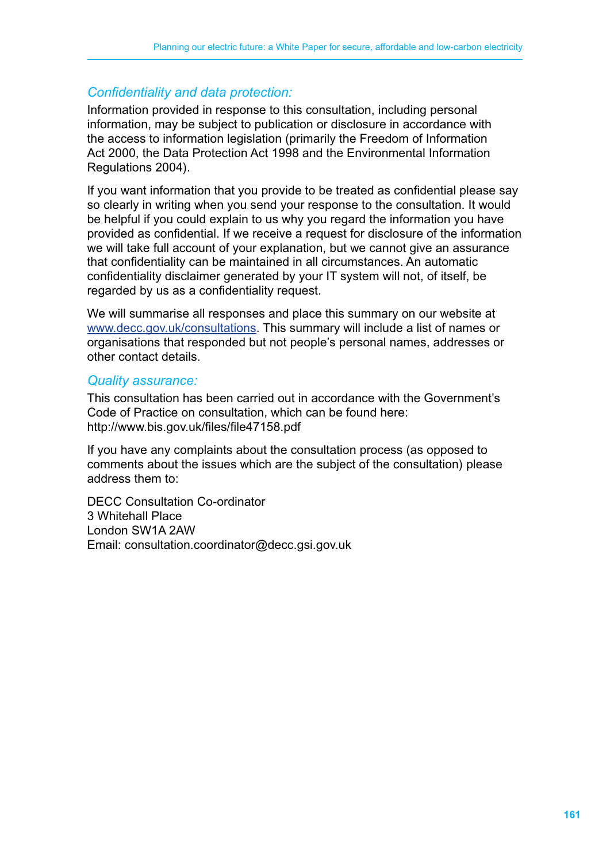# *Confidentiality and data protection:*

Information provided in response to this consultation, including personal information, may be subject to publication or disclosure in accordance with the access to information legislation (primarily the Freedom of Information Act 2000, the Data Protection Act 1998 and the Environmental Information Regulations 2004).

If you want information that you provide to be treated as confidential please say so clearly in writing when you send your response to the consultation. It would be helpful if you could explain to us why you regard the information you have provided as confidential. If we receive a request for disclosure of the information we will take full account of your explanation, but we cannot give an assurance that confidentiality can be maintained in all circumstances. An automatic confidentiality disclaimer generated by your IT system will not, of itself, be regarded by us as a confidentiality request.

We will summarise all responses and place this summary on our website at [www.decc.gov.uk/consultations](http://www.decc.gov.uk/en/content/cms/consultations/). This summary will include a list of names or organisations that responded but not people's personal names, addresses or other contact details.

#### *Quality assurance:*

This consultation has been carried out in accordance with the Government's Code of Practice on consultation, which can be found here: <http://www.bis.gov.uk/files/file47158.pdf>

If you have any complaints about the consultation process (as opposed to comments about the issues which are the subject of the consultation) please address them to:

DECC Consultation Co-ordinator 3 Whitehall Place London SW1A 2AW Email: [consultation.coordinator@decc.gsi.gov.uk](mailto:consultation.coordinator@decc.gsi.gov.uk)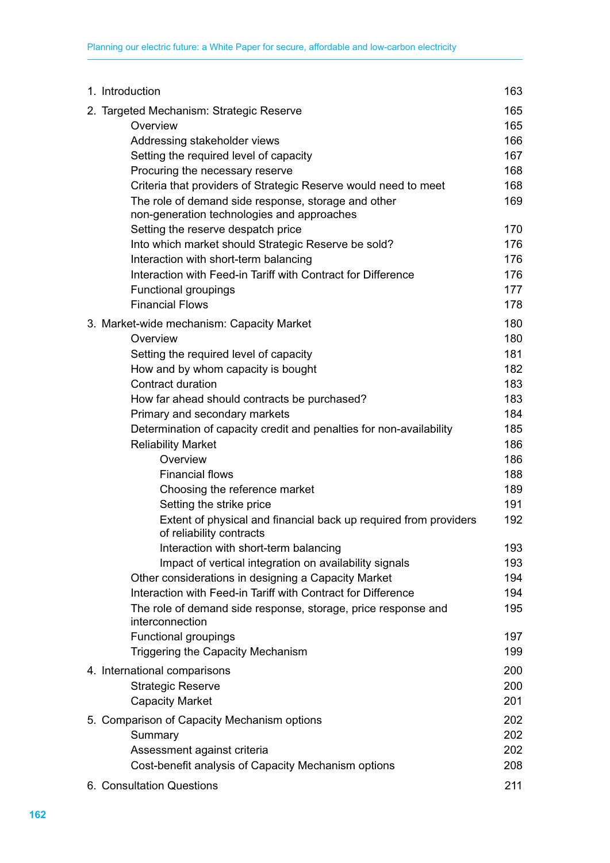| 1. Introduction                                                                              | 163 |
|----------------------------------------------------------------------------------------------|-----|
| 2. Targeted Mechanism: Strategic Reserve                                                     | 165 |
| Overview                                                                                     | 165 |
| Addressing stakeholder views                                                                 | 166 |
| Setting the required level of capacity                                                       | 167 |
| Procuring the necessary reserve                                                              | 168 |
| Criteria that providers of Strategic Reserve would need to meet                              | 168 |
| The role of demand side response, storage and other                                          | 169 |
| non-generation technologies and approaches                                                   |     |
| Setting the reserve despatch price                                                           | 170 |
| Into which market should Strategic Reserve be sold?                                          | 176 |
| Interaction with short-term balancing                                                        | 176 |
| Interaction with Feed-in Tariff with Contract for Difference                                 | 176 |
| <b>Functional groupings</b>                                                                  | 177 |
| <b>Financial Flows</b>                                                                       | 178 |
| 3. Market-wide mechanism: Capacity Market                                                    | 180 |
| Overview                                                                                     | 180 |
| Setting the required level of capacity                                                       | 181 |
| How and by whom capacity is bought                                                           | 182 |
| Contract duration                                                                            | 183 |
| How far ahead should contracts be purchased?                                                 | 183 |
| Primary and secondary markets                                                                | 184 |
| Determination of capacity credit and penalties for non-availability                          | 185 |
| <b>Reliability Market</b>                                                                    | 186 |
| Overview                                                                                     | 186 |
| <b>Financial flows</b>                                                                       | 188 |
| Choosing the reference market                                                                | 189 |
| Setting the strike price                                                                     | 191 |
| Extent of physical and financial back up required from providers<br>of reliability contracts | 192 |
| Interaction with short-term balancing                                                        | 193 |
| Impact of vertical integration on availability signals                                       | 193 |
| Other considerations in designing a Capacity Market                                          | 194 |
| Interaction with Feed-in Tariff with Contract for Difference                                 | 194 |
| The role of demand side response, storage, price response and<br>interconnection             | 195 |
| <b>Functional groupings</b>                                                                  | 197 |
| <b>Triggering the Capacity Mechanism</b>                                                     | 199 |
| 4. International comparisons                                                                 | 200 |
| <b>Strategic Reserve</b>                                                                     | 200 |
| <b>Capacity Market</b>                                                                       | 201 |
| 5. Comparison of Capacity Mechanism options                                                  | 202 |
| Summary                                                                                      | 202 |
| Assessment against criteria                                                                  | 202 |
| Cost-benefit analysis of Capacity Mechanism options                                          | 208 |
| 6. Consultation Questions                                                                    | 211 |
|                                                                                              |     |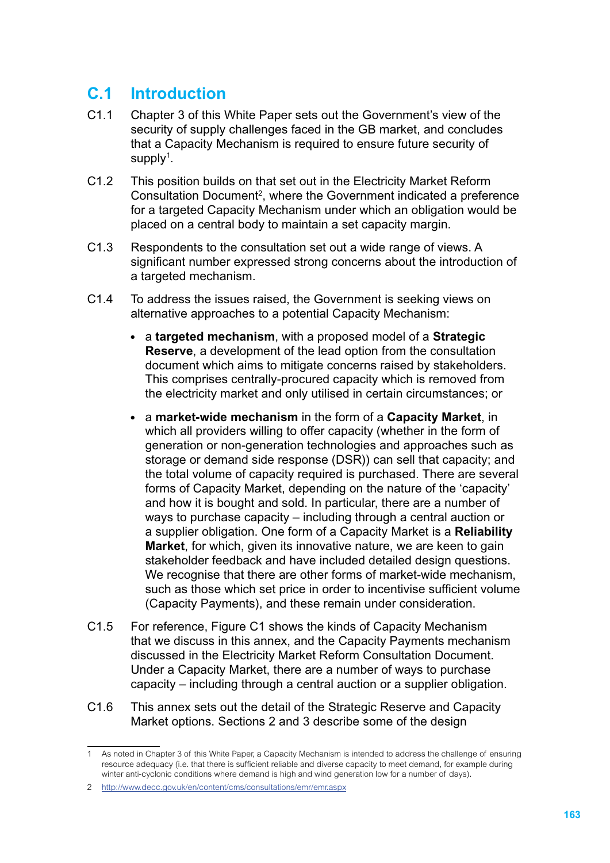# **C.1 Introduction**

- C1.1 Chapter 3 of this White Paper sets out the Government's view of the security of supply challenges faced in the GB market, and concludes that a Capacity Mechanism is required to ensure future security of supply<sup>1</sup>.
- C1.2 This position builds on that set out in the Electricity Market Reform Consultation Document<sup>2</sup>, where the Government indicated a preference for a targeted Capacity Mechanism under which an obligation would be placed on a central body to maintain a set capacity margin.
- C1.3 Respondents to the consultation set out a wide range of views. A significant number expressed strong concerns about the introduction of a targeted mechanism.
- C1.4 To address the issues raised, the Government is seeking views on alternative approaches to a potential Capacity Mechanism:
	- a **targeted mechanism**, with a proposed model of a **Strategic Reserve**, a development of the lead option from the consultation document which aims to mitigate concerns raised by stakeholders. This comprises centrally-procured capacity which is removed from the electricity market and only utilised in certain circumstances; or
	- a **market-wide mechanism** in the form of a **Capacity Market**, in which all providers willing to offer capacity (whether in the form of generation or non-generation technologies and approaches such as storage or demand side response (DSR)) can sell that capacity; and the total volume of capacity required is purchased. There are several forms of Capacity Market, depending on the nature of the 'capacity' and how it is bought and sold. In particular, there are a number of ways to purchase capacity – including through a central auction or a supplier obligation. One form of a Capacity Market is a **Reliability Market**, for which, given its innovative nature, we are keen to gain stakeholder feedback and have included detailed design questions. We recognise that there are other forms of market-wide mechanism, such as those which set price in order to incentivise sufficient volume (Capacity Payments), and these remain under consideration.
- C1.5 For reference, Figure C1 shows the kinds of Capacity Mechanism that we discuss in this annex, and the Capacity Payments mechanism discussed in the Electricity Market Reform Consultation Document. Under a Capacity Market, there are a number of ways to purchase capacity – including through a central auction or a supplier obligation.
- C1.6 This annex sets out the detail of the Strategic Reserve and Capacity Market options. Sections 2 and 3 describe some of the design

As noted in Chapter 3 of this White Paper, a Capacity Mechanism is intended to address the challenge of ensuring resource adequacy (i.e. that there is sufficient reliable and diverse capacity to meet demand, for example during winter anti-cyclonic conditions where demand is high and wind generation low for a number of days).

<sup>2</sup> http://www.decc.gov.uk/en/content/cms/consultations/emr/emr.aspx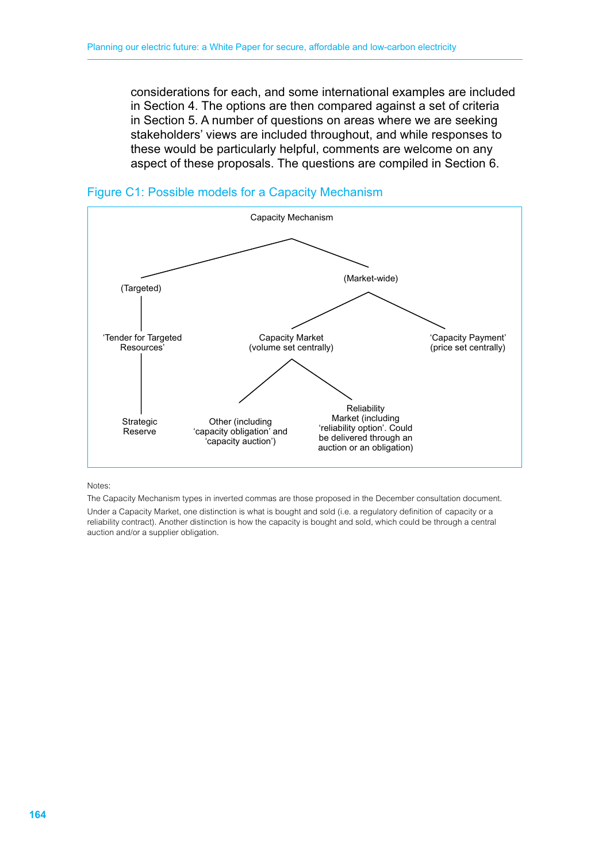considerations for each, and some international examples are included in Section 4. The options are then compared against a set of criteria in Section 5. A number of questions on areas where we are seeking stakeholders' views are included throughout, and while responses to these would be particularly helpful, comments are welcome on any aspect of these proposals. The questions are compiled in Section 6.





Notes:

The Capacity Mechanism types in inverted commas are those proposed in the December consultation document. Under a Capacity Market, one distinction is what is bought and sold (i.e. a regulatory definition of capacity or a reliability contract). Another distinction is how the capacity is bought and sold, which could be through a central auction and/or a supplier obligation.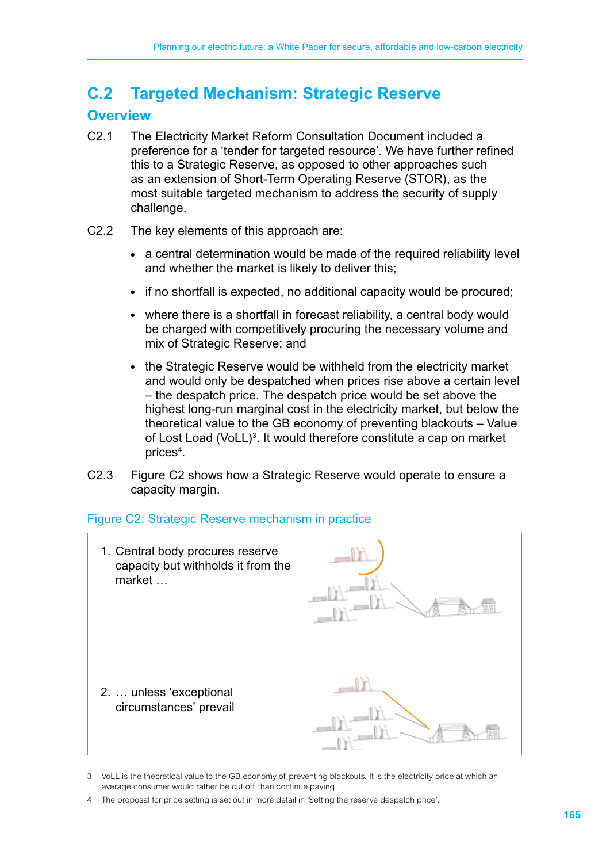# **C.2 Targeted Mechanism: Strategic Reserve**

# **Overview**

- C2.1 The Electricity Market Reform Consultation Document included a preference for a 'tender for targeted resource'. We have further refined this to a Strategic Reserve, as opposed to other approaches such as an extension of Short-Term Operating Reserve (STOR), as the most suitable targeted mechanism to address the security of supply challenge.
- C2.2 The key elements of this approach are:
	- a central determination would be made of the required reliability level and whether the market is likely to deliver this;
	- if no shortfall is expected, no additional capacity would be procured;
	- where there is a shortfall in forecast reliability, a central body would be charged with competitively procuring the necessary volume and mix of Strategic Reserve; and
	- the Strategic Reserve would be withheld from the electricity market and would only be despatched when prices rise above a certain level – the despatch price. The despatch price would be set above the highest long-run marginal cost in the electricity market, but below the theoretical value to the GB economy of preventing blackouts – Value of Lost Load (VoLL)<sup>3</sup>. It would therefore constitute a cap on market prices<sup>4</sup>.
- C2.3 Figure C2 shows how a Strategic Reserve would operate to ensure a capacity margin.

#### Figure C2: Strategic Reserve mechanism in practice



<sup>3</sup> VoLL is the theoretical value to the GB economy of preventing blackouts. It is the electricity price at which an average consumer would rather be cut off than continue paying.

<sup>4</sup> The proposal for price setting is set out in more detail in 'Setting the reserve despatch price'.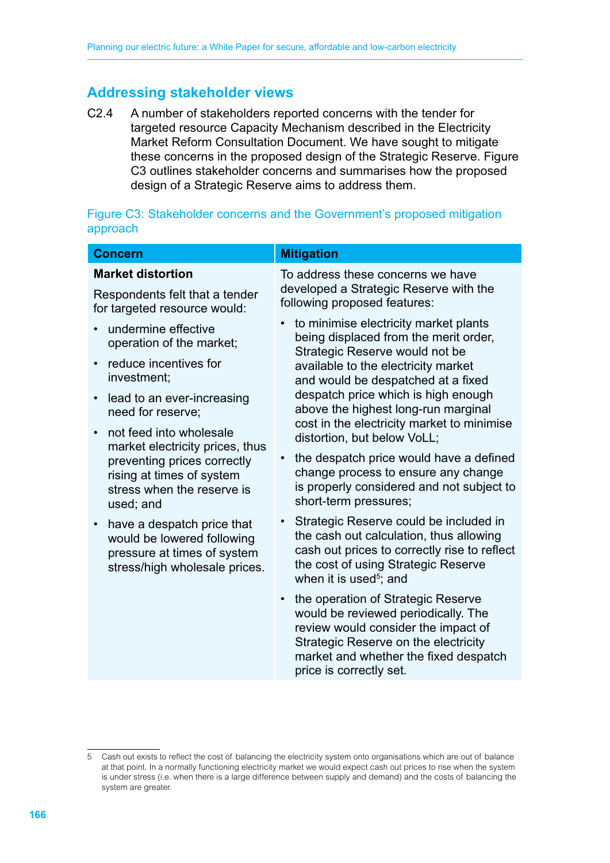# **Addressing stakeholder views**

C2.4 A number of stakeholders reported concerns with the tender for targeted resource Capacity Mechanism described in the Electricity Market Reform Consultation Document. We have sought to mitigate these concerns in the proposed design of the Strategic Reserve. Figure C3 outlines stakeholder concerns and summarises how the proposed design of a Strategic Reserve aims to address them.

|          |  |  | Figure C3: Stakeholder concerns and the Government's proposed mitigation |  |
|----------|--|--|--------------------------------------------------------------------------|--|
| approach |  |  |                                                                          |  |

| <b>Concern</b>                                                                                                           | <b>Mitigation</b>                                                                                                                                                                                                            |
|--------------------------------------------------------------------------------------------------------------------------|------------------------------------------------------------------------------------------------------------------------------------------------------------------------------------------------------------------------------|
| <b>Market distortion</b>                                                                                                 | To address these concerns we have                                                                                                                                                                                            |
| Respondents felt that a tender<br>for targeted resource would:                                                           | developed a Strategic Reserve with the<br>following proposed features:                                                                                                                                                       |
| undermine effective<br>operation of the market;                                                                          | to minimise electricity market plants<br>being displaced from the merit order,<br>Strategic Reserve would not be                                                                                                             |
| reduce incentives for<br>investment;                                                                                     | available to the electricity market<br>and would be despatched at a fixed                                                                                                                                                    |
| lead to an ever-increasing<br>need for reserve;                                                                          | despatch price which is high enough<br>above the highest long-run marginal<br>cost in the electricity market to minimise                                                                                                     |
| not feed into wholesale<br>market electricity prices, thus                                                               | distortion, but below VoLL;                                                                                                                                                                                                  |
| preventing prices correctly<br>rising at times of system<br>stress when the reserve is<br>used; and                      | the despatch price would have a defined<br>change process to ensure any change<br>is properly considered and not subject to<br>short-term pressures;                                                                         |
| have a despatch price that<br>would be lowered following<br>pressure at times of system<br>stress/high wholesale prices. | Strategic Reserve could be included in<br>the cash out calculation, thus allowing<br>cash out prices to correctly rise to reflect<br>the cost of using Strategic Reserve<br>when it is used <sup>5</sup> ; and               |
|                                                                                                                          | the operation of Strategic Reserve<br>would be reviewed periodically. The<br>review would consider the impact of<br>Strategic Reserve on the electricity<br>market and whether the fixed despatch<br>price is correctly set. |
|                                                                                                                          |                                                                                                                                                                                                                              |

<sup>5</sup> Cash out exists to reflect the cost of balancing the electricity system onto organisations which are out of balance at that point. In a normally functioning electricity market we would expect cash out prices to rise when the system is under stress (i.e. when there is a large difference between supply and demand) and the costs of balancing the system are greater.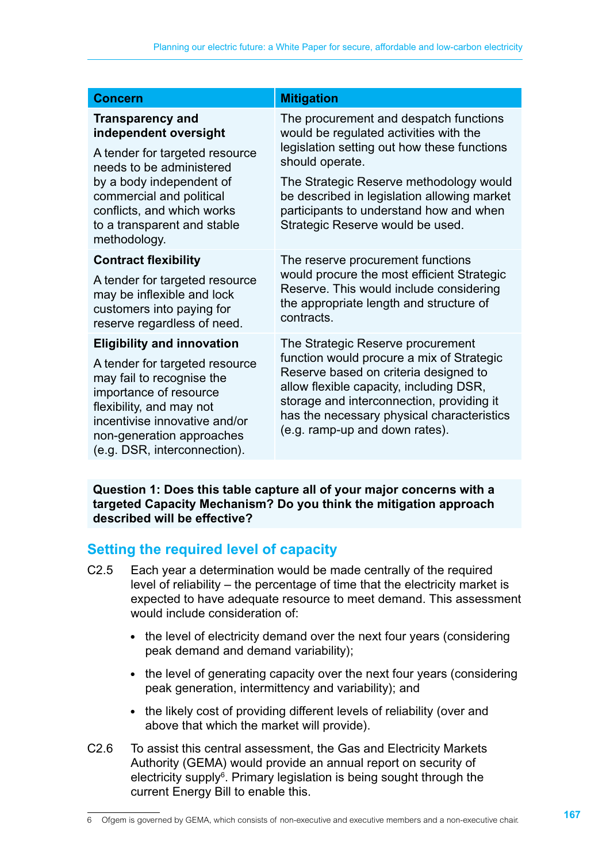| <b>Concern</b>                                                                                                                                                                                                                                       | <b>Mitigation</b>                                                                                                                                                                                                                                                                                                           |
|------------------------------------------------------------------------------------------------------------------------------------------------------------------------------------------------------------------------------------------------------|-----------------------------------------------------------------------------------------------------------------------------------------------------------------------------------------------------------------------------------------------------------------------------------------------------------------------------|
| <b>Transparency and</b><br>independent oversight<br>A tender for targeted resource<br>needs to be administered<br>by a body independent of<br>commercial and political<br>conflicts, and which works<br>to a transparent and stable<br>methodology.  | The procurement and despatch functions<br>would be regulated activities with the<br>legislation setting out how these functions<br>should operate.<br>The Strategic Reserve methodology would<br>be described in legislation allowing market<br>participants to understand how and when<br>Strategic Reserve would be used. |
| <b>Contract flexibility</b><br>A tender for targeted resource<br>may be inflexible and lock<br>customers into paying for<br>reserve regardless of need.                                                                                              | The reserve procurement functions<br>would procure the most efficient Strategic<br>Reserve. This would include considering<br>the appropriate length and structure of<br>contracts.                                                                                                                                         |
| <b>Eligibility and innovation</b><br>A tender for targeted resource<br>may fail to recognise the<br>importance of resource<br>flexibility, and may not<br>incentivise innovative and/or<br>non-generation approaches<br>(e.g. DSR, interconnection). | The Strategic Reserve procurement<br>function would procure a mix of Strategic<br>Reserve based on criteria designed to<br>allow flexible capacity, including DSR,<br>storage and interconnection, providing it<br>has the necessary physical characteristics<br>(e.g. ramp-up and down rates).                             |

**Question 1: Does this table capture all of your major concerns with a targeted Capacity Mechanism? Do you think the mitigation approach described will be effective?**

# **Setting the required level of capacity**

- C2.5 Each year a determination would be made centrally of the required level of reliability – the percentage of time that the electricity market is expected to have adequate resource to meet demand. This assessment would include consideration of:
	- the level of electricity demand over the next four years (considering peak demand and demand variability);
	- the level of generating capacity over the next four years (considering peak generation, intermittency and variability); and
	- the likely cost of providing different levels of reliability (over and above that which the market will provide).
- C2.6 To assist this central assessment, the Gas and Electricity Markets Authority (GEMA) would provide an annual report on security of electricity supply<sup>6</sup>. Primary legislation is being sought through the current Energy Bill to enable this.

<sup>6</sup> Ofgem is governed by GEMA, which consists of non-executive and executive members and a non-executive chair.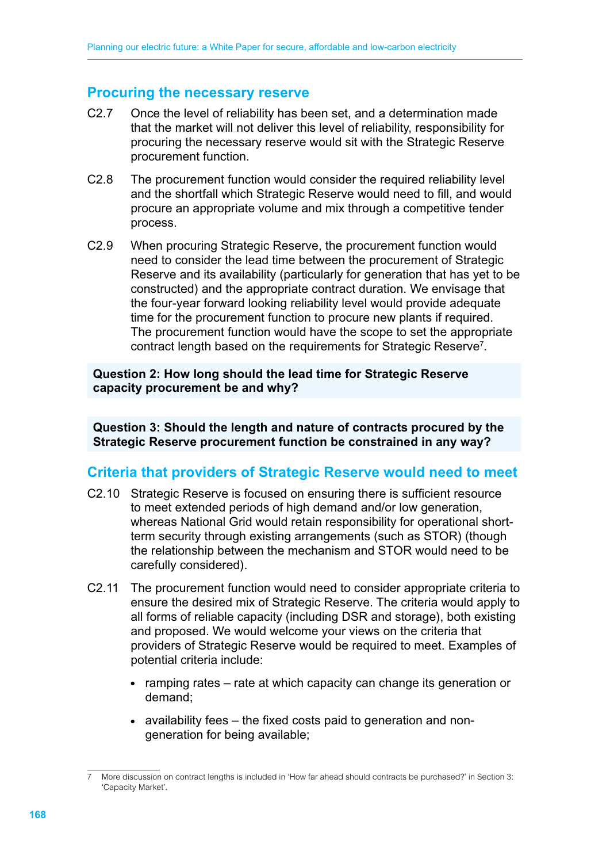# **Procuring the necessary reserve**

- C2.7 Once the level of reliability has been set, and a determination made that the market will not deliver this level of reliability, responsibility for procuring the necessary reserve would sit with the Strategic Reserve procurement function.
- C2.8 The procurement function would consider the required reliability level and the shortfall which Strategic Reserve would need to fill, and would procure an appropriate volume and mix through a competitive tender process.
- C2.9 When procuring Strategic Reserve, the procurement function would need to consider the lead time between the procurement of Strategic Reserve and its availability (particularly for generation that has yet to be constructed) and the appropriate contract duration. We envisage that the four-year forward looking reliability level would provide adequate time for the procurement function to procure new plants if required. The procurement function would have the scope to set the appropriate contract length based on the requirements for Strategic Reserve<sup>7</sup>.

**Question 2: How long should the lead time for Strategic Reserve capacity procurement be and why?**

**Question 3: Should the length and nature of contracts procured by the Strategic Reserve procurement function be constrained in any way?**

## **Criteria that providers of Strategic Reserve would need to meet**

- C2.10 Strategic Reserve is focused on ensuring there is sufficient resource to meet extended periods of high demand and/or low generation, whereas National Grid would retain responsibility for operational shortterm security through existing arrangements (such as STOR) (though the relationship between the mechanism and STOR would need to be carefully considered).
- C2.11 The procurement function would need to consider appropriate criteria to ensure the desired mix of Strategic Reserve. The criteria would apply to all forms of reliable capacity (including DSR and storage), both existing and proposed. We would welcome your views on the criteria that providers of Strategic Reserve would be required to meet. Examples of potential criteria include:
	- ramping rates rate at which capacity can change its generation or demand;
	- $\bullet$  availability fees  $-$  the fixed costs paid to generation and nongeneration for being available;

<sup>7</sup> More discussion on contract lengths is included in 'How far ahead should contracts be purchased?' in Section 3: 'Capacity Market'.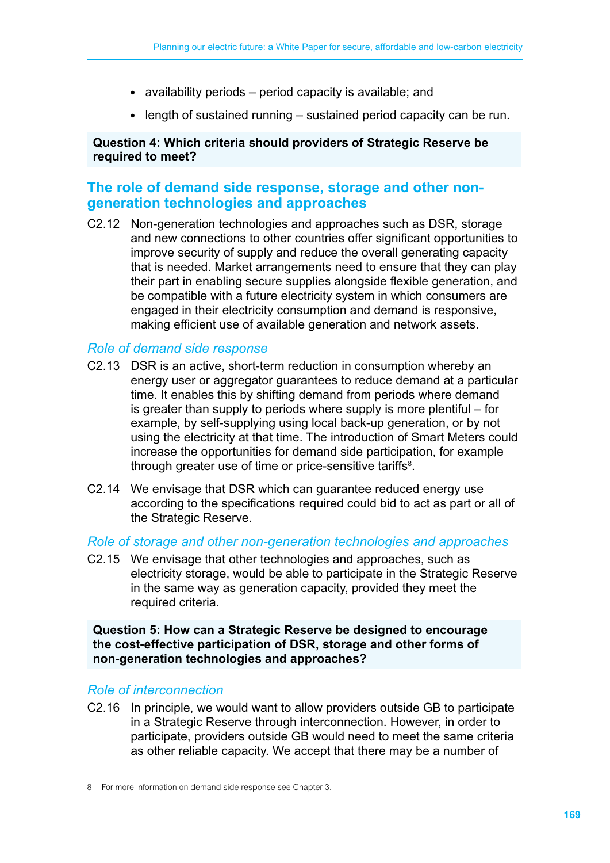- $\bullet$  availability periods period capacity is available; and
- $\bullet$  length of sustained running  $-$  sustained period capacity can be run.

#### **Question 4: Which criteria should providers of Strategic Reserve be required to meet?**

# **The role of demand side response, storage and other nongeneration technologies and approaches**

C2.12 Non-generation technologies and approaches such as DSR, storage and new connections to other countries offer significant opportunities to improve security of supply and reduce the overall generating capacity that is needed. Market arrangements need to ensure that they can play their part in enabling secure supplies alongside flexible generation, and be compatible with a future electricity system in which consumers are engaged in their electricity consumption and demand is responsive, making efficient use of available generation and network assets.

#### *Role of demand side response*

- C2.13 DSR is an active, short-term reduction in consumption whereby an energy user or aggregator guarantees to reduce demand at a particular time. It enables this by shifting demand from periods where demand is greater than supply to periods where supply is more plentiful – for example, by self-supplying using local back-up generation, or by not using the electricity at that time. The introduction of Smart Meters could increase the opportunities for demand side participation, for example through greater use of time or price-sensitive tariffs<sup>8</sup>.
- C2.14 We envisage that DSR which can guarantee reduced energy use according to the specifications required could bid to act as part or all of the Strategic Reserve.

#### *Role of storage and other non-generation technologies and approaches*

C2.15 We envisage that other technologies and approaches, such as electricity storage, would be able to participate in the Strategic Reserve in the same way as generation capacity, provided they meet the required criteria.

**Question 5: How can a Strategic Reserve be designed to encourage the cost-effective participation of DSR, storage and other forms of non-generation technologies and approaches?**

#### *Role of interconnection*

C2.16 In principle, we would want to allow providers outside GB to participate in a Strategic Reserve through interconnection. However, in order to participate, providers outside GB would need to meet the same criteria as other reliable capacity. We accept that there may be a number of

<sup>8</sup> For more information on demand side response see Chapter 3.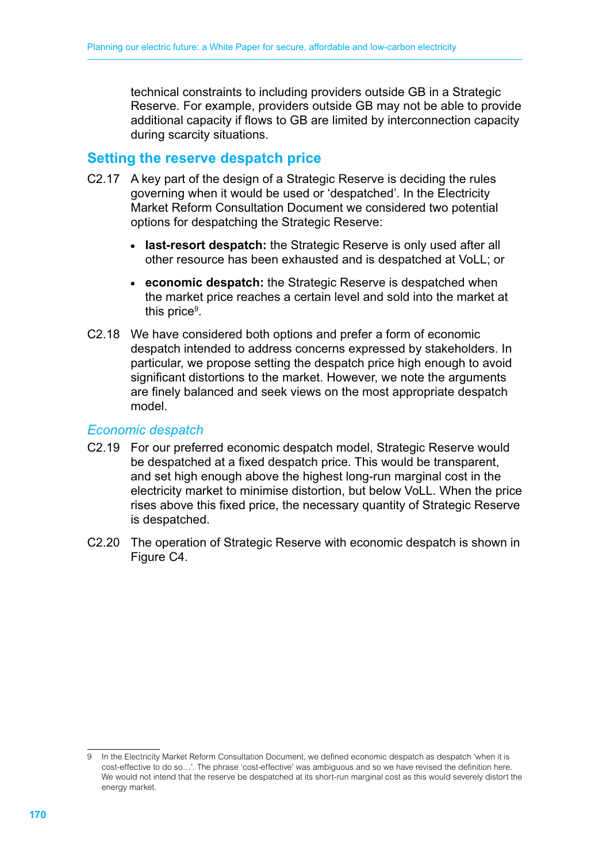technical constraints to including providers outside GB in a Strategic Reserve. For example, providers outside GB may not be able to provide additional capacity if flows to GB are limited by interconnection capacity during scarcity situations.

# **Setting the reserve despatch price**

- C2.17 A key part of the design of a Strategic Reserve is deciding the rules governing when it would be used or 'despatched'. In the Electricity Market Reform Consultation Document we considered two potential options for despatching the Strategic Reserve:
	- **last-resort despatch:** the Strategic Reserve is only used after all other resource has been exhausted and is despatched at VoLL; or
	- economic despatch: the Strategic Reserve is despatched when the market price reaches a certain level and sold into the market at this price<sup>9</sup>.
- C2.18 We have considered both options and prefer a form of economic despatch intended to address concerns expressed by stakeholders. In particular, we propose setting the despatch price high enough to avoid significant distortions to the market. However, we note the arguments are finely balanced and seek views on the most appropriate despatch model.

#### *Economic despatch*

- C2.19 For our preferred economic despatch model, Strategic Reserve would be despatched at a fixed despatch price. This would be transparent, and set high enough above the highest long-run marginal cost in the electricity market to minimise distortion, but below VoLL. When the price rises above this fixed price, the necessary quantity of Strategic Reserve is despatched.
- C2.20 The operation of Strategic Reserve with economic despatch is shown in Figure C4.

<sup>9</sup> In the Electricity Market Reform Consultation Document, we defined economic despatch as despatch 'when it is cost-effective to do so…'. The phrase 'cost-effective' was ambiguous and so we have revised the definition here. We would not intend that the reserve be despatched at its short-run marginal cost as this would severely distort the energy market.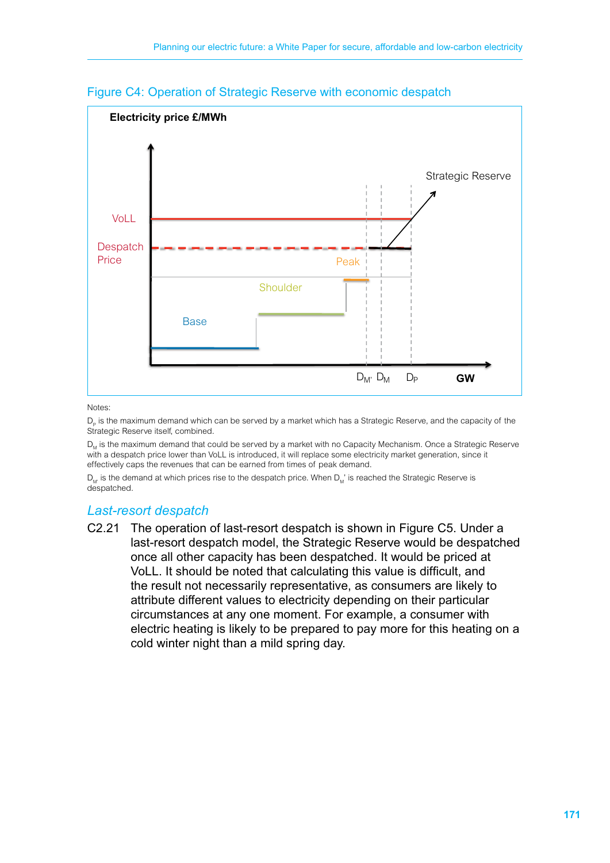

#### Figure C4: Operation of Strategic Reserve with economic despatch

Notes:

D<sub>r</sub> is the maximum demand which can be served by a market which has a Strategic Reserve, and the capacity of the Strategic Reserve itself, combined.

D., is the maximum demand that could be served by a market with no Capacity Mechanism. Once a Strategic Reserve with a despatch price lower than VoLL is introduced, it will replace some electricity market generation, since it effectively caps the revenues that can be earned from times of peak demand.

 $D_{1n}$  is the demand at which prices rise to the despatch price. When  $D_{1n}$ ' is reached the Strategic Reserve is despatched.

## *Last-resort despatch*

C2.21 The operation of last-resort despatch is shown in Figure C5. Under a last-resort despatch model, the Strategic Reserve would be despatched once all other capacity has been despatched. It would be priced at VoLL. It should be noted that calculating this value is difficult, and the result not necessarily representative, as consumers are likely to attribute different values to electricity depending on their particular circumstances at any one moment. For example, a consumer with electric heating is likely to be prepared to pay more for this heating on a cold winter night than a mild spring day.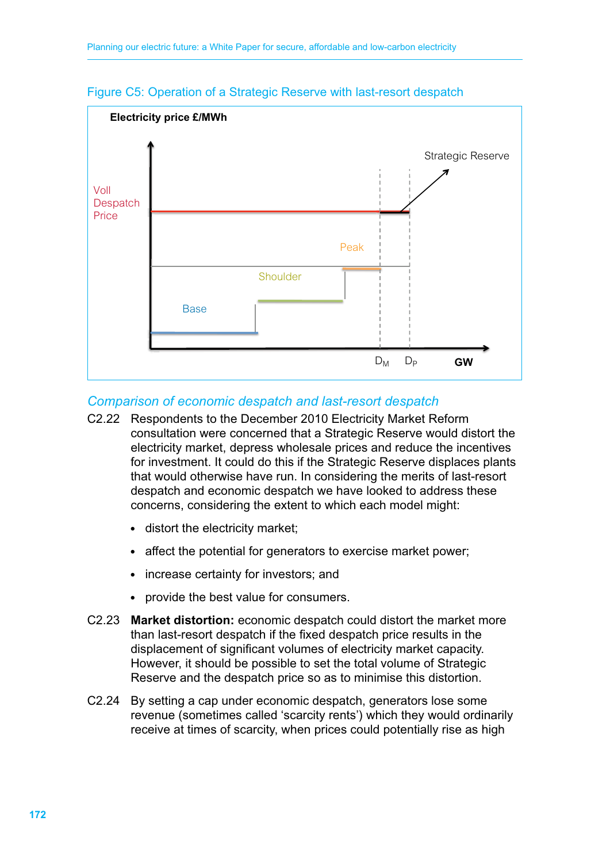

#### Figure C5: Operation of a Strategic Reserve with last-resort despatch

#### *Comparison of economic despatch and last-resort despatch*

- C2.22 Respondents to the December 2010 Electricity Market Reform consultation were concerned that a Strategic Reserve would distort the electricity market, depress wholesale prices and reduce the incentives for investment. It could do this if the Strategic Reserve displaces plants that would otherwise have run. In considering the merits of last-resort despatch and economic despatch we have looked to address these concerns, considering the extent to which each model might:
	- distort the electricity market;
	- affect the potential for generators to exercise market power;
	- increase certainty for investors; and
	- provide the best value for consumers.
- C2.23 **Market distortion:** economic despatch could distort the market more than last-resort despatch if the fixed despatch price results in the displacement of significant volumes of electricity market capacity. However, it should be possible to set the total volume of Strategic Reserve and the despatch price so as to minimise this distortion.
- C2.24 By setting a cap under economic despatch, generators lose some revenue (sometimes called 'scarcity rents') which they would ordinarily receive at times of scarcity, when prices could potentially rise as high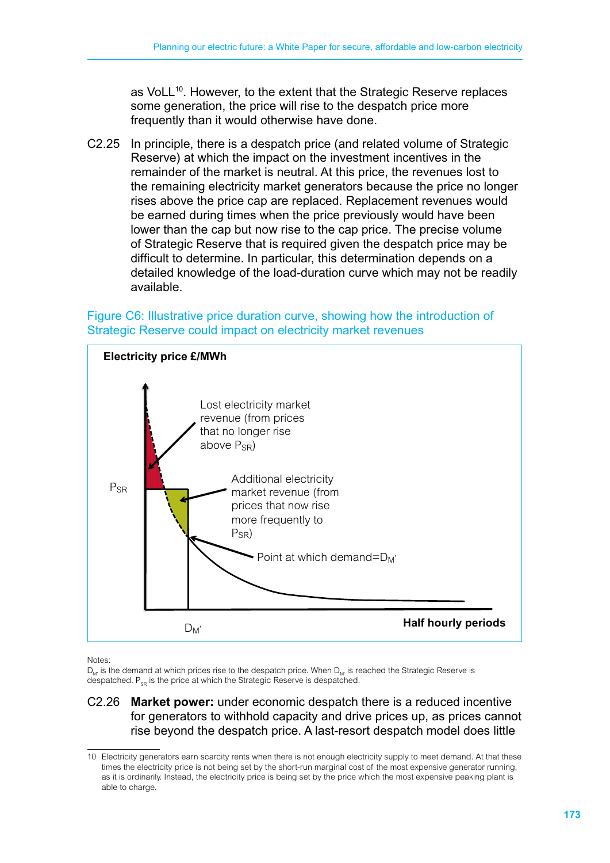as VoLL<sup>10</sup>. However, to the extent that the Strategic Reserve replaces some generation, the price will rise to the despatch price more frequently than it would otherwise have done.

C2.25 In principle, there is a despatch price (and related volume of Strategic Reserve) at which the impact on the investment incentives in the remainder of the market is neutral. At this price, the revenues lost to the remaining electricity market generators because the price no longer rises above the price cap are replaced. Replacement revenues would be earned during times when the price previously would have been lower than the cap but now rise to the cap price. The precise volume of Strategic Reserve that is required given the despatch price may be difficult to determine. In particular, this determination depends on a detailed knowledge of the load-duration curve which may not be readily available.

#### Figure C6: Illustrative price duration curve, showing how the introduction of Strategic Reserve could impact on electricity market revenues



Notes:

D. is the demand at which prices rise to the despatch price. When D. is reached the Strategic Reserve is despatched.  $P_{\text{eq}}$  is the price at which the Strategic Reserve is despatched.

#### C2.26 **Market power:** under economic despatch there is a reduced incentive for generators to withhold capacity and drive prices up, as prices cannot rise beyond the despatch price. A last-resort despatch model does little

<sup>10</sup> Electricity generators earn scarcity rents when there is not enough electricity supply to meet demand. At that these times the electricity price is not being set by the short-run marginal cost of the most expensive generator running, as it is ordinarily. Instead, the electricity price is being set by the price which the most expensive peaking plant is able to charge.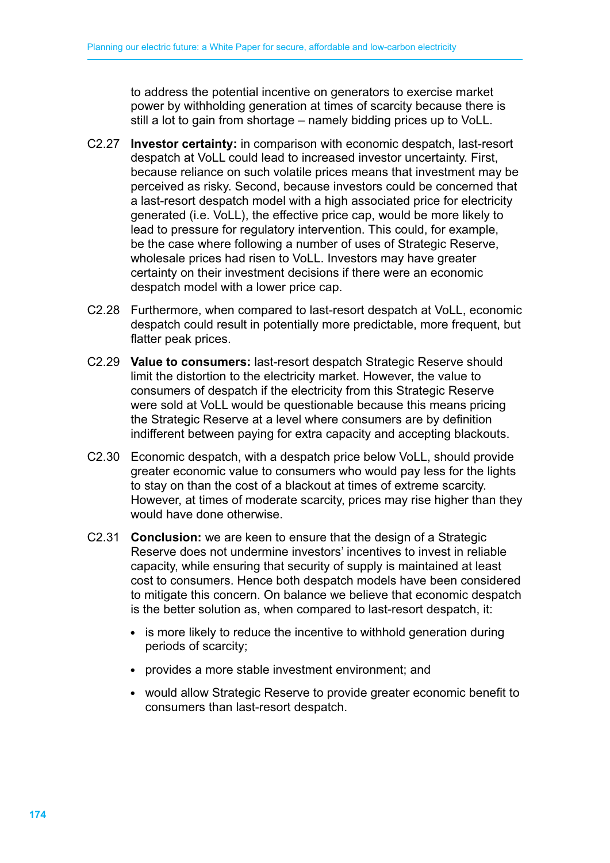to address the potential incentive on generators to exercise market power by withholding generation at times of scarcity because there is still a lot to gain from shortage – namely bidding prices up to VoLL.

- C2.27 **Investor certainty:** in comparison with economic despatch, last-resort despatch at VoLL could lead to increased investor uncertainty. First, because reliance on such volatile prices means that investment may be perceived as risky. Second, because investors could be concerned that a last-resort despatch model with a high associated price for electricity generated (i.e. VoLL), the effective price cap, would be more likely to lead to pressure for regulatory intervention. This could, for example, be the case where following a number of uses of Strategic Reserve, wholesale prices had risen to VoLL. Investors may have greater certainty on their investment decisions if there were an economic despatch model with a lower price cap.
- C2.28 Furthermore, when compared to last-resort despatch at VoLL, economic despatch could result in potentially more predictable, more frequent, but flatter peak prices.
- C2.29 **Value to consumers:** last-resort despatch Strategic Reserve should limit the distortion to the electricity market. However, the value to consumers of despatch if the electricity from this Strategic Reserve were sold at VoLL would be questionable because this means pricing the Strategic Reserve at a level where consumers are by definition indifferent between paying for extra capacity and accepting blackouts.
- C2.30 Economic despatch, with a despatch price below VoLL, should provide greater economic value to consumers who would pay less for the lights to stay on than the cost of a blackout at times of extreme scarcity. However, at times of moderate scarcity, prices may rise higher than they would have done otherwise.
- C2.31 **Conclusion:** we are keen to ensure that the design of a Strategic Reserve does not undermine investors' incentives to invest in reliable capacity, while ensuring that security of supply is maintained at least cost to consumers. Hence both despatch models have been considered to mitigate this concern. On balance we believe that economic despatch is the better solution as, when compared to last-resort despatch, it:
	- is more likely to reduce the incentive to withhold generation during periods of scarcity;
	- provides a more stable investment environment; and
	- would allow Strategic Reserve to provide greater economic benefit to consumers than last-resort despatch.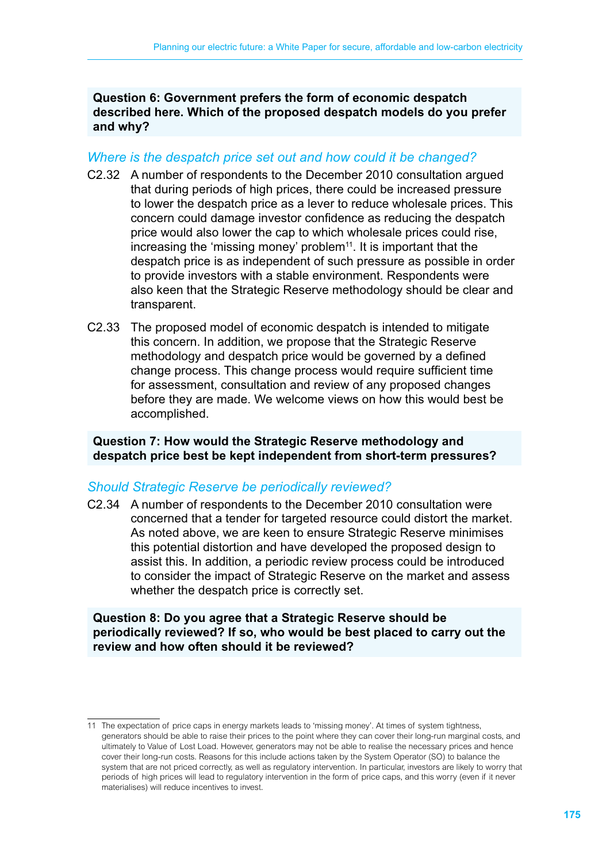**Question 6: Government prefers the form of economic despatch described here. Which of the proposed despatch models do you prefer and why?**

#### *Where is the despatch price set out and how could it be changed?*

- C2.32 A number of respondents to the December 2010 consultation argued that during periods of high prices, there could be increased pressure to lower the despatch price as a lever to reduce wholesale prices. This concern could damage investor confidence as reducing the despatch price would also lower the cap to which wholesale prices could rise, increasing the 'missing money' problem<sup>11</sup>. It is important that the despatch price is as independent of such pressure as possible in order to provide investors with a stable environment. Respondents were also keen that the Strategic Reserve methodology should be clear and transparent.
- C2.33 The proposed model of economic despatch is intended to mitigate this concern. In addition, we propose that the Strategic Reserve methodology and despatch price would be governed by a defined change process. This change process would require sufficient time for assessment, consultation and review of any proposed changes before they are made. We welcome views on how this would best be accomplished.

**Question 7: How would the Strategic Reserve methodology and despatch price best be kept independent from short-term pressures?**

#### *Should Strategic Reserve be periodically reviewed?*

C2.34 A number of respondents to the December 2010 consultation were concerned that a tender for targeted resource could distort the market. As noted above, we are keen to ensure Strategic Reserve minimises this potential distortion and have developed the proposed design to assist this. In addition, a periodic review process could be introduced to consider the impact of Strategic Reserve on the market and assess whether the despatch price is correctly set.

#### **Question 8: Do you agree that a Strategic Reserve should be periodically reviewed? If so, who would be best placed to carry out the review and how often should it be reviewed?**

<sup>11</sup> The expectation of price caps in energy markets leads to 'missing money'. At times of system tightness, generators should be able to raise their prices to the point where they can cover their long-run marginal costs, and ultimately to Value of Lost Load. However, generators may not be able to realise the necessary prices and hence cover their long-run costs. Reasons for this include actions taken by the System Operator (SO) to balance the system that are not priced correctly, as well as regulatory intervention. In particular, investors are likely to worry that periods of high prices will lead to regulatory intervention in the form of price caps, and this worry (even if it never materialises) will reduce incentives to invest.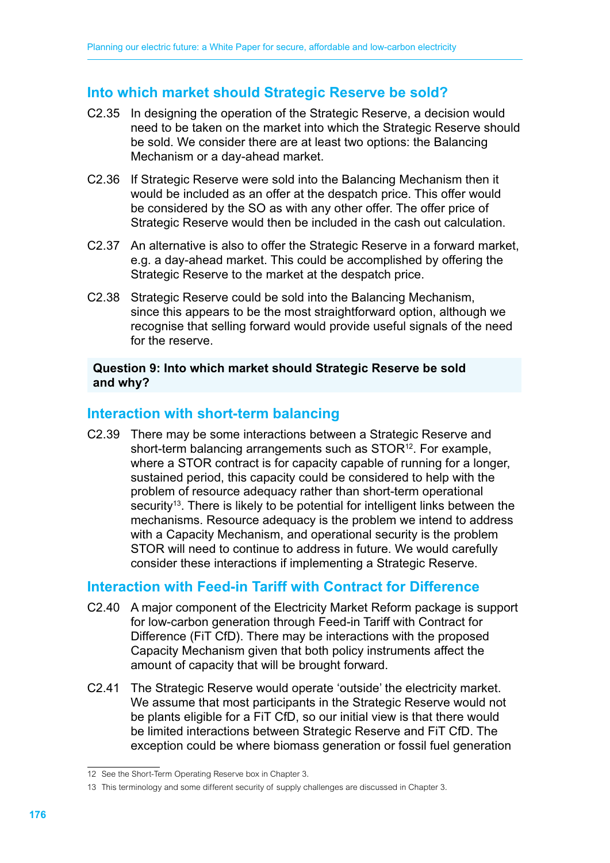# **Into which market should Strategic Reserve be sold?**

- C2.35 In designing the operation of the Strategic Reserve, a decision would need to be taken on the market into which the Strategic Reserve should be sold. We consider there are at least two options: the Balancing Mechanism or a day-ahead market.
- C2.36 If Strategic Reserve were sold into the Balancing Mechanism then it would be included as an offer at the despatch price. This offer would be considered by the SO as with any other offer. The offer price of Strategic Reserve would then be included in the cash out calculation.
- C2.37 An alternative is also to offer the Strategic Reserve in a forward market, e.g. a day-ahead market. This could be accomplished by offering the Strategic Reserve to the market at the despatch price.
- C2.38 Strategic Reserve could be sold into the Balancing Mechanism, since this appears to be the most straightforward option, although we recognise that selling forward would provide useful signals of the need for the reserve.

#### **Question 9: Into which market should Strategic Reserve be sold and why?**

# **Interaction with short-term balancing**

C2.39 There may be some interactions between a Strategic Reserve and short-term balancing arrangements such as STOR<sup>12</sup>. For example, where a STOR contract is for capacity capable of running for a longer, sustained period, this capacity could be considered to help with the problem of resource adequacy rather than short-term operational security<sup>13</sup>. There is likely to be potential for intelligent links between the mechanisms. Resource adequacy is the problem we intend to address with a Capacity Mechanism, and operational security is the problem STOR will need to continue to address in future. We would carefully consider these interactions if implementing a Strategic Reserve.

# **Interaction with Feed-in Tariff with Contract for Difference**

- C2.40 A major component of the Electricity Market Reform package is support for low-carbon generation through Feed-in Tariff with Contract for Difference (FiT CfD). There may be interactions with the proposed Capacity Mechanism given that both policy instruments affect the amount of capacity that will be brought forward.
- C2.41 The Strategic Reserve would operate 'outside' the electricity market. We assume that most participants in the Strategic Reserve would not be plants eligible for a FiT CfD, so our initial view is that there would be limited interactions between Strategic Reserve and FiT CfD. The exception could be where biomass generation or fossil fuel generation

<sup>12</sup> See the Short-Term Operating Reserve box in Chapter 3.

<sup>13</sup> This terminology and some different security of supply challenges are discussed in Chapter 3.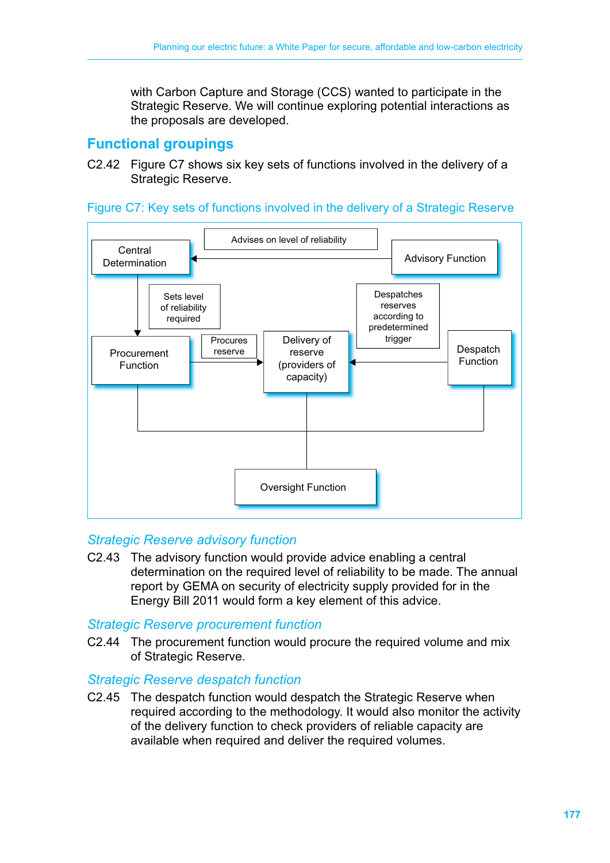with Carbon Capture and Storage (CCS) wanted to participate in the Strategic Reserve. We will continue exploring potential interactions as the proposals are developed.

# **Functional groupings**

C2.42 Figure C7 shows six key sets of functions involved in the delivery of a Strategic Reserve.





#### *Strategic Reserve advisory function*

C2.43 The advisory function would provide advice enabling a central determination on the required level of reliability to be made. The annual report by GEMA on security of electricity supply provided for in the Energy Bill 2011 would form a key element of this advice.

#### *Strategic Reserve procurement function*

C2.44 The procurement function would procure the required volume and mix of Strategic Reserve.

#### *Strategic Reserve despatch function*

C2.45 The despatch function would despatch the Strategic Reserve when required according to the methodology. It would also monitor the activity of the delivery function to check providers of reliable capacity are available when required and deliver the required volumes.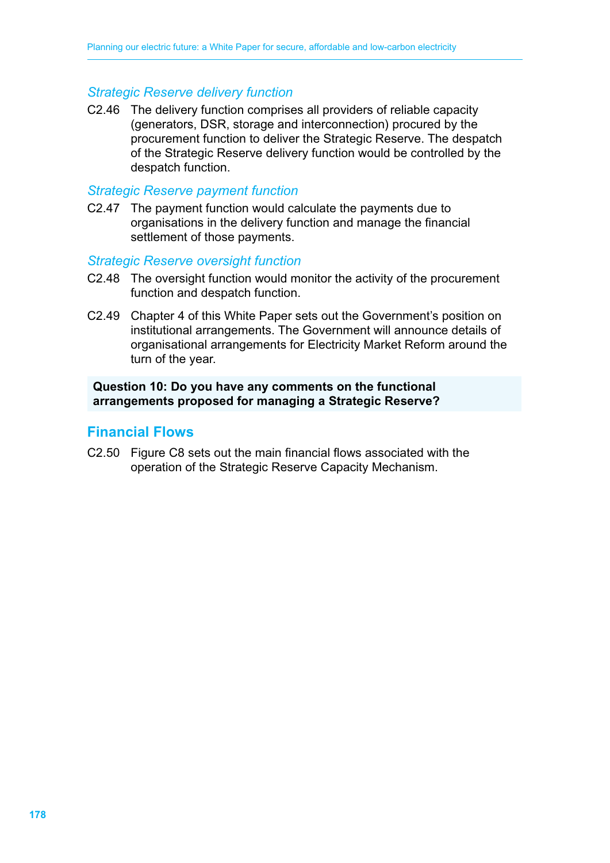#### *Strategic Reserve delivery function*

C2.46 The delivery function comprises all providers of reliable capacity (generators, DSR, storage and interconnection) procured by the procurement function to deliver the Strategic Reserve. The despatch of the Strategic Reserve delivery function would be controlled by the despatch function.

#### *Strategic Reserve payment function*

C2.47 The payment function would calculate the payments due to organisations in the delivery function and manage the financial settlement of those payments.

#### *Strategic Reserve oversight function*

- C2.48 The oversight function would monitor the activity of the procurement function and despatch function.
- C2.49 Chapter 4 of this White Paper sets out the Government's position on institutional arrangements. The Government will announce details of organisational arrangements for Electricity Market Reform around the turn of the year.

#### **Question 10: Do you have any comments on the functional arrangements proposed for managing a Strategic Reserve?**

#### **Financial Flows**

C2.50 Figure C8 sets out the main financial flows associated with the operation of the Strategic Reserve Capacity Mechanism.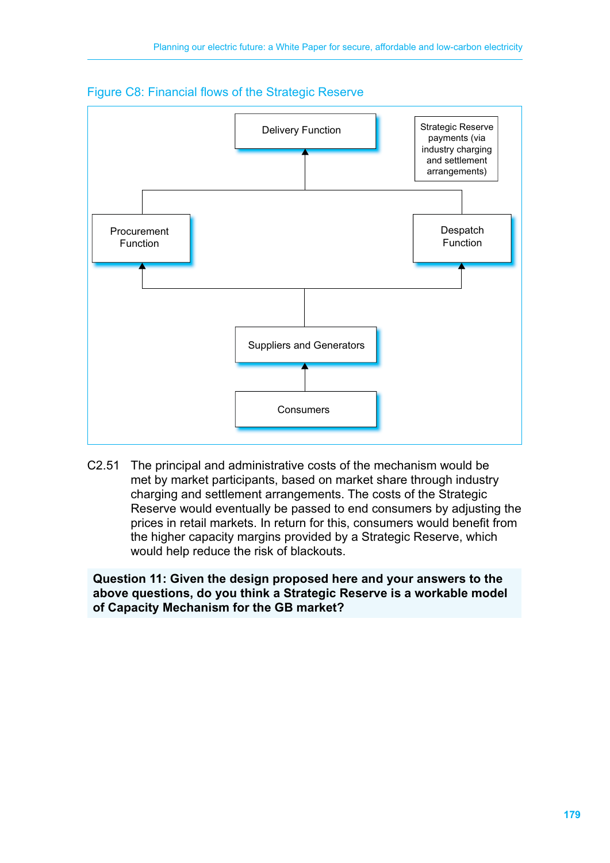

#### Figure C8: Financial flows of the Strategic Reserve

C2.51 The principal and administrative costs of the mechanism would be met by market participants, based on market share through industry charging and settlement arrangements. The costs of the Strategic Reserve would eventually be passed to end consumers by adjusting the prices in retail markets. In return for this, consumers would benefit from the higher capacity margins provided by a Strategic Reserve, which would help reduce the risk of blackouts.

**Question 11: Given the design proposed here and your answers to the above questions, do you think a Strategic Reserve is a workable model of Capacity Mechanism for the GB market?**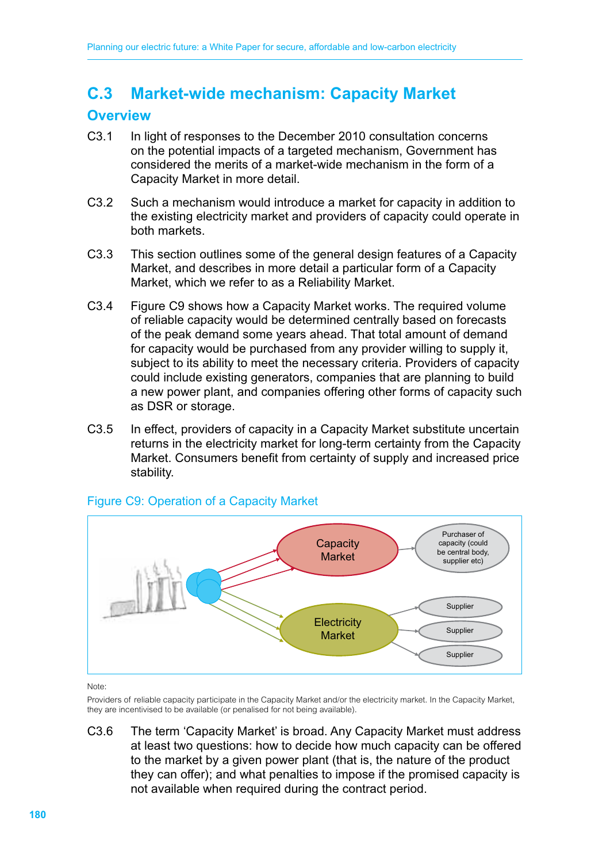# **C.3 Market-wide mechanism: Capacity Market**

# **Overview**

- C3.1 In light of responses to the December 2010 consultation concerns on the potential impacts of a targeted mechanism, Government has considered the merits of a market-wide mechanism in the form of a Capacity Market in more detail.
- C3.2 Such a mechanism would introduce a market for capacity in addition to the existing electricity market and providers of capacity could operate in both markets.
- C3.3 This section outlines some of the general design features of a Capacity Market, and describes in more detail a particular form of a Capacity Market, which we refer to as a Reliability Market.
- C3.4 Figure C9 shows how a Capacity Market works. The required volume of reliable capacity would be determined centrally based on forecasts of the peak demand some years ahead. That total amount of demand for capacity would be purchased from any provider willing to supply it, subject to its ability to meet the necessary criteria. Providers of capacity could include existing generators, companies that are planning to build a new power plant, and companies offering other forms of capacity such as DSR or storage.
- C3.5 In effect, providers of capacity in a Capacity Market substitute uncertain returns in the electricity market for long-term certainty from the Capacity Market. Consumers benefit from certainty of supply and increased price stability.



#### Figure C9: Operation of a Capacity Market

Note:

Providers of reliable capacity participate in the Capacity Market and/or the electricity market. In the Capacity Market, they are incentivised to be available (or penalised for not being available).

C3.6 The term 'Capacity Market' is broad. Any Capacity Market must address at least two questions: how to decide how much capacity can be offered to the market by a given power plant (that is, the nature of the product they can offer); and what penalties to impose if the promised capacity is not available when required during the contract period.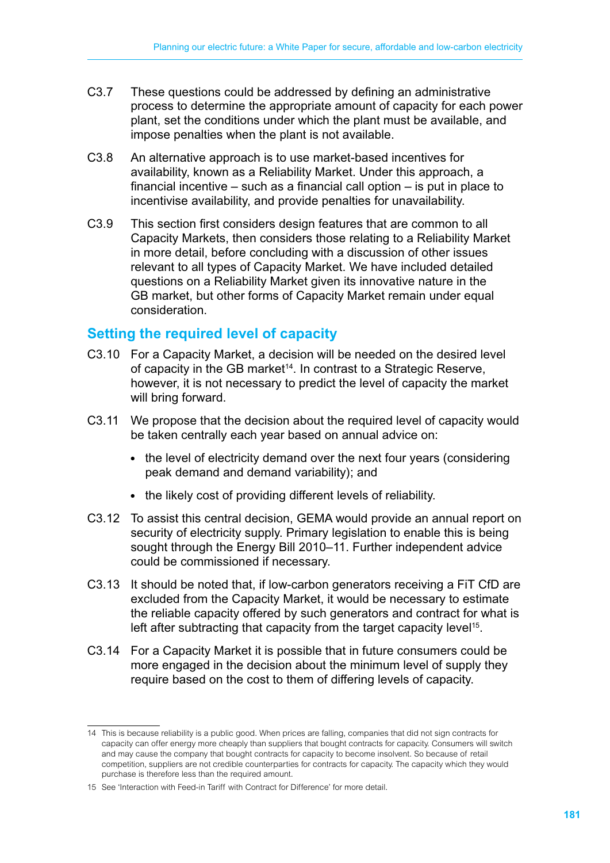- C3.7 These questions could be addressed by defining an administrative process to determine the appropriate amount of capacity for each power plant, set the conditions under which the plant must be available, and impose penalties when the plant is not available.
- C3.8 An alternative approach is to use market-based incentives for availability, known as a Reliability Market. Under this approach, a financial incentive – such as a financial call option – is put in place to incentivise availability, and provide penalties for unavailability.
- C3.9 This section first considers design features that are common to all Capacity Markets, then considers those relating to a Reliability Market in more detail, before concluding with a discussion of other issues relevant to all types of Capacity Market. We have included detailed questions on a Reliability Market given its innovative nature in the GB market, but other forms of Capacity Market remain under equal consideration.

# **Setting the required level of capacity**

- C3.10 For a Capacity Market, a decision will be needed on the desired level of capacity in the GB market<sup>14</sup>. In contrast to a Strategic Reserve, however, it is not necessary to predict the level of capacity the market will bring forward.
- C3.11 We propose that the decision about the required level of capacity would be taken centrally each year based on annual advice on:
	- the level of electricity demand over the next four years (considering peak demand and demand variability); and
	- the likely cost of providing different levels of reliability.
- C3.12 To assist this central decision, GEMA would provide an annual report on security of electricity supply. Primary legislation to enable this is being sought through the Energy Bill 2010–11. Further independent advice could be commissioned if necessary.
- C3.13 It should be noted that, if low-carbon generators receiving a FiT CfD are excluded from the Capacity Market, it would be necessary to estimate the reliable capacity offered by such generators and contract for what is left after subtracting that capacity from the target capacity level<sup>15</sup>.
- C3.14 For a Capacity Market it is possible that in future consumers could be more engaged in the decision about the minimum level of supply they require based on the cost to them of differing levels of capacity.

<sup>14</sup> This is because reliability is a public good. When prices are falling, companies that did not sign contracts for capacity can offer energy more cheaply than suppliers that bought contracts for capacity. Consumers will switch and may cause the company that bought contracts for capacity to become insolvent. So because of retail competition, suppliers are not credible counterparties for contracts for capacity. The capacity which they would purchase is therefore less than the required amount.

<sup>15</sup> See 'Interaction with Feed-in Tariff with Contract for Difference' for more detail.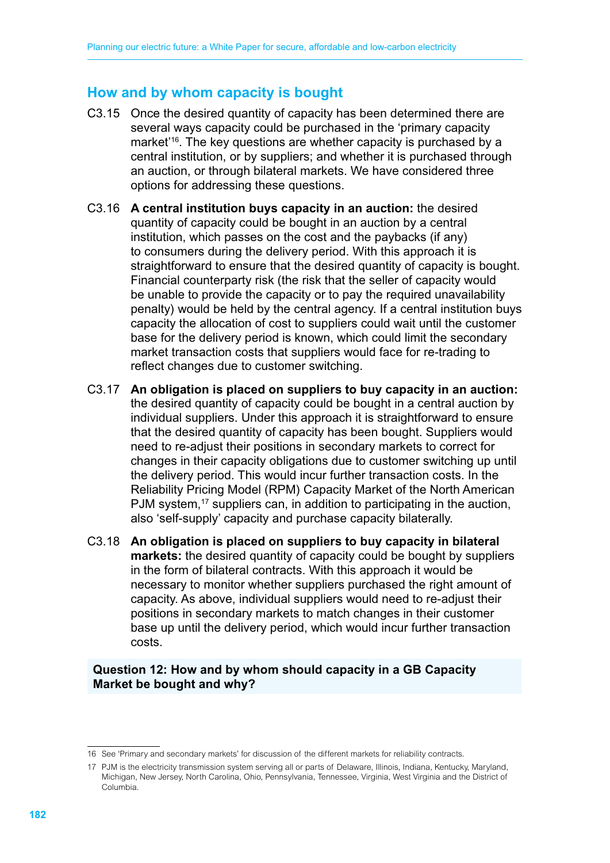# **How and by whom capacity is bought**

- C3.15 Once the desired quantity of capacity has been determined there are several ways capacity could be purchased in the 'primary capacity market<sup>'16</sup>. The key questions are whether capacity is purchased by a central institution, or by suppliers; and whether it is purchased through an auction, or through bilateral markets. We have considered three options for addressing these questions.
- C3.16 **A central institution buys capacity in an auction:** the desired quantity of capacity could be bought in an auction by a central institution, which passes on the cost and the paybacks (if any) to consumers during the delivery period. With this approach it is straightforward to ensure that the desired quantity of capacity is bought. Financial counterparty risk (the risk that the seller of capacity would be unable to provide the capacity or to pay the required unavailability penalty) would be held by the central agency. If a central institution buys capacity the allocation of cost to suppliers could wait until the customer base for the delivery period is known, which could limit the secondary market transaction costs that suppliers would face for re-trading to reflect changes due to customer switching.
- C3.17 **An obligation is placed on suppliers to buy capacity in an auction:**  the desired quantity of capacity could be bought in a central auction by individual suppliers. Under this approach it is straightforward to ensure that the desired quantity of capacity has been bought. Suppliers would need to re-adjust their positions in secondary markets to correct for changes in their capacity obligations due to customer switching up until the delivery period. This would incur further transaction costs. In the Reliability Pricing Model (RPM) Capacity Market of the North American PJM system,<sup>17</sup> suppliers can, in addition to participating in the auction, also 'self-supply' capacity and purchase capacity bilaterally.
- C3.18 **An obligation is placed on suppliers to buy capacity in bilateral markets:** the desired quantity of capacity could be bought by suppliers in the form of bilateral contracts. With this approach it would be necessary to monitor whether suppliers purchased the right amount of capacity. As above, individual suppliers would need to re-adjust their positions in secondary markets to match changes in their customer base up until the delivery period, which would incur further transaction costs.

#### **Question 12: How and by whom should capacity in a GB Capacity Market be bought and why?**

<sup>16</sup> See 'Primary and secondary markets' for discussion of the different markets for reliability contracts.

<sup>17</sup> PJM is the electricity transmission system serving all or parts of Delaware, Illinois, Indiana, Kentucky, Maryland, Michigan, New Jersey, North Carolina, Ohio, Pennsylvania, Tennessee, Virginia, West Virginia and the District of Columbia.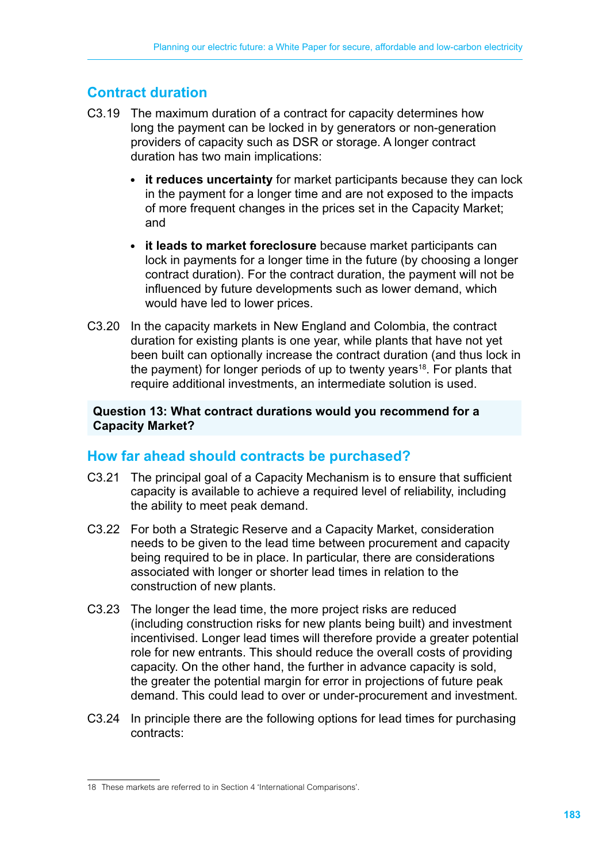# **Contract duration**

- C3.19 The maximum duration of a contract for capacity determines how long the payment can be locked in by generators or non-generation providers of capacity such as DSR or storage. A longer contract duration has two main implications:
	- **it reduces uncertainty** for market participants because they can lock in the payment for a longer time and are not exposed to the impacts of more frequent changes in the prices set in the Capacity Market; and
	- **it leads to market foreclosure** because market participants can lock in payments for a longer time in the future (by choosing a longer contract duration). For the contract duration, the payment will not be influenced by future developments such as lower demand, which would have led to lower prices.
- C3.20 In the capacity markets in New England and Colombia, the contract duration for existing plants is one year, while plants that have not yet been built can optionally increase the contract duration (and thus lock in the payment) for longer periods of up to twenty years<sup>18</sup>. For plants that require additional investments, an intermediate solution is used.

#### **Question 13: What contract durations would you recommend for a Capacity Market?**

# **How far ahead should contracts be purchased?**

- C3.21 The principal goal of a Capacity Mechanism is to ensure that sufficient capacity is available to achieve a required level of reliability, including the ability to meet peak demand.
- C3.22 For both a Strategic Reserve and a Capacity Market, consideration needs to be given to the lead time between procurement and capacity being required to be in place. In particular, there are considerations associated with longer or shorter lead times in relation to the construction of new plants.
- C3.23 The longer the lead time, the more project risks are reduced (including construction risks for new plants being built) and investment incentivised. Longer lead times will therefore provide a greater potential role for new entrants. This should reduce the overall costs of providing capacity. On the other hand, the further in advance capacity is sold, the greater the potential margin for error in projections of future peak demand. This could lead to over or under-procurement and investment.
- C3.24 In principle there are the following options for lead times for purchasing contracts:

<sup>18</sup> These markets are referred to in Section 4 'International Comparisons'.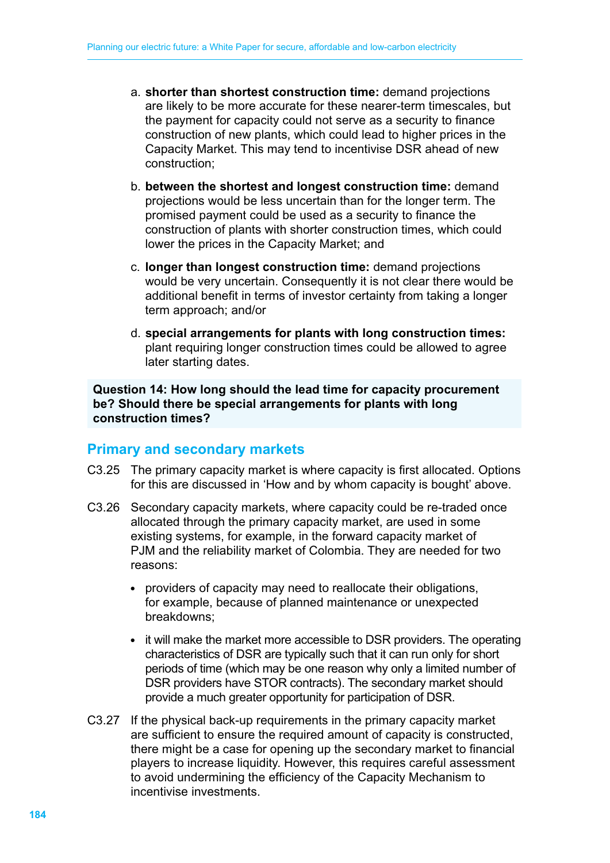- a. **shorter than shortest construction time:** demand projections are likely to be more accurate for these nearer-term timescales, but the payment for capacity could not serve as a security to finance construction of new plants, which could lead to higher prices in the Capacity Market. This may tend to incentivise DSR ahead of new construction;
- b. **between the shortest and longest construction time:** demand projections would be less uncertain than for the longer term. The promised payment could be used as a security to finance the construction of plants with shorter construction times, which could lower the prices in the Capacity Market; and
- c. **longer than longest construction time:** demand projections would be very uncertain. Consequently it is not clear there would be additional benefit in terms of investor certainty from taking a longer term approach; and/or
- d. **special arrangements for plants with long construction times:**  plant requiring longer construction times could be allowed to agree later starting dates.

**Question 14: How long should the lead time for capacity procurement be? Should there be special arrangements for plants with long construction times?**

# **Primary and secondary markets**

- C3.25 The primary capacity market is where capacity is first allocated. Options for this are discussed in 'How and by whom capacity is bought' above.
- C3.26 Secondary capacity markets, where capacity could be re-traded once allocated through the primary capacity market, are used in some existing systems, for example, in the forward capacity market of PJM and the reliability market of Colombia. They are needed for two reasons:
	- providers of capacity may need to reallocate their obligations, for example, because of planned maintenance or unexpected breakdowns;
	- it will make the market more accessible to DSR providers. The operating characteristics of DSR are typically such that it can run only for short periods of time (which may be one reason why only a limited number of DSR providers have STOR contracts). The secondary market should provide a much greater opportunity for participation of DSR.
- C3.27 If the physical back-up requirements in the primary capacity market are sufficient to ensure the required amount of capacity is constructed, there might be a case for opening up the secondary market to financial players to increase liquidity. However, this requires careful assessment to avoid undermining the efficiency of the Capacity Mechanism to incentivise investments.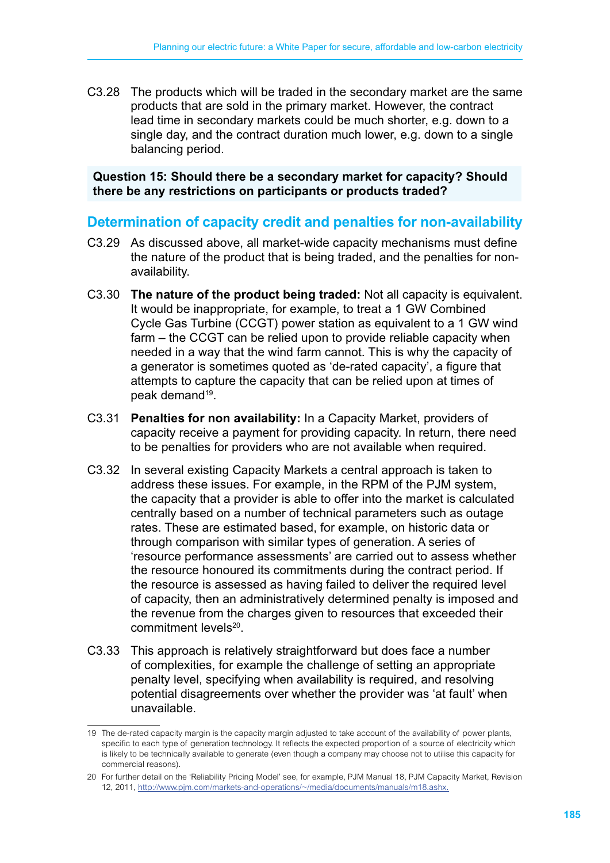C3.28 The products which will be traded in the secondary market are the same products that are sold in the primary market. However, the contract lead time in secondary markets could be much shorter, e.g. down to a single day, and the contract duration much lower, e.g. down to a single balancing period.

#### **Question 15: Should there be a secondary market for capacity? Should there be any restrictions on participants or products traded?**

# **Determination of capacity credit and penalties for non-availability**

- C3.29 As discussed above, all market-wide capacity mechanisms must define the nature of the product that is being traded, and the penalties for nonavailability.
- C3.30 **The nature of the product being traded:** Not all capacity is equivalent. It would be inappropriate, for example, to treat a 1 GW Combined Cycle Gas Turbine (CCGT) power station as equivalent to a 1 GW wind farm – the CCGT can be relied upon to provide reliable capacity when needed in a way that the wind farm cannot. This is why the capacity of a generator is sometimes quoted as 'de-rated capacity', a figure that attempts to capture the capacity that can be relied upon at times of peak demand<sup>19</sup>.
- C3.31 **Penalties for non availability:** In a Capacity Market, providers of capacity receive a payment for providing capacity. In return, there need to be penalties for providers who are not available when required.
- C3.32 In several existing Capacity Markets a central approach is taken to address these issues. For example, in the RPM of the PJM system, the capacity that a provider is able to offer into the market is calculated centrally based on a number of technical parameters such as outage rates. These are estimated based, for example, on historic data or through comparison with similar types of generation. A series of 'resource performance assessments' are carried out to assess whether the resource honoured its commitments during the contract period. If the resource is assessed as having failed to deliver the required level of capacity, then an administratively determined penalty is imposed and the revenue from the charges given to resources that exceeded their commitment levels<sup>20</sup>.
- C3.33 This approach is relatively straightforward but does face a number of complexities, for example the challenge of setting an appropriate penalty level, specifying when availability is required, and resolving potential disagreements over whether the provider was 'at fault' when unavailable.

<sup>19</sup> The de-rated capacity margin is the capacity margin adjusted to take account of the availability of power plants, specific to each type of generation technology. It reflects the expected proportion of a source of electricity which is likely to be technically available to generate (even though a company may choose not to utilise this capacity for commercial reasons).

<sup>20</sup> For further detail on the 'Reliability Pricing Model' see, for example, PJM Manual 18, PJM Capacity Market, Revision 12, 2011, http://www.pjm.com/markets-and-operations/~/media/documents/manuals/m18.ashx.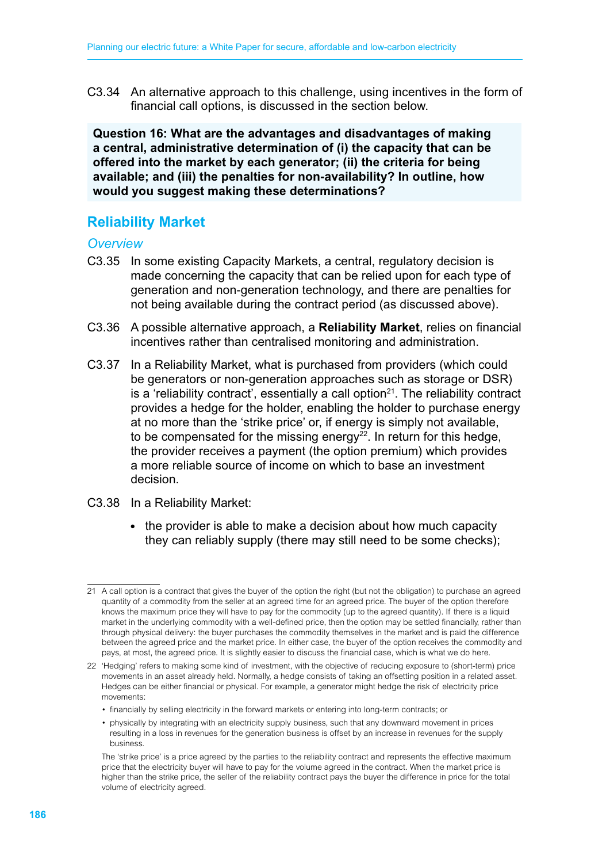C3.34 An alternative approach to this challenge, using incentives in the form of financial call options, is discussed in the section below.

**Question 16: What are the advantages and disadvantages of making a central, administrative determination of (i) the capacity that can be offered into the market by each generator; (ii) the criteria for being available; and (iii) the penalties for non-availability? In outline, how would you suggest making these determinations?**

# **Reliability Market**

#### *Overview*

- C3.35 In some existing Capacity Markets, a central, regulatory decision is made concerning the capacity that can be relied upon for each type of generation and non-generation technology, and there are penalties for not being available during the contract period (as discussed above).
- C3.36 A possible alternative approach, a **Reliability Market**, relies on financial incentives rather than centralised monitoring and administration.
- C3.37 In a Reliability Market, what is purchased from providers (which could be generators or non-generation approaches such as storage or DSR) is a 'reliability contract', essentially a call option $21$ . The reliability contract provides a hedge for the holder, enabling the holder to purchase energy at no more than the 'strike price' or, if energy is simply not available, to be compensated for the missing energy $^{22}$ . In return for this hedge, the provider receives a payment (the option premium) which provides a more reliable source of income on which to base an investment decision.
- C3.38 In a Reliability Market:
	- the provider is able to make a decision about how much capacity they can reliably supply (there may still need to be some checks);

 • financially by selling electricity in the forward markets or entering into long-term contracts; or

<sup>21</sup> A call option is a contract that gives the buyer of the option the right (but not the obligation) to purchase an agreed quantity of a commodity from the seller at an agreed time for an agreed price. The buyer of the option therefore knows the maximum price they will have to pay for the commodity (up to the agreed quantity). If there is a liquid market in the underlying commodity with a well-defined price, then the option may be settled financially, rather than through physical delivery: the buyer purchases the commodity themselves in the market and is paid the difference between the agreed price and the market price. In either case, the buyer of the option receives the commodity and pays, at most, the agreed price. It is slightly easier to discuss the financial case, which is what we do here.

<sup>22</sup> 'Hedging' refers to making some kind of investment, with the objective of reducing exposure to (short-term) price movements in an asset already held. Normally, a hedge consists of taking an offsetting position in a related asset. Hedges can be either financial or physical. For example, a generator might hedge the risk of electricity price movements:

 <sup>•</sup> physically by integrating with an electricity supply business, such that any downward movement in prices resulting in a loss in revenues for the generation business is offset by an increase in revenues for the supply business.

The 'strike price' is a price agreed by the parties to the reliability contract and represents the effective maximum price that the electricity buyer will have to pay for the volume agreed in the contract. When the market price is higher than the strike price, the seller of the reliability contract pays the buyer the difference in price for the total volume of electricity agreed.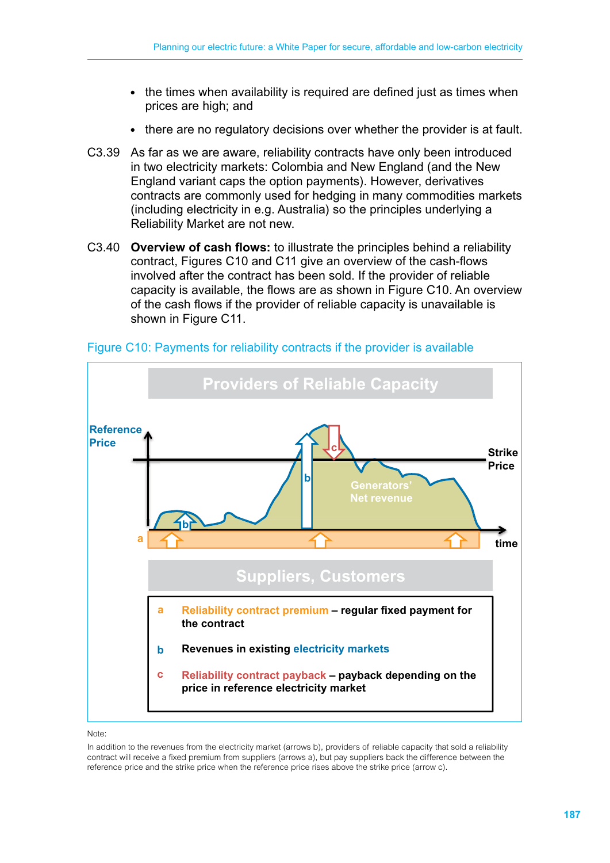- the times when availability is required are defined just as times when prices are high; and
- there are no regulatory decisions over whether the provider is at fault.
- C3.39 As far as we are aware, reliability contracts have only been introduced in two electricity markets: Colombia and New England (and the New England variant caps the option payments). However, derivatives contracts are commonly used for hedging in many commodities markets (including electricity in e.g. Australia) so the principles underlying a Reliability Market are not new.
- C3.40 **Overview of cash flows:** to illustrate the principles behind a reliability contract, Figures C10 and C11 give an overview of the cash-flows involved after the contract has been sold. If the provider of reliable capacity is available, the flows are as shown in Figure C10. An overview of the cash flows if the provider of reliable capacity is unavailable is shown in Figure C11.



Figure C10: Payments for reliability contracts if the provider is available

#### Note:

In addition to the revenues from the electricity market (arrows b), providers of reliable capacity that sold a reliability contract will receive a fixed premium from suppliers (arrows a), but pay suppliers back the difference between the reference price and the strike price when the reference price rises above the strike price (arrow c).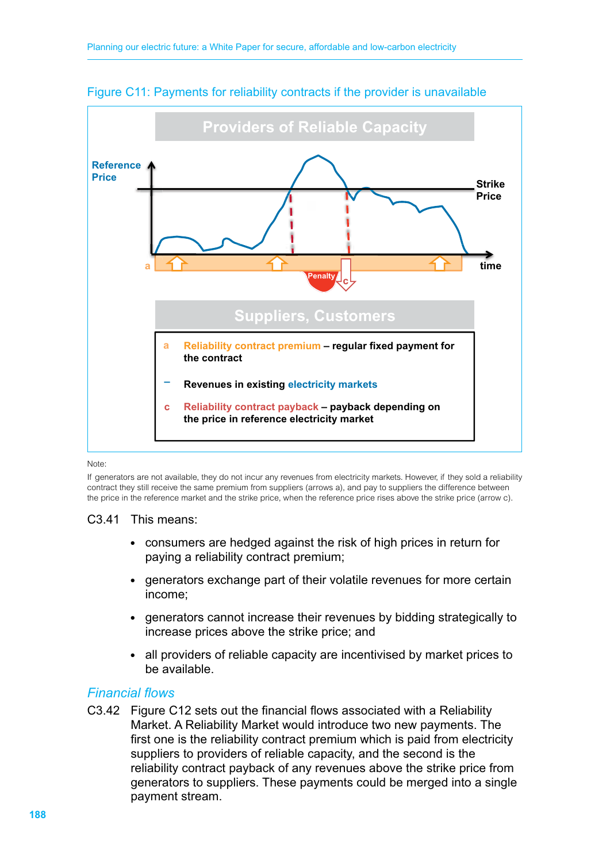

#### Figure C11: Payments for reliability contracts if the provider is unavailable

#### Note:

If generators are not available, they do not incur any revenues from electricity markets. However, if they sold a reliability contract they still receive the same premium from suppliers (arrows a), and pay to suppliers the difference between the price in the reference market and the strike price, when the reference price rises above the strike price (arrow c).

#### C3.41 This means:

- consumers are hedged against the risk of high prices in return for paying a reliability contract premium;
- generators exchange part of their volatile revenues for more certain income;
- generators cannot increase their revenues by bidding strategically to increase prices above the strike price; and
- all providers of reliable capacity are incentivised by market prices to be available.

#### *Financial flows*

C3.42 Figure C12 sets out the financial flows associated with a Reliability Market. A Reliability Market would introduce two new payments. The first one is the reliability contract premium which is paid from electricity suppliers to providers of reliable capacity, and the second is the reliability contract payback of any revenues above the strike price from generators to suppliers. These payments could be merged into a single payment stream.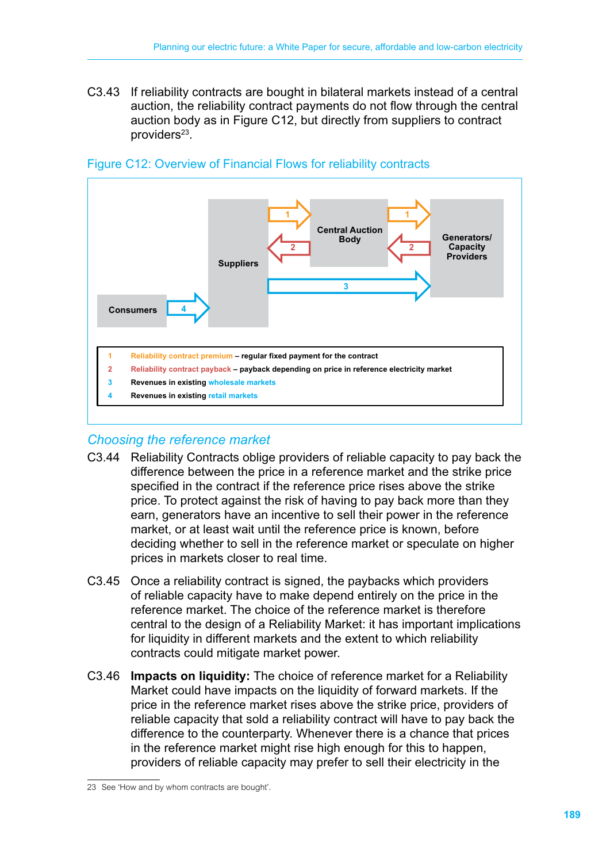C3.43 If reliability contracts are bought in bilateral markets instead of a central auction, the reliability contract payments do not flow through the central auction body as in Figure C12, but directly from suppliers to contract providers<sup>23</sup>.



#### Figure C12: Overview of Financial Flows for reliability contracts

# *Choosing the reference market*

- C3.44 Reliability Contracts oblige providers of reliable capacity to pay back the difference between the price in a reference market and the strike price specified in the contract if the reference price rises above the strike price. To protect against the risk of having to pay back more than they earn, generators have an incentive to sell their power in the reference market, or at least wait until the reference price is known, before deciding whether to sell in the reference market or speculate on higher prices in markets closer to real time.
- C3.45 Once a reliability contract is signed, the paybacks which providers of reliable capacity have to make depend entirely on the price in the reference market. The choice of the reference market is therefore central to the design of a Reliability Market: it has important implications for liquidity in different markets and the extent to which reliability contracts could mitigate market power.
- C3.46 **Impacts on liquidity:** The choice of reference market for a Reliability Market could have impacts on the liquidity of forward markets. If the price in the reference market rises above the strike price, providers of reliable capacity that sold a reliability contract will have to pay back the difference to the counterparty. Whenever there is a chance that prices in the reference market might rise high enough for this to happen, providers of reliable capacity may prefer to sell their electricity in the

<sup>23</sup> See 'How and by whom contracts are bought'.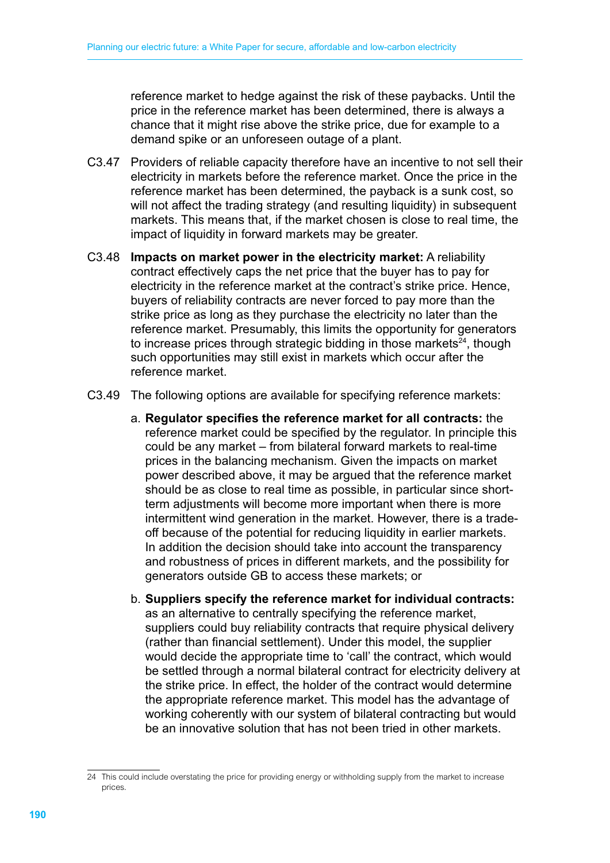reference market to hedge against the risk of these paybacks. Until the price in the reference market has been determined, there is always a chance that it might rise above the strike price, due for example to a demand spike or an unforeseen outage of a plant.

- C3.47 Providers of reliable capacity therefore have an incentive to not sell their electricity in markets before the reference market. Once the price in the reference market has been determined, the payback is a sunk cost, so will not affect the trading strategy (and resulting liquidity) in subsequent markets. This means that, if the market chosen is close to real time, the impact of liquidity in forward markets may be greater.
- C3.48 **Impacts on market power in the electricity market:** A reliability contract effectively caps the net price that the buyer has to pay for electricity in the reference market at the contract's strike price. Hence, buyers of reliability contracts are never forced to pay more than the strike price as long as they purchase the electricity no later than the reference market. Presumably, this limits the opportunity for generators to increase prices through strategic bidding in those markets $24$ , though such opportunities may still exist in markets which occur after the reference market.
- C3.49 The following options are available for specifying reference markets:
	- a. **Regulator specifies the reference market for all contracts:** the reference market could be specified by the regulator. In principle this could be any market – from bilateral forward markets to real-time prices in the balancing mechanism. Given the impacts on market power described above, it may be argued that the reference market should be as close to real time as possible, in particular since shortterm adjustments will become more important when there is more intermittent wind generation in the market. However, there is a tradeoff because of the potential for reducing liquidity in earlier markets. In addition the decision should take into account the transparency and robustness of prices in different markets, and the possibility for generators outside GB to access these markets; or
	- b. **Suppliers specify the reference market for individual contracts:** as an alternative to centrally specifying the reference market, suppliers could buy reliability contracts that require physical delivery (rather than financial settlement). Under this model, the supplier would decide the appropriate time to 'call' the contract, which would be settled through a normal bilateral contract for electricity delivery at the strike price. In effect, the holder of the contract would determine the appropriate reference market. This model has the advantage of working coherently with our system of bilateral contracting but would be an innovative solution that has not been tried in other markets.

<sup>24</sup> This could include overstating the price for providing energy or withholding supply from the market to increase prices.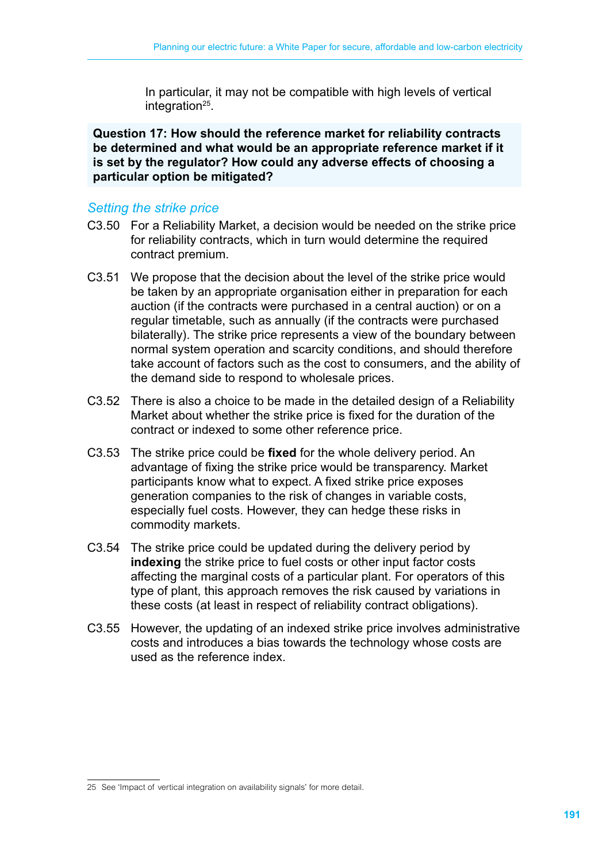In particular, it may not be compatible with high levels of vertical integration<sup>25</sup>.

**Question 17: How should the reference market for reliability contracts be determined and what would be an appropriate reference market if it is set by the regulator? How could any adverse effects of choosing a particular option be mitigated?**

### *Setting the strike price*

- C3.50 For a Reliability Market, a decision would be needed on the strike price for reliability contracts, which in turn would determine the required contract premium.
- C3.51 We propose that the decision about the level of the strike price would be taken by an appropriate organisation either in preparation for each auction (if the contracts were purchased in a central auction) or on a regular timetable, such as annually (if the contracts were purchased bilaterally). The strike price represents a view of the boundary between normal system operation and scarcity conditions, and should therefore take account of factors such as the cost to consumers, and the ability of the demand side to respond to wholesale prices.
- C3.52 There is also a choice to be made in the detailed design of a Reliability Market about whether the strike price is fixed for the duration of the contract or indexed to some other reference price.
- C3.53 The strike price could be **fixed** for the whole delivery period. An advantage of fixing the strike price would be transparency. Market participants know what to expect. A fixed strike price exposes generation companies to the risk of changes in variable costs, especially fuel costs. However, they can hedge these risks in commodity markets.
- C3.54 The strike price could be updated during the delivery period by **indexing** the strike price to fuel costs or other input factor costs affecting the marginal costs of a particular plant. For operators of this type of plant, this approach removes the risk caused by variations in these costs (at least in respect of reliability contract obligations).
- C3.55 However, the updating of an indexed strike price involves administrative costs and introduces a bias towards the technology whose costs are used as the reference index.

<sup>25</sup> See 'Impact of vertical integration on availability signals' for more detail.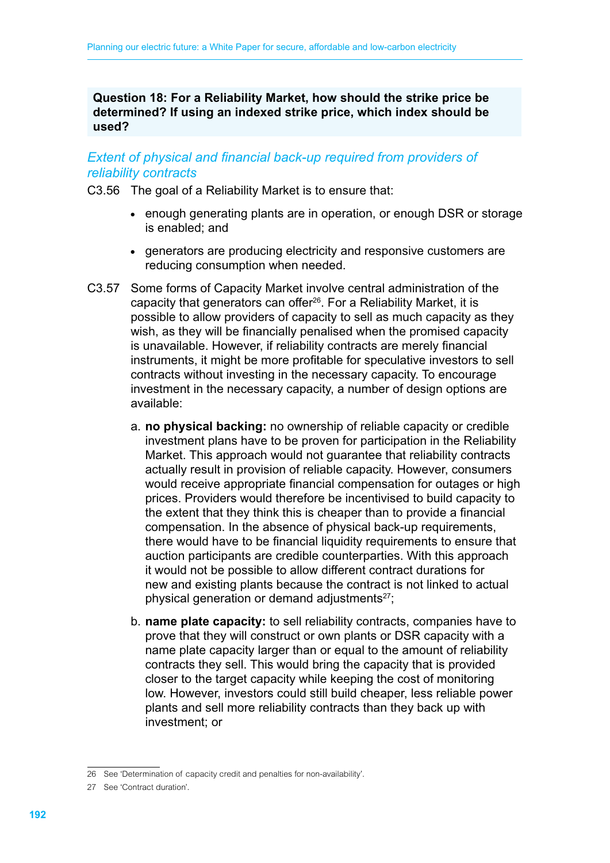**Question 18: For a Reliability Market, how should the strike price be determined? If using an indexed strike price, which index should be used?**

#### *Extent of physical and financial back-up required from providers of reliability contracts*

C3.56 The goal of a Reliability Market is to ensure that:

- enough generating plants are in operation, or enough DSR or storage is enabled; and
- generators are producing electricity and responsive customers are reducing consumption when needed.
- C3.57 Some forms of Capacity Market involve central administration of the capacity that generators can offer<sup>26</sup>. For a Reliability Market, it is possible to allow providers of capacity to sell as much capacity as they wish, as they will be financially penalised when the promised capacity is unavailable. However, if reliability contracts are merely financial instruments, it might be more profitable for speculative investors to sell contracts without investing in the necessary capacity. To encourage investment in the necessary capacity, a number of design options are available:
	- a. **no physical backing:** no ownership of reliable capacity or credible investment plans have to be proven for participation in the Reliability Market. This approach would not guarantee that reliability contracts actually result in provision of reliable capacity. However, consumers would receive appropriate financial compensation for outages or high prices. Providers would therefore be incentivised to build capacity to the extent that they think this is cheaper than to provide a financial compensation. In the absence of physical back-up requirements, there would have to be financial liquidity requirements to ensure that auction participants are credible counterparties. With this approach it would not be possible to allow different contract durations for new and existing plants because the contract is not linked to actual physical generation or demand adjustments $27$ ;
	- b. **name plate capacity:** to sell reliability contracts, companies have to prove that they will construct or own plants or DSR capacity with a name plate capacity larger than or equal to the amount of reliability contracts they sell. This would bring the capacity that is provided closer to the target capacity while keeping the cost of monitoring low. However, investors could still build cheaper, less reliable power plants and sell more reliability contracts than they back up with investment; or

<sup>26</sup> See 'Determination of capacity credit and penalties for non-availability'.

<sup>27</sup> See 'Contract duration'.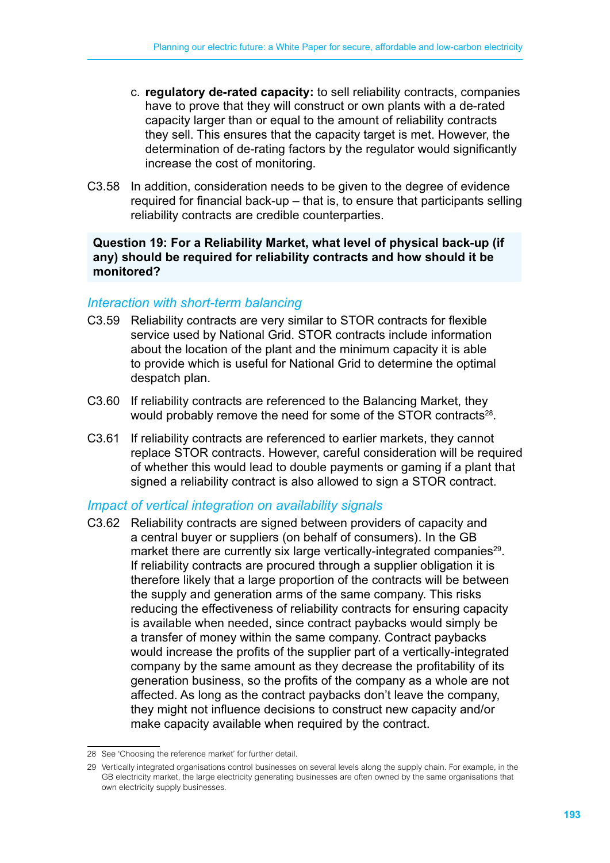- c. **regulatory de-rated capacity:** to sell reliability contracts, companies have to prove that they will construct or own plants with a de-rated capacity larger than or equal to the amount of reliability contracts they sell. This ensures that the capacity target is met. However, the determination of de-rating factors by the regulator would significantly increase the cost of monitoring.
- C3.58 In addition, consideration needs to be given to the degree of evidence required for financial back-up – that is, to ensure that participants selling reliability contracts are credible counterparties.

#### **Question 19: For a Reliability Market, what level of physical back-up (if any) should be required for reliability contracts and how should it be monitored?**

#### *Interaction with short-term balancing*

- C3.59 Reliability contracts are very similar to STOR contracts for flexible service used by National Grid. STOR contracts include information about the location of the plant and the minimum capacity it is able to provide which is useful for National Grid to determine the optimal despatch plan.
- C3.60 If reliability contracts are referenced to the Balancing Market, they would probably remove the need for some of the STOR contracts<sup>28</sup>.
- C3.61 If reliability contracts are referenced to earlier markets, they cannot replace STOR contracts. However, careful consideration will be required of whether this would lead to double payments or gaming if a plant that signed a reliability contract is also allowed to sign a STOR contract.

#### *Impact of vertical integration on availability signals*

C3.62 Reliability contracts are signed between providers of capacity and a central buyer or suppliers (on behalf of consumers). In the GB market there are currently six large vertically-integrated companies<sup>29</sup>. If reliability contracts are procured through a supplier obligation it is therefore likely that a large proportion of the contracts will be between the supply and generation arms of the same company. This risks reducing the effectiveness of reliability contracts for ensuring capacity is available when needed, since contract paybacks would simply be a transfer of money within the same company. Contract paybacks would increase the profits of the supplier part of a vertically-integrated company by the same amount as they decrease the profitability of its generation business, so the profits of the company as a whole are not affected. As long as the contract paybacks don't leave the company, they might not influence decisions to construct new capacity and/or make capacity available when required by the contract.

<sup>28</sup> See 'Choosing the reference market' for further detail.

<sup>29</sup> Vertically integrated organisations control businesses on several levels along the supply chain. For example, in the GB electricity market, the large electricity generating businesses are often owned by the same organisations that own electricity supply businesses.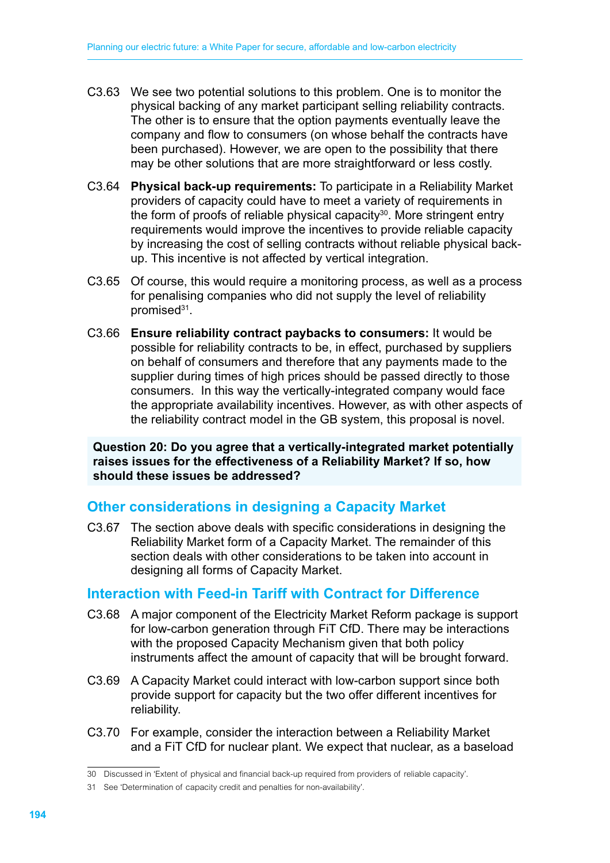- C3.63 We see two potential solutions to this problem. One is to monitor the physical backing of any market participant selling reliability contracts. The other is to ensure that the option payments eventually leave the company and flow to consumers (on whose behalf the contracts have been purchased). However, we are open to the possibility that there may be other solutions that are more straightforward or less costly.
- C3.64 **Physical back-up requirements:** To participate in a Reliability Market providers of capacity could have to meet a variety of requirements in the form of proofs of reliable physical capacity<sup>30</sup>. More stringent entry requirements would improve the incentives to provide reliable capacity by increasing the cost of selling contracts without reliable physical backup. This incentive is not affected by vertical integration.
- C3.65 Of course, this would require a monitoring process, as well as a process for penalising companies who did not supply the level of reliability promised<sup>31</sup>.
- C3.66 **Ensure reliability contract paybacks to consumers:** It would be possible for reliability contracts to be, in effect, purchased by suppliers on behalf of consumers and therefore that any payments made to the supplier during times of high prices should be passed directly to those consumers. In this way the vertically-integrated company would face the appropriate availability incentives. However, as with other aspects of the reliability contract model in the GB system, this proposal is novel.

**Question 20: Do you agree that a vertically-integrated market potentially raises issues for the effectiveness of a Reliability Market? If so, how should these issues be addressed?**

# **Other considerations in designing a Capacity Market**

C3.67 The section above deals with specific considerations in designing the Reliability Market form of a Capacity Market. The remainder of this section deals with other considerations to be taken into account in designing all forms of Capacity Market.

# **Interaction with Feed-in Tariff with Contract for Difference**

- C3.68 A major component of the Electricity Market Reform package is support for low-carbon generation through FiT CfD. There may be interactions with the proposed Capacity Mechanism given that both policy instruments affect the amount of capacity that will be brought forward.
- C3.69 A Capacity Market could interact with low-carbon support since both provide support for capacity but the two offer different incentives for reliability.
- C3.70 For example, consider the interaction between a Reliability Market and a FiT CfD for nuclear plant. We expect that nuclear, as a baseload

<sup>30</sup> Discussed in 'Extent of physical and financial back-up required from providers of reliable capacity'.

<sup>31</sup> See 'Determination of capacity credit and penalties for non-availability'.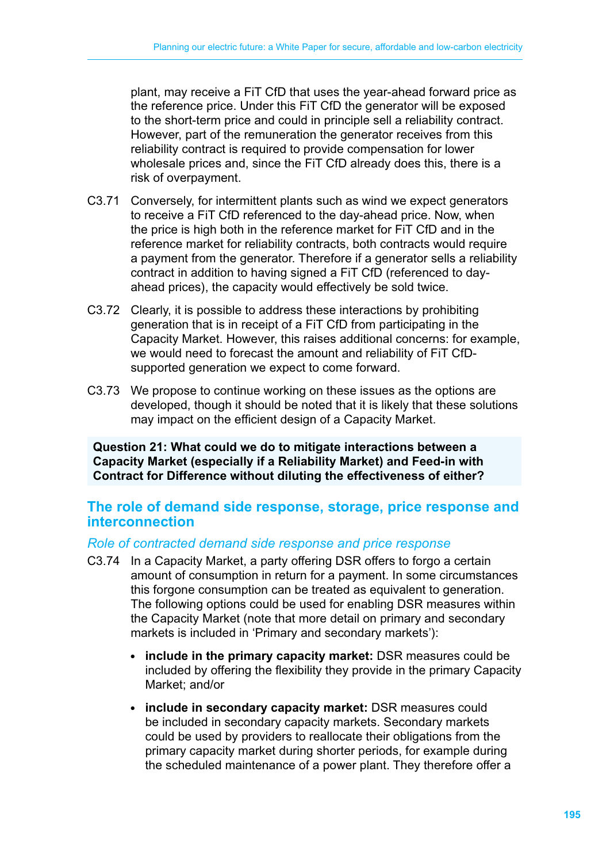plant, may receive a FiT CfD that uses the year-ahead forward price as the reference price. Under this FiT CfD the generator will be exposed to the short-term price and could in principle sell a reliability contract. However, part of the remuneration the generator receives from this reliability contract is required to provide compensation for lower wholesale prices and, since the FiT CfD already does this, there is a risk of overpayment.

- C3.71 Conversely, for intermittent plants such as wind we expect generators to receive a FiT CfD referenced to the day-ahead price. Now, when the price is high both in the reference market for FiT CfD and in the reference market for reliability contracts, both contracts would require a payment from the generator. Therefore if a generator sells a reliability contract in addition to having signed a FiT CfD (referenced to dayahead prices), the capacity would effectively be sold twice.
- C3.72 Clearly, it is possible to address these interactions by prohibiting generation that is in receipt of a FiT CfD from participating in the Capacity Market. However, this raises additional concerns: for example, we would need to forecast the amount and reliability of FiT CfDsupported generation we expect to come forward.
- C3.73 We propose to continue working on these issues as the options are developed, though it should be noted that it is likely that these solutions may impact on the efficient design of a Capacity Market.

**Question 21: What could we do to mitigate interactions between a Capacity Market (especially if a Reliability Market) and Feed-in with Contract for Difference without diluting the effectiveness of either?**

# **The role of demand side response, storage, price response and interconnection**

#### *Role of contracted demand side response and price response*

- C3.74 In a Capacity Market, a party offering DSR offers to forgo a certain amount of consumption in return for a payment. In some circumstances this forgone consumption can be treated as equivalent to generation. The following options could be used for enabling DSR measures within the Capacity Market (note that more detail on primary and secondary markets is included in 'Primary and secondary markets'):
	- **include in the primary capacity market:** DSR measures could be included by offering the flexibility they provide in the primary Capacity Market; and/or
	- **include in secondary capacity market:** DSR measures could be included in secondary capacity markets. Secondary markets could be used by providers to reallocate their obligations from the primary capacity market during shorter periods, for example during the scheduled maintenance of a power plant. They therefore offer a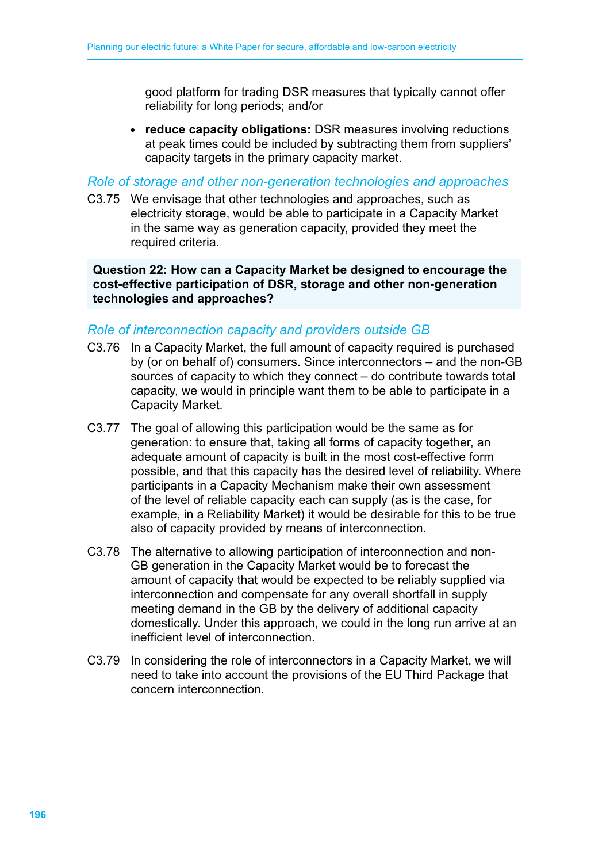good platform for trading DSR measures that typically cannot offer reliability for long periods; and/or

• **reduce capacity obligations:** DSR measures involving reductions at peak times could be included by subtracting them from suppliers' capacity targets in the primary capacity market.

*Role of storage and other non-generation technologies and approaches*

C3.75 We envisage that other technologies and approaches, such as electricity storage, would be able to participate in a Capacity Market in the same way as generation capacity, provided they meet the required criteria.

**Question 22: How can a Capacity Market be designed to encourage the cost-effective participation of DSR, storage and other non-generation technologies and approaches?**

### *Role of interconnection capacity and providers outside GB*

- C3.76 In a Capacity Market, the full amount of capacity required is purchased by (or on behalf of) consumers. Since interconnectors – and the non-GB sources of capacity to which they connect – do contribute towards total capacity, we would in principle want them to be able to participate in a Capacity Market.
- C3.77 The goal of allowing this participation would be the same as for generation: to ensure that, taking all forms of capacity together, an adequate amount of capacity is built in the most cost-effective form possible, and that this capacity has the desired level of reliability. Where participants in a Capacity Mechanism make their own assessment of the level of reliable capacity each can supply (as is the case, for example, in a Reliability Market) it would be desirable for this to be true also of capacity provided by means of interconnection.
- C3.78 The alternative to allowing participation of interconnection and non-GB generation in the Capacity Market would be to forecast the amount of capacity that would be expected to be reliably supplied via interconnection and compensate for any overall shortfall in supply meeting demand in the GB by the delivery of additional capacity domestically. Under this approach, we could in the long run arrive at an inefficient level of interconnection.
- C3.79 In considering the role of interconnectors in a Capacity Market, we will need to take into account the provisions of the EU Third Package that concern interconnection.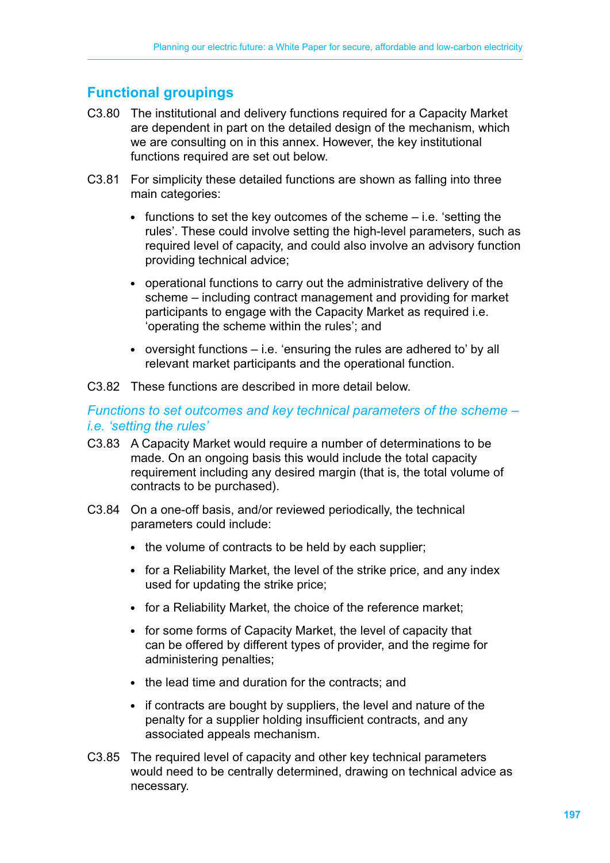# **Functional groupings**

- C3.80 The institutional and delivery functions required for a Capacity Market are dependent in part on the detailed design of the mechanism, which we are consulting on in this annex. However, the key institutional functions required are set out below.
- C3.81 For simplicity these detailed functions are shown as falling into three main categories:
	- $\bullet$  functions to set the key outcomes of the scheme  $-$  i.e. 'setting the rules'. These could involve setting the high-level parameters, such as required level of capacity, and could also involve an advisory function providing technical advice;
	- operational functions to carry out the administrative delivery of the scheme – including contract management and providing for market participants to engage with the Capacity Market as required i.e. 'operating the scheme within the rules'; and
	- $\bullet$  oversight functions  $-$  i.e. 'ensuring the rules are adhered to' by all relevant market participants and the operational function.
- C3.82 These functions are described in more detail below.

*Functions to set outcomes and key technical parameters of the scheme – i.e. 'setting the rules'*

- C3.83 A Capacity Market would require a number of determinations to be made. On an ongoing basis this would include the total capacity requirement including any desired margin (that is, the total volume of contracts to be purchased).
- C3.84 On a one-off basis, and/or reviewed periodically, the technical parameters could include:
	- the volume of contracts to be held by each supplier;
	- for a Reliability Market, the level of the strike price, and any index used for updating the strike price;
	- for a Reliability Market, the choice of the reference market;
	- for some forms of Capacity Market, the level of capacity that can be offered by different types of provider, and the regime for administering penalties;
	- the lead time and duration for the contracts: and
	- if contracts are bought by suppliers, the level and nature of the penalty for a supplier holding insufficient contracts, and any associated appeals mechanism.
- C3.85 The required level of capacity and other key technical parameters would need to be centrally determined, drawing on technical advice as necessary.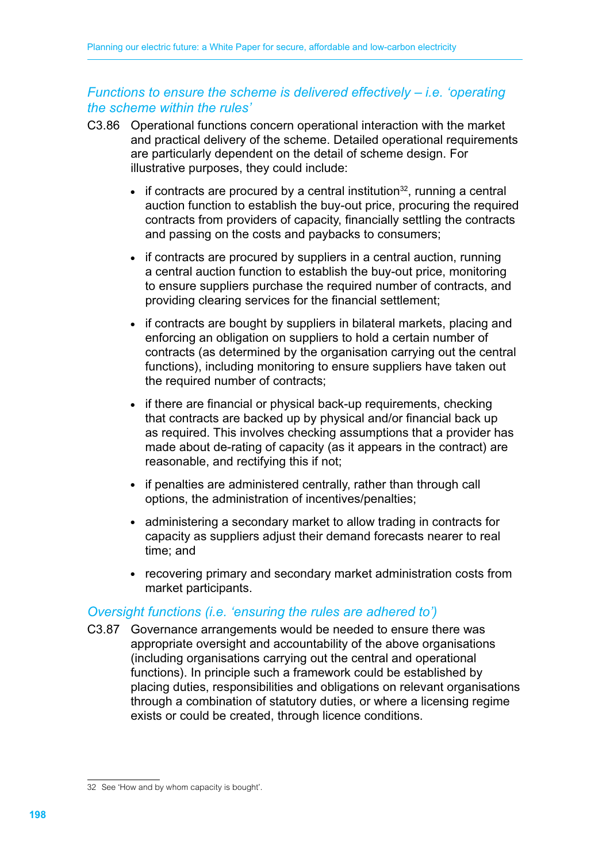# *Functions to ensure the scheme is delivered effectively – i.e. 'operating the scheme within the rules'*

- C3.86 Operational functions concern operational interaction with the market and practical delivery of the scheme. Detailed operational requirements are particularly dependent on the detail of scheme design. For illustrative purposes, they could include:
	- $\bullet$  if contracts are procured by a central institution<sup>32</sup>, running a central auction function to establish the buy-out price, procuring the required contracts from providers of capacity, financially settling the contracts and passing on the costs and paybacks to consumers;
	- if contracts are procured by suppliers in a central auction, running a central auction function to establish the buy-out price, monitoring to ensure suppliers purchase the required number of contracts, and providing clearing services for the financial settlement;
	- if contracts are bought by suppliers in bilateral markets, placing and enforcing an obligation on suppliers to hold a certain number of contracts (as determined by the organisation carrying out the central functions), including monitoring to ensure suppliers have taken out the required number of contracts;
	- if there are financial or physical back-up requirements, checking that contracts are backed up by physical and/or financial back up as required. This involves checking assumptions that a provider has made about de-rating of capacity (as it appears in the contract) are reasonable, and rectifying this if not;
	- if penalties are administered centrally, rather than through call options, the administration of incentives/penalties;
	- administering a secondary market to allow trading in contracts for capacity as suppliers adjust their demand forecasts nearer to real time; and
	- recovering primary and secondary market administration costs from market participants.

# *Oversight functions (i.e. 'ensuring the rules are adhered to')*

C3.87 Governance arrangements would be needed to ensure there was appropriate oversight and accountability of the above organisations (including organisations carrying out the central and operational functions). In principle such a framework could be established by placing duties, responsibilities and obligations on relevant organisations through a combination of statutory duties, or where a licensing regime exists or could be created, through licence conditions.

<sup>32</sup> See 'How and by whom capacity is bought'.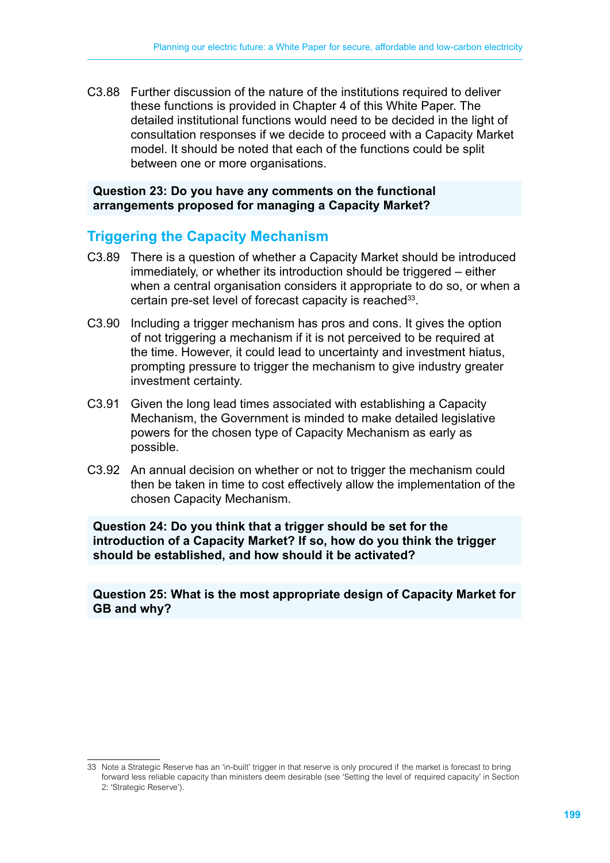C3.88 Further discussion of the nature of the institutions required to deliver these functions is provided in Chapter 4 of this White Paper. The detailed institutional functions would need to be decided in the light of consultation responses if we decide to proceed with a Capacity Market model. It should be noted that each of the functions could be split between one or more organisations.

#### **Question 23: Do you have any comments on the functional arrangements proposed for managing a Capacity Market?**

# **Triggering the Capacity Mechanism**

- C3.89 There is a question of whether a Capacity Market should be introduced immediately, or whether its introduction should be triggered – either when a central organisation considers it appropriate to do so, or when a certain pre-set level of forecast capacity is reached<sup>33</sup>.
- C3.90 Including a trigger mechanism has pros and cons. It gives the option of not triggering a mechanism if it is not perceived to be required at the time. However, it could lead to uncertainty and investment hiatus, prompting pressure to trigger the mechanism to give industry greater investment certainty.
- C3.91 Given the long lead times associated with establishing a Capacity Mechanism, the Government is minded to make detailed legislative powers for the chosen type of Capacity Mechanism as early as possible.
- C3.92 An annual decision on whether or not to trigger the mechanism could then be taken in time to cost effectively allow the implementation of the chosen Capacity Mechanism.

**Question 24: Do you think that a trigger should be set for the introduction of a Capacity Market? If so, how do you think the trigger should be established, and how should it be activated?**

**Question 25: What is the most appropriate design of Capacity Market for GB and why?**

<sup>33</sup> Note a Strategic Reserve has an 'in-built' trigger in that reserve is only procured if the market is forecast to bring forward less reliable capacity than ministers deem desirable (see 'Setting the level of required capacity' in Section 2: 'Strategic Reserve').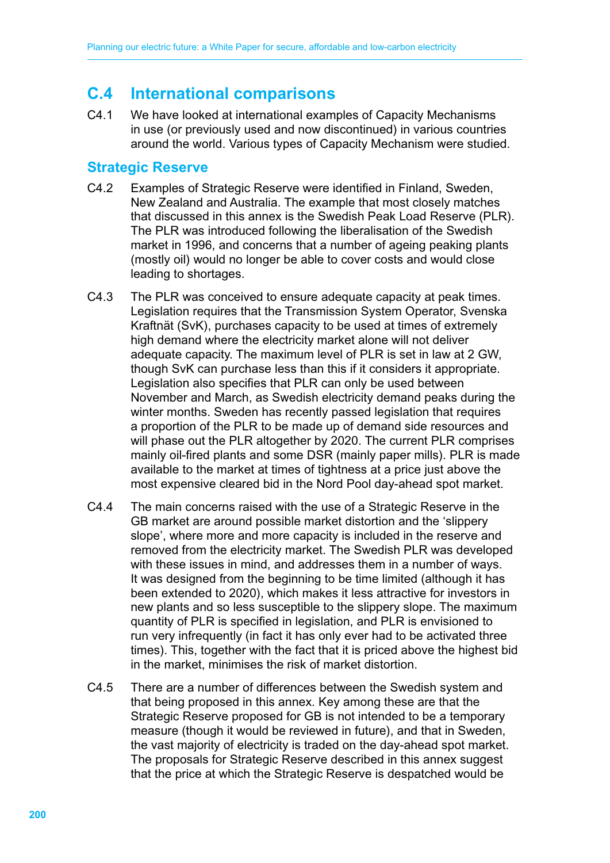# **C.4 International comparisons**

C4.1 We have looked at international examples of Capacity Mechanisms in use (or previously used and now discontinued) in various countries around the world. Various types of Capacity Mechanism were studied.

# **Strategic Reserve**

- C4.2 Examples of Strategic Reserve were identified in Finland, Sweden, New Zealand and Australia. The example that most closely matches that discussed in this annex is the Swedish Peak Load Reserve (PLR). The PLR was introduced following the liberalisation of the Swedish market in 1996, and concerns that a number of ageing peaking plants (mostly oil) would no longer be able to cover costs and would close leading to shortages.
- C4.3 The PLR was conceived to ensure adequate capacity at peak times. Legislation requires that the Transmission System Operator, Svenska Kraftnät (SvK), purchases capacity to be used at times of extremely high demand where the electricity market alone will not deliver adequate capacity. The maximum level of PLR is set in law at 2 GW, though SvK can purchase less than this if it considers it appropriate. Legislation also specifies that PLR can only be used between November and March, as Swedish electricity demand peaks during the winter months. Sweden has recently passed legislation that requires a proportion of the PLR to be made up of demand side resources and will phase out the PLR altogether by 2020. The current PLR comprises mainly oil-fired plants and some DSR (mainly paper mills). PLR is made available to the market at times of tightness at a price just above the most expensive cleared bid in the Nord Pool day-ahead spot market.
- C4.4 The main concerns raised with the use of a Strategic Reserve in the GB market are around possible market distortion and the 'slippery slope', where more and more capacity is included in the reserve and removed from the electricity market. The Swedish PLR was developed with these issues in mind, and addresses them in a number of ways. It was designed from the beginning to be time limited (although it has been extended to 2020), which makes it less attractive for investors in new plants and so less susceptible to the slippery slope. The maximum quantity of PLR is specified in legislation, and PLR is envisioned to run very infrequently (in fact it has only ever had to be activated three times). This, together with the fact that it is priced above the highest bid in the market, minimises the risk of market distortion.
- C4.5 There are a number of differences between the Swedish system and that being proposed in this annex. Key among these are that the Strategic Reserve proposed for GB is not intended to be a temporary measure (though it would be reviewed in future), and that in Sweden, the vast majority of electricity is traded on the day-ahead spot market. The proposals for Strategic Reserve described in this annex suggest that the price at which the Strategic Reserve is despatched would be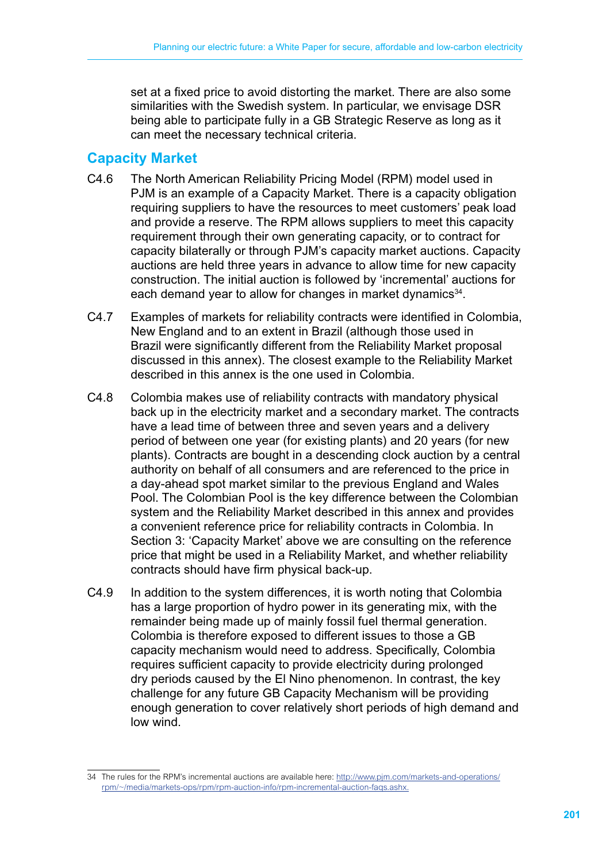set at a fixed price to avoid distorting the market. There are also some similarities with the Swedish system. In particular, we envisage DSR being able to participate fully in a GB Strategic Reserve as long as it can meet the necessary technical criteria.

# **Capacity Market**

- C4.6 The North American Reliability Pricing Model (RPM) model used in PJM is an example of a Capacity Market. There is a capacity obligation requiring suppliers to have the resources to meet customers' peak load and provide a reserve. The RPM allows suppliers to meet this capacity requirement through their own generating capacity, or to contract for capacity bilaterally or through PJM's capacity market auctions. Capacity auctions are held three years in advance to allow time for new capacity construction. The initial auction is followed by 'incremental' auctions for each demand year to allow for changes in market dynamics<sup>34</sup>.
- C4.7 Examples of markets for reliability contracts were identified in Colombia, New England and to an extent in Brazil (although those used in Brazil were significantly different from the Reliability Market proposal discussed in this annex). The closest example to the Reliability Market described in this annex is the one used in Colombia.
- C4.8 Colombia makes use of reliability contracts with mandatory physical back up in the electricity market and a secondary market. The contracts have a lead time of between three and seven years and a delivery period of between one year (for existing plants) and 20 years (for new plants). Contracts are bought in a descending clock auction by a central authority on behalf of all consumers and are referenced to the price in a day-ahead spot market similar to the previous England and Wales Pool. The Colombian Pool is the key difference between the Colombian system and the Reliability Market described in this annex and provides a convenient reference price for reliability contracts in Colombia. In Section 3: 'Capacity Market' above we are consulting on the reference price that might be used in a Reliability Market, and whether reliability contracts should have firm physical back-up.
- C4.9 In addition to the system differences, it is worth noting that Colombia has a large proportion of hydro power in its generating mix, with the remainder being made up of mainly fossil fuel thermal generation. Colombia is therefore exposed to different issues to those a GB capacity mechanism would need to address. Specifically, Colombia requires sufficient capacity to provide electricity during prolonged dry periods caused by the El Nino phenomenon. In contrast, the key challenge for any future GB Capacity Mechanism will be providing enough generation to cover relatively short periods of high demand and low wind.

<sup>34</sup> The rules for the RPM's incremental auctions are available here: http://www.pjm.com/markets-and-operations/ rpm/~/media/markets-ops/rpm/rpm-auction-info/rpm-incremental-auction-faqs.ashx.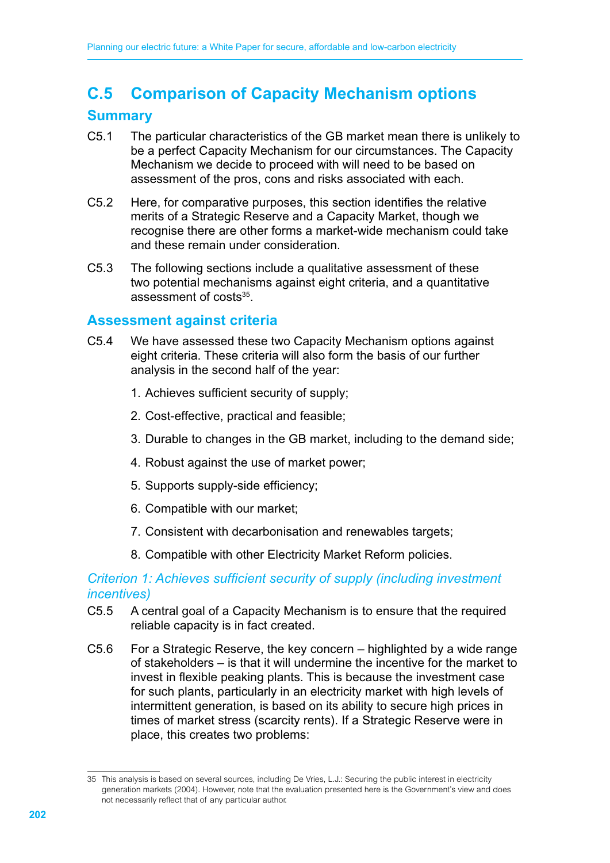# **C.5 Comparison of Capacity Mechanism options**

# **Summary**

- C5.1 The particular characteristics of the GB market mean there is unlikely to be a perfect Capacity Mechanism for our circumstances. The Capacity Mechanism we decide to proceed with will need to be based on assessment of the pros, cons and risks associated with each.
- C5.2 Here, for comparative purposes, this section identifies the relative merits of a Strategic Reserve and a Capacity Market, though we recognise there are other forms a market-wide mechanism could take and these remain under consideration.
- C5.3 The following sections include a qualitative assessment of these two potential mechanisms against eight criteria, and a quantitative assessment of costs<sup>35</sup>.

# **Assessment against criteria**

- C5.4 We have assessed these two Capacity Mechanism options against eight criteria. These criteria will also form the basis of our further analysis in the second half of the year:
	- 1. Achieves sufficient security of supply;
	- 2. Cost-effective, practical and feasible;
	- 3. Durable to changes in the GB market, including to the demand side;
	- 4. Robust against the use of market power;
	- 5. Supports supply-side efficiency;
	- 6. Compatible with our market;
	- 7. Consistent with decarbonisation and renewables targets;
	- 8. Compatible with other Electricity Market Reform policies.

# *Criterion 1: Achieves sufficient security of supply (including investment incentives)*

- C5.5 A central goal of a Capacity Mechanism is to ensure that the required reliable capacity is in fact created.
- C5.6 For a Strategic Reserve, the key concern highlighted by a wide range of stakeholders – is that it will undermine the incentive for the market to invest in flexible peaking plants. This is because the investment case for such plants, particularly in an electricity market with high levels of intermittent generation, is based on its ability to secure high prices in times of market stress (scarcity rents). If a Strategic Reserve were in place, this creates two problems:

<sup>35</sup> This analysis is based on several sources, including De Vries, L.J.: Securing the public interest in electricity generation markets (2004). However, note that the evaluation presented here is the Government's view and does not necessarily reflect that of any particular author.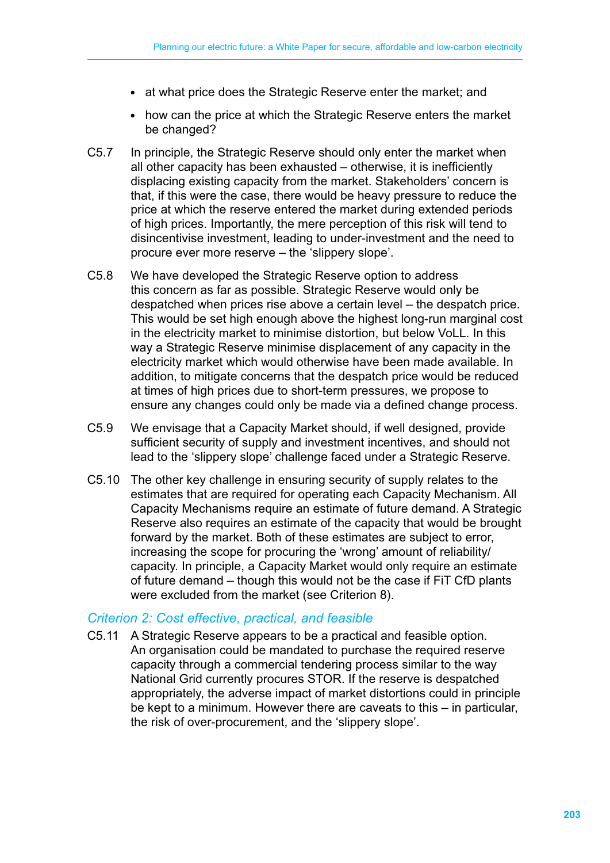- at what price does the Strategic Reserve enter the market; and
- how can the price at which the Strategic Reserve enters the market be changed?
- C5.7 In principle, the Strategic Reserve should only enter the market when all other capacity has been exhausted – otherwise, it is inefficiently displacing existing capacity from the market. Stakeholders' concern is that, if this were the case, there would be heavy pressure to reduce the price at which the reserve entered the market during extended periods of high prices. Importantly, the mere perception of this risk will tend to disincentivise investment, leading to under-investment and the need to procure ever more reserve – the 'slippery slope'.
- C5.8 We have developed the Strategic Reserve option to address this concern as far as possible. Strategic Reserve would only be despatched when prices rise above a certain level – the despatch price. This would be set high enough above the highest long-run marginal cost in the electricity market to minimise distortion, but below VoLL. In this way a Strategic Reserve minimise displacement of any capacity in the electricity market which would otherwise have been made available. In addition, to mitigate concerns that the despatch price would be reduced at times of high prices due to short-term pressures, we propose to ensure any changes could only be made via a defined change process.
- C5.9 We envisage that a Capacity Market should, if well designed, provide sufficient security of supply and investment incentives, and should not lead to the 'slippery slope' challenge faced under a Strategic Reserve.
- C5.10 The other key challenge in ensuring security of supply relates to the estimates that are required for operating each Capacity Mechanism. All Capacity Mechanisms require an estimate of future demand. A Strategic Reserve also requires an estimate of the capacity that would be brought forward by the market. Both of these estimates are subject to error, increasing the scope for procuring the 'wrong' amount of reliability/ capacity. In principle, a Capacity Market would only require an estimate of future demand – though this would not be the case if FiT CfD plants were excluded from the market (see Criterion 8).

# *Criterion 2: Cost effective, practical, and feasible*

C5.11 A Strategic Reserve appears to be a practical and feasible option. An organisation could be mandated to purchase the required reserve capacity through a commercial tendering process similar to the way National Grid currently procures STOR. If the reserve is despatched appropriately, the adverse impact of market distortions could in principle be kept to a minimum. However there are caveats to this – in particular, the risk of over-procurement, and the 'slippery slope'.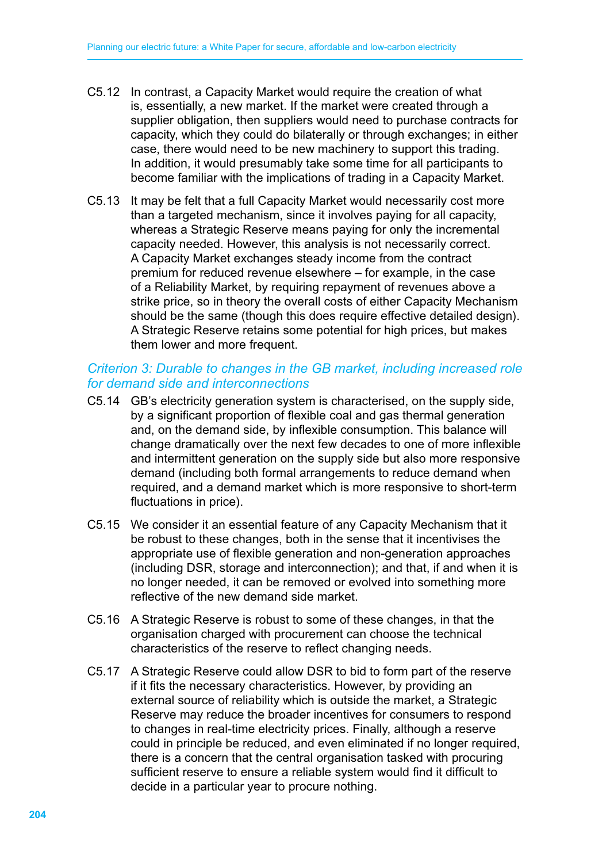- C5.12 In contrast, a Capacity Market would require the creation of what is, essentially, a new market. If the market were created through a supplier obligation, then suppliers would need to purchase contracts for capacity, which they could do bilaterally or through exchanges; in either case, there would need to be new machinery to support this trading. In addition, it would presumably take some time for all participants to become familiar with the implications of trading in a Capacity Market.
- C5.13 It may be felt that a full Capacity Market would necessarily cost more than a targeted mechanism, since it involves paying for all capacity, whereas a Strategic Reserve means paying for only the incremental capacity needed. However, this analysis is not necessarily correct. A Capacity Market exchanges steady income from the contract premium for reduced revenue elsewhere – for example, in the case of a Reliability Market, by requiring repayment of revenues above a strike price, so in theory the overall costs of either Capacity Mechanism should be the same (though this does require effective detailed design). A Strategic Reserve retains some potential for high prices, but makes them lower and more frequent.

# *Criterion 3: Durable to changes in the GB market, including increased role for demand side and interconnections*

- C5.14 GB's electricity generation system is characterised, on the supply side, by a significant proportion of flexible coal and gas thermal generation and, on the demand side, by inflexible consumption. This balance will change dramatically over the next few decades to one of more inflexible and intermittent generation on the supply side but also more responsive demand (including both formal arrangements to reduce demand when required, and a demand market which is more responsive to short-term fluctuations in price).
- C5.15 We consider it an essential feature of any Capacity Mechanism that it be robust to these changes, both in the sense that it incentivises the appropriate use of flexible generation and non-generation approaches (including DSR, storage and interconnection); and that, if and when it is no longer needed, it can be removed or evolved into something more reflective of the new demand side market.
- C5.16 A Strategic Reserve is robust to some of these changes, in that the organisation charged with procurement can choose the technical characteristics of the reserve to reflect changing needs.
- C5.17 A Strategic Reserve could allow DSR to bid to form part of the reserve if it fits the necessary characteristics. However, by providing an external source of reliability which is outside the market, a Strategic Reserve may reduce the broader incentives for consumers to respond to changes in real-time electricity prices. Finally, although a reserve could in principle be reduced, and even eliminated if no longer required, there is a concern that the central organisation tasked with procuring sufficient reserve to ensure a reliable system would find it difficult to decide in a particular year to procure nothing.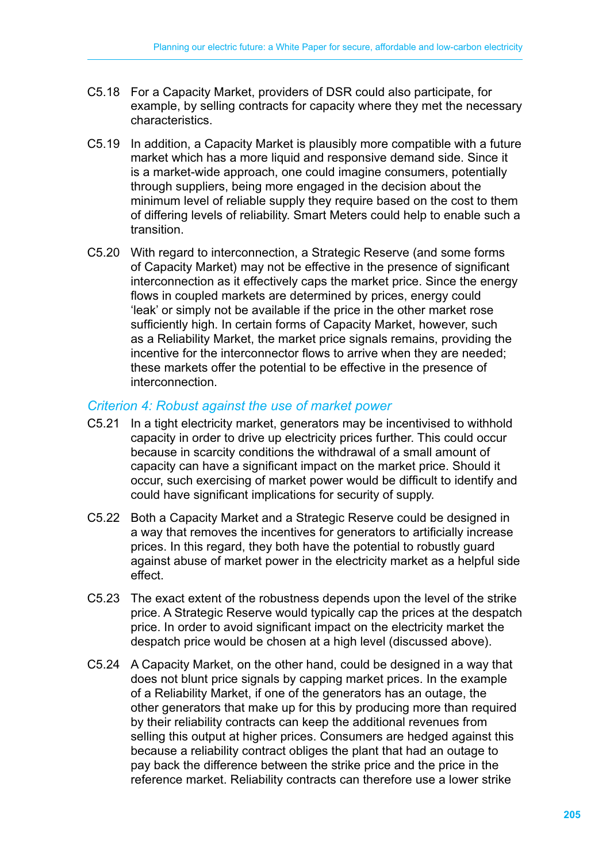- C5.18 For a Capacity Market, providers of DSR could also participate, for example, by selling contracts for capacity where they met the necessary characteristics.
- C5.19 In addition, a Capacity Market is plausibly more compatible with a future market which has a more liquid and responsive demand side. Since it is a market-wide approach, one could imagine consumers, potentially through suppliers, being more engaged in the decision about the minimum level of reliable supply they require based on the cost to them of differing levels of reliability. Smart Meters could help to enable such a transition.
- C5.20 With regard to interconnection, a Strategic Reserve (and some forms of Capacity Market) may not be effective in the presence of significant interconnection as it effectively caps the market price. Since the energy flows in coupled markets are determined by prices, energy could 'leak' or simply not be available if the price in the other market rose sufficiently high. In certain forms of Capacity Market, however, such as a Reliability Market, the market price signals remains, providing the incentive for the interconnector flows to arrive when they are needed; these markets offer the potential to be effective in the presence of interconnection.

#### *Criterion 4: Robust against the use of market power*

- C5.21 In a tight electricity market, generators may be incentivised to withhold capacity in order to drive up electricity prices further. This could occur because in scarcity conditions the withdrawal of a small amount of capacity can have a significant impact on the market price. Should it occur, such exercising of market power would be difficult to identify and could have significant implications for security of supply.
- C5.22 Both a Capacity Market and a Strategic Reserve could be designed in a way that removes the incentives for generators to artificially increase prices. In this regard, they both have the potential to robustly guard against abuse of market power in the electricity market as a helpful side effect.
- C5.23 The exact extent of the robustness depends upon the level of the strike price. A Strategic Reserve would typically cap the prices at the despatch price. In order to avoid significant impact on the electricity market the despatch price would be chosen at a high level (discussed above).
- C5.24 A Capacity Market, on the other hand, could be designed in a way that does not blunt price signals by capping market prices. In the example of a Reliability Market, if one of the generators has an outage, the other generators that make up for this by producing more than required by their reliability contracts can keep the additional revenues from selling this output at higher prices. Consumers are hedged against this because a reliability contract obliges the plant that had an outage to pay back the difference between the strike price and the price in the reference market. Reliability contracts can therefore use a lower strike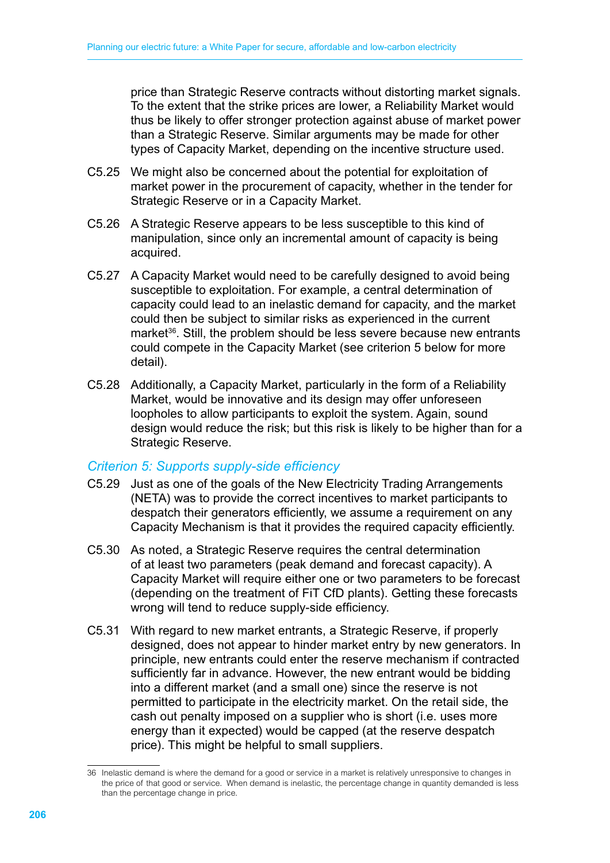price than Strategic Reserve contracts without distorting market signals. To the extent that the strike prices are lower, a Reliability Market would thus be likely to offer stronger protection against abuse of market power than a Strategic Reserve. Similar arguments may be made for other types of Capacity Market, depending on the incentive structure used.

- C5.25 We might also be concerned about the potential for exploitation of market power in the procurement of capacity, whether in the tender for Strategic Reserve or in a Capacity Market.
- C5.26 A Strategic Reserve appears to be less susceptible to this kind of manipulation, since only an incremental amount of capacity is being acquired.
- C5.27 A Capacity Market would need to be carefully designed to avoid being susceptible to exploitation. For example, a central determination of capacity could lead to an inelastic demand for capacity, and the market could then be subject to similar risks as experienced in the current market<sup>36</sup>. Still, the problem should be less severe because new entrants could compete in the Capacity Market (see criterion 5 below for more detail).
- C5.28 Additionally, a Capacity Market, particularly in the form of a Reliability Market, would be innovative and its design may offer unforeseen loopholes to allow participants to exploit the system. Again, sound design would reduce the risk; but this risk is likely to be higher than for a Strategic Reserve.

#### *Criterion 5: Supports supply-side efficiency*

- C5.29 Just as one of the goals of the New Electricity Trading Arrangements (NETA) was to provide the correct incentives to market participants to despatch their generators efficiently, we assume a requirement on any Capacity Mechanism is that it provides the required capacity efficiently.
- C5.30 As noted, a Strategic Reserve requires the central determination of at least two parameters (peak demand and forecast capacity). A Capacity Market will require either one or two parameters to be forecast (depending on the treatment of FiT CfD plants). Getting these forecasts wrong will tend to reduce supply-side efficiency.
- C5.31 With regard to new market entrants, a Strategic Reserve, if properly designed, does not appear to hinder market entry by new generators. In principle, new entrants could enter the reserve mechanism if contracted sufficiently far in advance. However, the new entrant would be bidding into a different market (and a small one) since the reserve is not permitted to participate in the electricity market. On the retail side, the cash out penalty imposed on a supplier who is short (i.e. uses more energy than it expected) would be capped (at the reserve despatch price). This might be helpful to small suppliers.

<sup>36</sup> Inelastic demand is where the demand for a good or service in a market is relatively unresponsive to changes in the price of that good or service. When demand is inelastic, the percentage change in quantity demanded is less than the percentage change in price.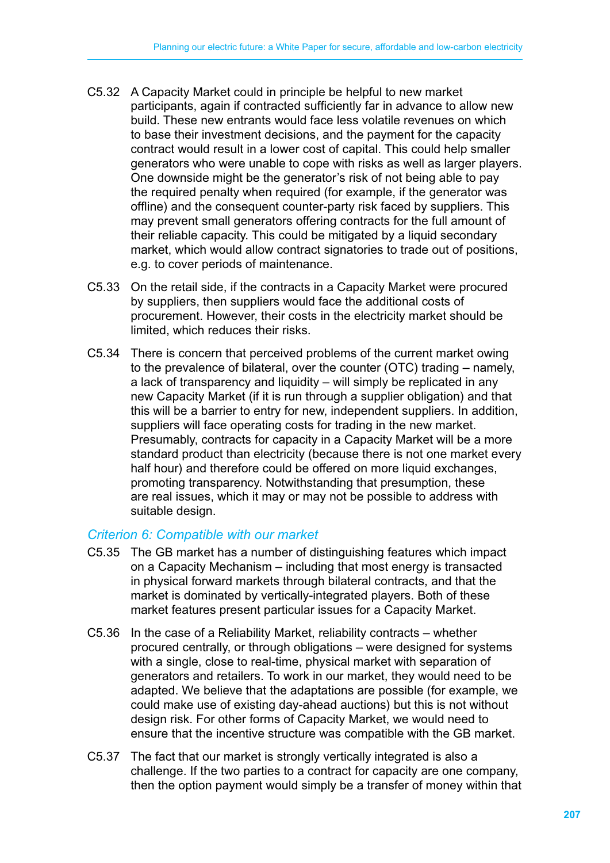- C5.32 A Capacity Market could in principle be helpful to new market participants, again if contracted sufficiently far in advance to allow new build. These new entrants would face less volatile revenues on which to base their investment decisions, and the payment for the capacity contract would result in a lower cost of capital. This could help smaller generators who were unable to cope with risks as well as larger players. One downside might be the generator's risk of not being able to pay the required penalty when required (for example, if the generator was offline) and the consequent counter-party risk faced by suppliers. This may prevent small generators offering contracts for the full amount of their reliable capacity. This could be mitigated by a liquid secondary market, which would allow contract signatories to trade out of positions, e.g. to cover periods of maintenance.
- C5.33 On the retail side, if the contracts in a Capacity Market were procured by suppliers, then suppliers would face the additional costs of procurement. However, their costs in the electricity market should be limited, which reduces their risks.
- C5.34 There is concern that perceived problems of the current market owing to the prevalence of bilateral, over the counter (OTC) trading – namely, a lack of transparency and liquidity – will simply be replicated in any new Capacity Market (if it is run through a supplier obligation) and that this will be a barrier to entry for new, independent suppliers. In addition, suppliers will face operating costs for trading in the new market. Presumably, contracts for capacity in a Capacity Market will be a more standard product than electricity (because there is not one market every half hour) and therefore could be offered on more liquid exchanges, promoting transparency. Notwithstanding that presumption, these are real issues, which it may or may not be possible to address with suitable design.

#### *Criterion 6: Compatible with our market*

- C5.35 The GB market has a number of distinguishing features which impact on a Capacity Mechanism – including that most energy is transacted in physical forward markets through bilateral contracts, and that the market is dominated by vertically-integrated players. Both of these market features present particular issues for a Capacity Market.
- C5.36 In the case of a Reliability Market, reliability contracts whether procured centrally, or through obligations – were designed for systems with a single, close to real-time, physical market with separation of generators and retailers. To work in our market, they would need to be adapted. We believe that the adaptations are possible (for example, we could make use of existing day-ahead auctions) but this is not without design risk. For other forms of Capacity Market, we would need to ensure that the incentive structure was compatible with the GB market.
- C5.37 The fact that our market is strongly vertically integrated is also a challenge. If the two parties to a contract for capacity are one company, then the option payment would simply be a transfer of money within that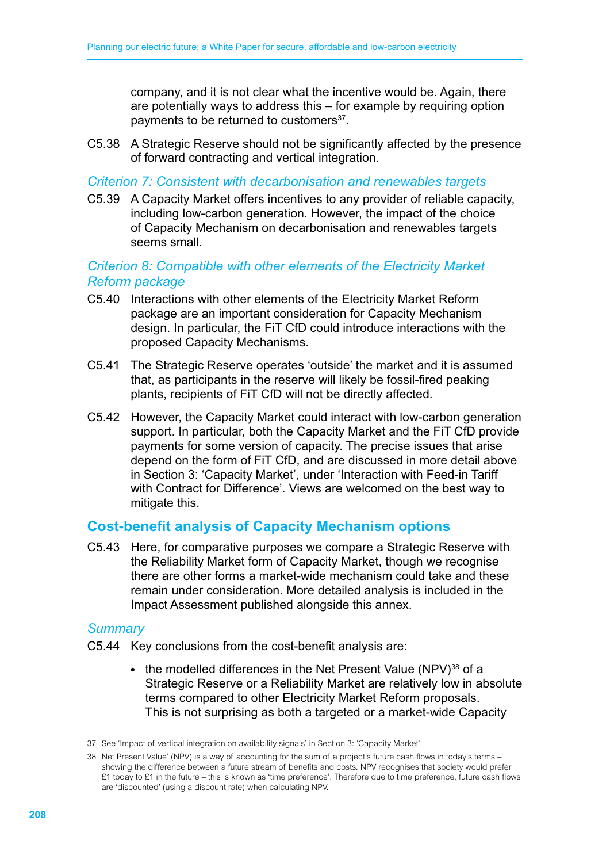company, and it is not clear what the incentive would be. Again, there are potentially ways to address this – for example by requiring option payments to be returned to customers<sup>37</sup>.

C5.38 A Strategic Reserve should not be significantly affected by the presence of forward contracting and vertical integration.

#### *Criterion 7: Consistent with decarbonisation and renewables targets*

C5.39 A Capacity Market offers incentives to any provider of reliable capacity, including low-carbon generation. However, the impact of the choice of Capacity Mechanism on decarbonisation and renewables targets seems small.

## *Criterion 8: Compatible with other elements of the Electricity Market Reform package*

- C5.40 Interactions with other elements of the Electricity Market Reform package are an important consideration for Capacity Mechanism design. In particular, the FiT CfD could introduce interactions with the proposed Capacity Mechanisms.
- C5.41 The Strategic Reserve operates 'outside' the market and it is assumed that, as participants in the reserve will likely be fossil-fired peaking plants, recipients of FiT CfD will not be directly affected.
- C5.42 However, the Capacity Market could interact with low-carbon generation support. In particular, both the Capacity Market and the FiT CfD provide payments for some version of capacity. The precise issues that arise depend on the form of FiT CfD, and are discussed in more detail above in Section 3: 'Capacity Market', under 'Interaction with Feed-in Tariff with Contract for Difference'. Views are welcomed on the best way to mitigate this.

# **Cost-benefit analysis of Capacity Mechanism options**

C5.43 Here, for comparative purposes we compare a Strategic Reserve with the Reliability Market form of Capacity Market, though we recognise there are other forms a market-wide mechanism could take and these remain under consideration. More detailed analysis is included in the Impact Assessment published alongside this annex.

#### *Summary*

- C5.44 Key conclusions from the cost-benefit analysis are:
	- $\bullet$  the modelled differences in the Net Present Value (NPV)<sup>38</sup> of a Strategic Reserve or a Reliability Market are relatively low in absolute terms compared to other Electricity Market Reform proposals. This is not surprising as both a targeted or a market-wide Capacity

<sup>37</sup> See 'Impact of vertical integration on availability signals' in Section 3: 'Capacity Market'.

<sup>38</sup> Net Present Value' (NPV) is a way of accounting for the sum of a project's future cash flows in today's terms – showing the difference between a future stream of benefits and costs. NPV recognises that society would prefer £1 today to £1 in the future – this is known as 'time preference'. Therefore due to time preference, future cash flows are 'discounted' (using a discount rate) when calculating NPV.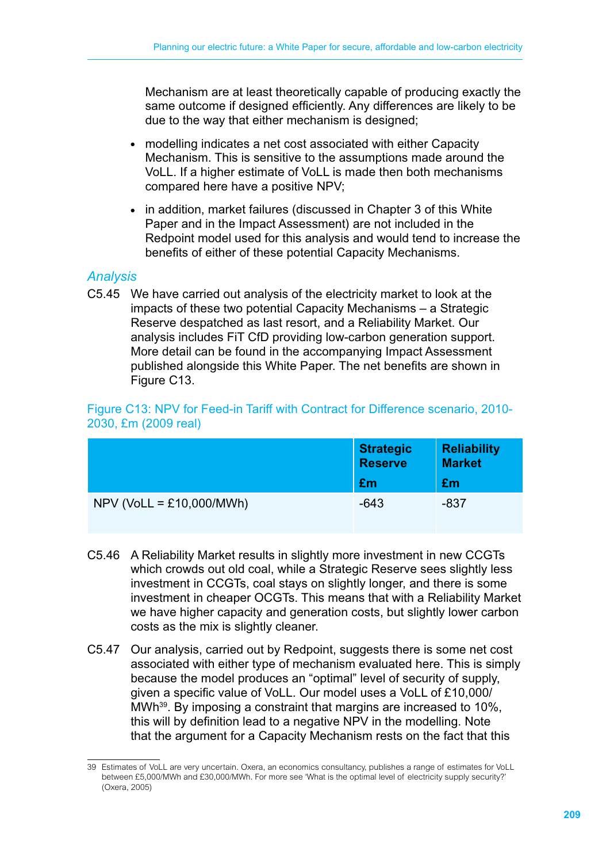Mechanism are at least theoretically capable of producing exactly the same outcome if designed efficiently. Any differences are likely to be due to the way that either mechanism is designed;

- modelling indicates a net cost associated with either Capacity Mechanism. This is sensitive to the assumptions made around the VoLL. If a higher estimate of VoLL is made then both mechanisms compared here have a positive NPV;
- in addition, market failures (discussed in Chapter 3 of this White Paper and in the Impact Assessment) are not included in the Redpoint model used for this analysis and would tend to increase the benefits of either of these potential Capacity Mechanisms.

### *Analysis*

C5.45 We have carried out analysis of the electricity market to look at the impacts of these two potential Capacity Mechanisms – a Strategic Reserve despatched as last resort, and a Reliability Market. Our analysis includes FiT CfD providing low-carbon generation support. More detail can be found in the accompanying Impact Assessment published alongside this White Paper. The net benefits are shown in Figure C<sub>13</sub>.

#### Figure C13: NPV for Feed-in Tariff with Contract for Difference scenario, 2010- 2030, £m (2009 real)

|                            | <b>Strategic</b><br><b>Reserve</b><br>£m | <b>Reliability</b><br><b>Market</b><br>£m |
|----------------------------|------------------------------------------|-------------------------------------------|
| $NPV (VolL = £10,000/MWh)$ | $-643$                                   | -837                                      |

- C5.46 A Reliability Market results in slightly more investment in new CCGTs which crowds out old coal, while a Strategic Reserve sees slightly less investment in CCGTs, coal stays on slightly longer, and there is some investment in cheaper OCGTs. This means that with a Reliability Market we have higher capacity and generation costs, but slightly lower carbon costs as the mix is slightly cleaner.
- C5.47 Our analysis, carried out by Redpoint, suggests there is some net cost associated with either type of mechanism evaluated here. This is simply because the model produces an "optimal" level of security of supply, given a specific value of VoLL. Our model uses a VoLL of £10,000/ MWh<sup>39</sup>. By imposing a constraint that margins are increased to 10%, this will by definition lead to a negative NPV in the modelling. Note that the argument for a Capacity Mechanism rests on the fact that this

<sup>39</sup> Estimates of VoLL are very uncertain. Oxera, an economics consultancy, publishes a range of estimates for VoLL between £5,000/MWh and £30,000/MWh. For more see 'What is the optimal level of electricity supply security?' (Oxera, 2005)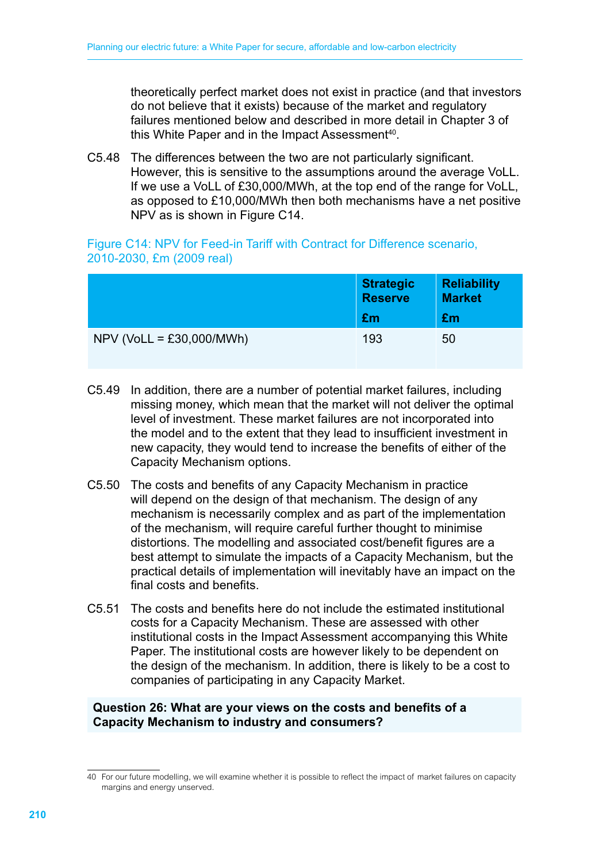theoretically perfect market does not exist in practice (and that investors do not believe that it exists) because of the market and regulatory failures mentioned below and described in more detail in Chapter 3 of this White Paper and in the Impact Assessment<sup>40</sup>.

C5.48 The differences between the two are not particularly significant. However, this is sensitive to the assumptions around the average VoLL. If we use a VoLL of £30,000/MWh, at the top end of the range for VoLL, as opposed to £10,000/MWh then both mechanisms have a net positive NPV as is shown in Figure C14.

Figure C14: NPV for Feed-in Tariff with Contract for Difference scenario, 2010-2030, £m (2009 real)

|                            | <b>Strategic</b><br><b>Reserve</b><br>£m | <b>Reliability</b><br><b>Market</b><br>£m |
|----------------------------|------------------------------------------|-------------------------------------------|
| $NPV$ (VoLL = £30,000/MWh) | 193                                      | 50                                        |

- C5.49 In addition, there are a number of potential market failures, including missing money, which mean that the market will not deliver the optimal level of investment. These market failures are not incorporated into the model and to the extent that they lead to insufficient investment in new capacity, they would tend to increase the benefits of either of the Capacity Mechanism options.
- C5.50 The costs and benefits of any Capacity Mechanism in practice will depend on the design of that mechanism. The design of any mechanism is necessarily complex and as part of the implementation of the mechanism, will require careful further thought to minimise distortions. The modelling and associated cost/benefit figures are a best attempt to simulate the impacts of a Capacity Mechanism, but the practical details of implementation will inevitably have an impact on the final costs and benefits.
- C5.51 The costs and benefits here do not include the estimated institutional costs for a Capacity Mechanism. These are assessed with other institutional costs in the Impact Assessment accompanying this White Paper. The institutional costs are however likely to be dependent on the design of the mechanism. In addition, there is likely to be a cost to companies of participating in any Capacity Market.

#### **Question 26: What are your views on the costs and benefits of a Capacity Mechanism to industry and consumers?**

<sup>40</sup> For our future modelling, we will examine whether it is possible to reflect the impact of market failures on capacity margins and energy unserved.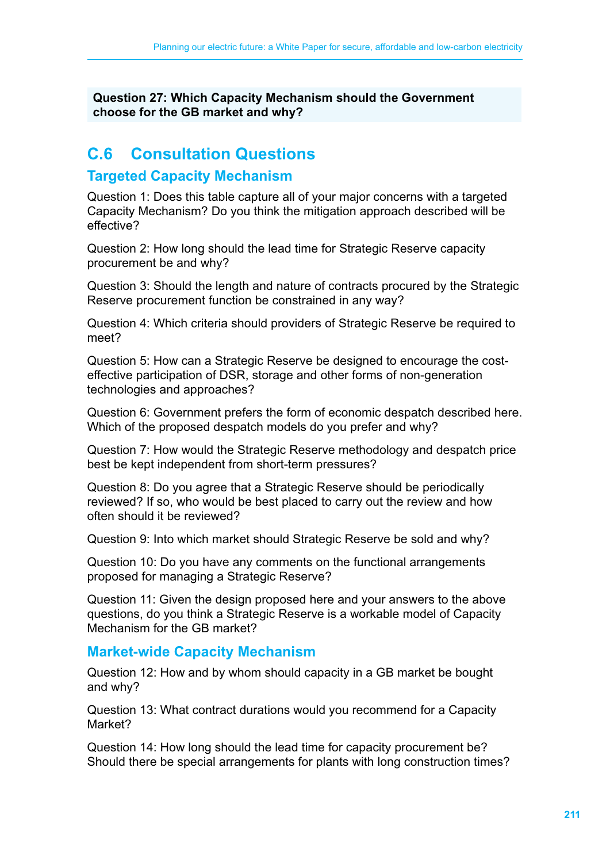**Question 27: Which Capacity Mechanism should the Government choose for the GB market and why?**

## **C.6 Consultation Questions**

## **Targeted Capacity Mechanism**

Question 1: Does this table capture all of your major concerns with a targeted Capacity Mechanism? Do you think the mitigation approach described will be effective?

Question 2: How long should the lead time for Strategic Reserve capacity procurement be and why?

Question 3: Should the length and nature of contracts procured by the Strategic Reserve procurement function be constrained in any way?

Question 4: Which criteria should providers of Strategic Reserve be required to meet?

Question 5: How can a Strategic Reserve be designed to encourage the costeffective participation of DSR, storage and other forms of non-generation technologies and approaches?

Question 6: Government prefers the form of economic despatch described here. Which of the proposed despatch models do you prefer and why?

Question 7: How would the Strategic Reserve methodology and despatch price best be kept independent from short-term pressures?

Question 8: Do you agree that a Strategic Reserve should be periodically reviewed? If so, who would be best placed to carry out the review and how often should it be reviewed?

Question 9: Into which market should Strategic Reserve be sold and why?

Question 10: Do you have any comments on the functional arrangements proposed for managing a Strategic Reserve?

Question 11: Given the design proposed here and your answers to the above questions, do you think a Strategic Reserve is a workable model of Capacity Mechanism for the GB market?

#### **Market-wide Capacity Mechanism**

Question 12: How and by whom should capacity in a GB market be bought and why?

Question 13: What contract durations would you recommend for a Capacity Market?

Question 14: How long should the lead time for capacity procurement be? Should there be special arrangements for plants with long construction times?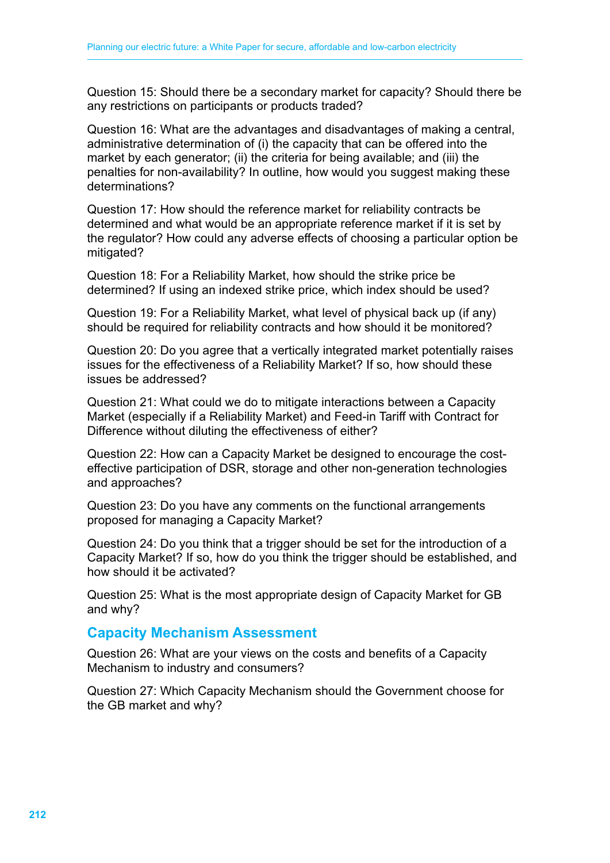Question 15: Should there be a secondary market for capacity? Should there be any restrictions on participants or products traded?

Question 16: What are the advantages and disadvantages of making a central, administrative determination of (i) the capacity that can be offered into the market by each generator; (ii) the criteria for being available; and (iii) the penalties for non-availability? In outline, how would you suggest making these determinations?

Question 17: How should the reference market for reliability contracts be determined and what would be an appropriate reference market if it is set by the regulator? How could any adverse effects of choosing a particular option be mitigated?

Question 18: For a Reliability Market, how should the strike price be determined? If using an indexed strike price, which index should be used?

Question 19: For a Reliability Market, what level of physical back up (if any) should be required for reliability contracts and how should it be monitored?

Question 20: Do you agree that a vertically integrated market potentially raises issues for the effectiveness of a Reliability Market? If so, how should these issues be addressed?

Question 21: What could we do to mitigate interactions between a Capacity Market (especially if a Reliability Market) and Feed-in Tariff with Contract for Difference without diluting the effectiveness of either?

Question 22: How can a Capacity Market be designed to encourage the costeffective participation of DSR, storage and other non-generation technologies and approaches?

Question 23: Do you have any comments on the functional arrangements proposed for managing a Capacity Market?

Question 24: Do you think that a trigger should be set for the introduction of a Capacity Market? If so, how do you think the trigger should be established, and how should it be activated?

Question 25: What is the most appropriate design of Capacity Market for GB and why?

#### **Capacity Mechanism Assessment**

Question 26: What are your views on the costs and benefits of a Capacity Mechanism to industry and consumers?

Question 27: Which Capacity Mechanism should the Government choose for the GB market and why?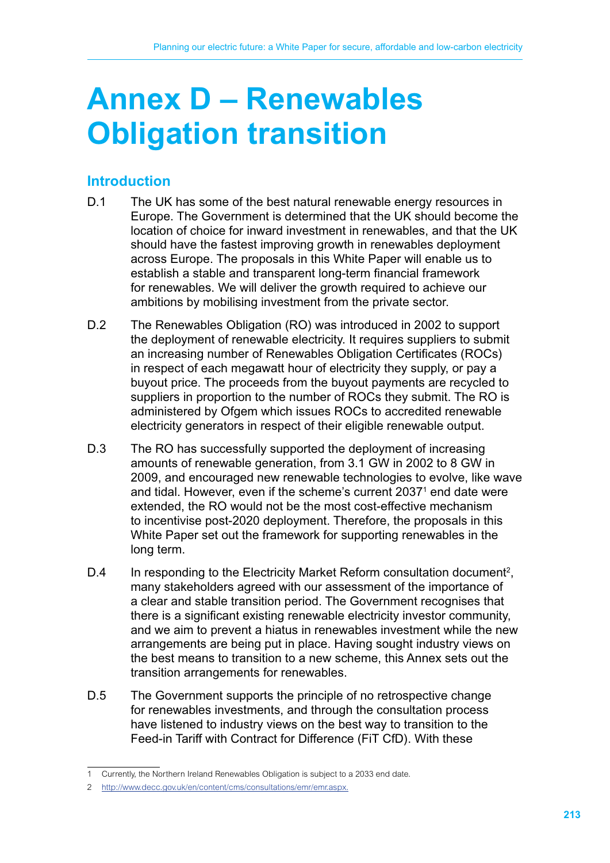# **Annex D – Renewables Obligation transition**

## **Introduction**

- D.1 The UK has some of the best natural renewable energy resources in Europe. The Government is determined that the UK should become the location of choice for inward investment in renewables, and that the UK should have the fastest improving growth in renewables deployment across Europe. The proposals in this White Paper will enable us to establish a stable and transparent long-term financial framework for renewables. We will deliver the growth required to achieve our ambitions by mobilising investment from the private sector.
- D.2 The Renewables Obligation (RO) was introduced in 2002 to support the deployment of renewable electricity. It requires suppliers to submit an increasing number of Renewables Obligation Certificates (ROCs) in respect of each megawatt hour of electricity they supply, or pay a buyout price. The proceeds from the buyout payments are recycled to suppliers in proportion to the number of ROCs they submit. The RO is administered by Ofgem which issues ROCs to accredited renewable electricity generators in respect of their eligible renewable output.
- D.3 The RO has successfully supported the deployment of increasing amounts of renewable generation, from 3.1 GW in 2002 to 8 GW in 2009, and encouraged new renewable technologies to evolve, like wave and tidal. However, even if the scheme's current 2037<sup>1</sup> end date were extended, the RO would not be the most cost-effective mechanism to incentivise post-2020 deployment. Therefore, the proposals in this White Paper set out the framework for supporting renewables in the long term.
- D.4 In responding to the Electricity Market Reform consultation document<sup>2</sup>, many stakeholders agreed with our assessment of the importance of a clear and stable transition period. The Government recognises that there is a significant existing renewable electricity investor community, and we aim to prevent a hiatus in renewables investment while the new arrangements are being put in place. Having sought industry views on the best means to transition to a new scheme, this Annex sets out the transition arrangements for renewables.
- D.5 The Government supports the principle of no retrospective change for renewables investments, and through the consultation process have listened to industry views on the best way to transition to the Feed-in Tariff with Contract for Difference (FiT CfD). With these

<sup>1</sup> Currently, the Northern Ireland Renewables Obligation is subject to a 2033 end date.

<sup>2</sup> http://www.decc.gov.uk/en/content/cms/consultations/emr/emr.aspx.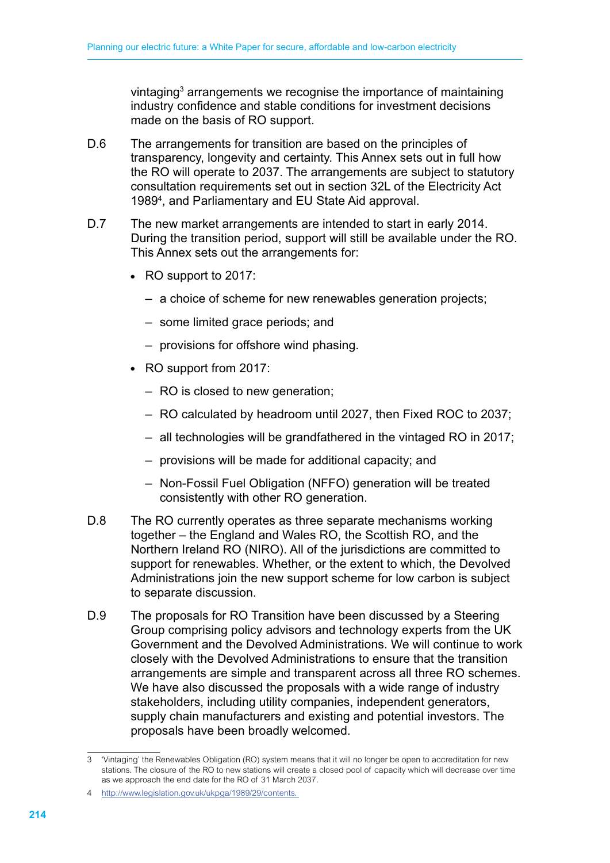vintaging<sup>3</sup> arrangements we recognise the importance of maintaining industry confidence and stable conditions for investment decisions made on the basis of RO support.

- D.6 The arrangements for transition are based on the principles of transparency, longevity and certainty. This Annex sets out in full how the RO will operate to 2037. The arrangements are subject to statutory consultation requirements set out in section 32L of the Electricity Act 19894 , and Parliamentary and EU State Aid approval.
- D.7 The new market arrangements are intended to start in early 2014. During the transition period, support will still be available under the RO. This Annex sets out the arrangements for:
	- RO support to 2017:
		- a choice of scheme for new renewables generation projects;
		- some limited grace periods; and
		- provisions for offshore wind phasing.
	- RO support from 2017:
		- RO is closed to new generation;
		- RO calculated by headroom until 2027, then Fixed ROC to 2037;
		- all technologies will be grandfathered in the vintaged RO in 2017;
		- provisions will be made for additional capacity; and
		- Non-Fossil Fuel Obligation (NFFO) generation will be treated consistently with other RO generation.
- D.8 The RO currently operates as three separate mechanisms working together – the England and Wales RO, the Scottish RO, and the Northern Ireland RO (NIRO). All of the jurisdictions are committed to support for renewables. Whether, or the extent to which, the Devolved Administrations join the new support scheme for low carbon is subject to separate discussion.
- D.9 The proposals for RO Transition have been discussed by a Steering Group comprising policy advisors and technology experts from the UK Government and the Devolved Administrations. We will continue to work closely with the Devolved Administrations to ensure that the transition arrangements are simple and transparent across all three RO schemes. We have also discussed the proposals with a wide range of industry stakeholders, including utility companies, independent generators, supply chain manufacturers and existing and potential investors. The proposals have been broadly welcomed.

<sup>3</sup> 'Vintaging' the Renewables Obligation (RO) system means that it will no longer be open to accreditation for new stations. The closure of the RO to new stations will create a closed pool of capacity which will decrease over time as we approach the end date for the RO of 31 March 2037.

<sup>4</sup> http://www.legislation.gov.uk/ukpga/1989/29/contents.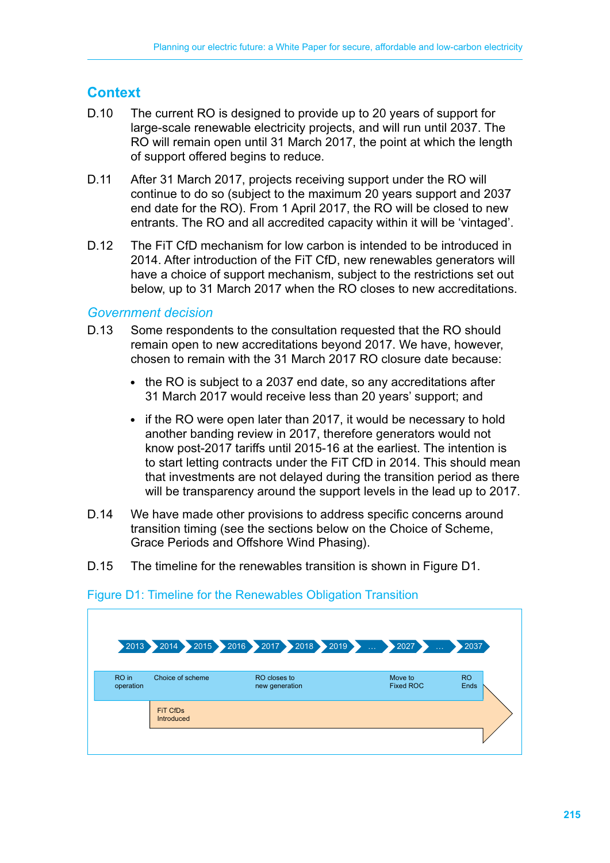## **Context**

- D.10 The current RO is designed to provide up to 20 years of support for large-scale renewable electricity projects, and will run until 2037. The RO will remain open until 31 March 2017, the point at which the length of support offered begins to reduce.
- D.11 After 31 March 2017, projects receiving support under the RO will continue to do so (subject to the maximum 20 years support and 2037 end date for the RO). From 1 April 2017, the RO will be closed to new entrants. The RO and all accredited capacity within it will be 'vintaged'.
- D.12 The FiT CfD mechanism for low carbon is intended to be introduced in 2014. After introduction of the FiT CfD, new renewables generators will have a choice of support mechanism, subject to the restrictions set out below, up to 31 March 2017 when the RO closes to new accreditations.

#### *Government decision*

- D.13 Some respondents to the consultation requested that the RO should remain open to new accreditations beyond 2017. We have, however, chosen to remain with the 31 March 2017 RO closure date because:
	- the RO is subject to a 2037 end date, so any accreditations after 31 March 2017 would receive less than 20 years' support; and
	- if the RO were open later than 2017, it would be necessary to hold another banding review in 2017, therefore generators would not know post-2017 tariffs until 2015-16 at the earliest. The intention is to start letting contracts under the FiT CfD in 2014. This should mean that investments are not delayed during the transition period as there will be transparency around the support levels in the lead up to 2017.
- D.14 We have made other provisions to address specific concerns around transition timing (see the sections below on the Choice of Scheme, Grace Periods and Offshore Wind Phasing).
- D.15 The timeline for the renewables transition is shown in Figure D1.

|                    |                        | 2013 2014 2015 2016 2017 2018 2019 | 2027<br>i.                  | ▶2037             |
|--------------------|------------------------|------------------------------------|-----------------------------|-------------------|
| RO in<br>operation | Choice of scheme       | RO closes to<br>new generation     | Move to<br><b>Fixed ROC</b> | <b>RO</b><br>Ends |
|                    | FIT CfDs<br>Introduced |                                    |                             |                   |
|                    |                        |                                    |                             |                   |

#### Figure D1: Timeline for the Renewables Obligation Transition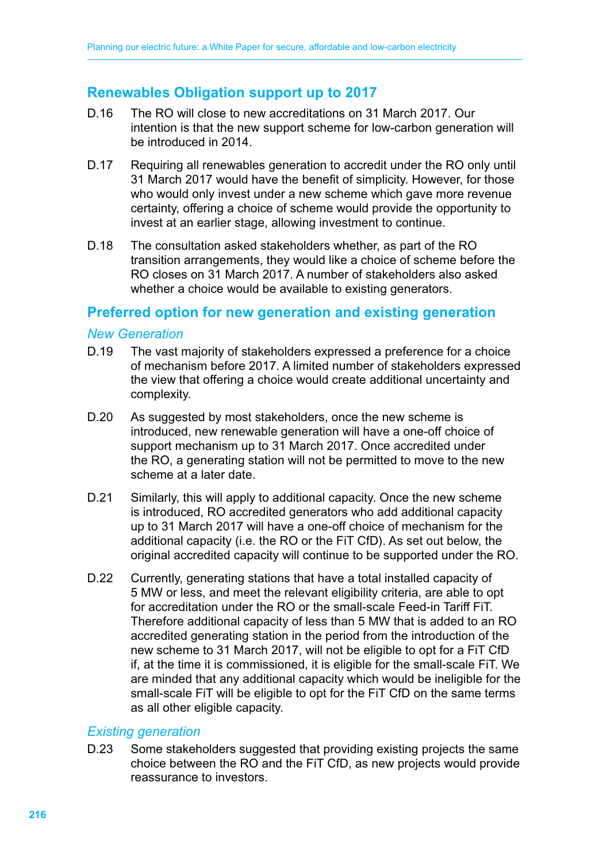## **Renewables Obligation support up to 2017**

- D.16 The RO will close to new accreditations on 31 March 2017. Our intention is that the new support scheme for low-carbon generation will be introduced in 2014.
- D.17 Requiring all renewables generation to accredit under the RO only until 31 March 2017 would have the benefit of simplicity. However, for those who would only invest under a new scheme which gave more revenue certainty, offering a choice of scheme would provide the opportunity to invest at an earlier stage, allowing investment to continue.
- D.18 The consultation asked stakeholders whether, as part of the RO transition arrangements, they would like a choice of scheme before the RO closes on 31 March 2017. A number of stakeholders also asked whether a choice would be available to existing generators.

## **Preferred option for new generation and existing generation**

#### *New Generation*

- D.19 The vast majority of stakeholders expressed a preference for a choice of mechanism before 2017. A limited number of stakeholders expressed the view that offering a choice would create additional uncertainty and complexity.
- D.20 As suggested by most stakeholders, once the new scheme is introduced, new renewable generation will have a one-off choice of support mechanism up to 31 March 2017. Once accredited under the RO, a generating station will not be permitted to move to the new scheme at a later date.
- D.21 Similarly, this will apply to additional capacity. Once the new scheme is introduced, RO accredited generators who add additional capacity up to 31 March 2017 will have a one-off choice of mechanism for the additional capacity (i.e. the RO or the FiT CfD). As set out below, the original accredited capacity will continue to be supported under the RO.
- D.22 Currently, generating stations that have a total installed capacity of 5 MW or less, and meet the relevant eligibility criteria, are able to opt for accreditation under the RO or the small-scale Feed-in Tariff FiT. Therefore additional capacity of less than 5 MW that is added to an RO accredited generating station in the period from the introduction of the new scheme to 31 March 2017, will not be eligible to opt for a FiT CfD if, at the time it is commissioned, it is eligible for the small-scale FiT. We are minded that any additional capacity which would be ineligible for the small-scale FiT will be eligible to opt for the FiT CfD on the same terms as all other eligible capacity.

#### *Existing generation*

D.23 Some stakeholders suggested that providing existing projects the same choice between the RO and the FiT CfD, as new projects would provide reassurance to investors.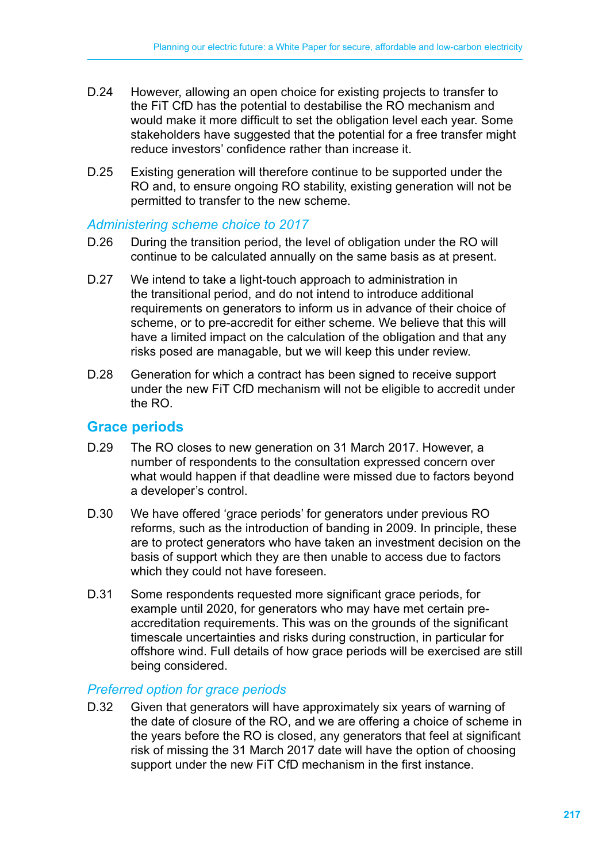- D.24 However, allowing an open choice for existing projects to transfer to the FiT CfD has the potential to destabilise the RO mechanism and would make it more difficult to set the obligation level each year. Some stakeholders have suggested that the potential for a free transfer might reduce investors' confidence rather than increase it.
- D.25 Existing generation will therefore continue to be supported under the RO and, to ensure ongoing RO stability, existing generation will not be permitted to transfer to the new scheme.

#### *Administering scheme choice to 2017*

- D.26 During the transition period, the level of obligation under the RO will continue to be calculated annually on the same basis as at present.
- D.27 We intend to take a light-touch approach to administration in the transitional period, and do not intend to introduce additional requirements on generators to inform us in advance of their choice of scheme, or to pre-accredit for either scheme. We believe that this will have a limited impact on the calculation of the obligation and that any risks posed are managable, but we will keep this under review.
- D.28 Generation for which a contract has been signed to receive support under the new FiT CfD mechanism will not be eligible to accredit under the RO.

#### **Grace periods**

- D.29 The RO closes to new generation on 31 March 2017. However, a number of respondents to the consultation expressed concern over what would happen if that deadline were missed due to factors beyond a developer's control.
- D.30 We have offered 'grace periods' for generators under previous RO reforms, such as the introduction of banding in 2009. In principle, these are to protect generators who have taken an investment decision on the basis of support which they are then unable to access due to factors which they could not have foreseen.
- D.31 Some respondents requested more significant grace periods, for example until 2020, for generators who may have met certain preaccreditation requirements. This was on the grounds of the significant timescale uncertainties and risks during construction, in particular for offshore wind. Full details of how grace periods will be exercised are still being considered.

#### *Preferred option for grace periods*

D.32 Given that generators will have approximately six years of warning of the date of closure of the RO, and we are offering a choice of scheme in the years before the RO is closed, any generators that feel at significant risk of missing the 31 March 2017 date will have the option of choosing support under the new FiT CfD mechanism in the first instance.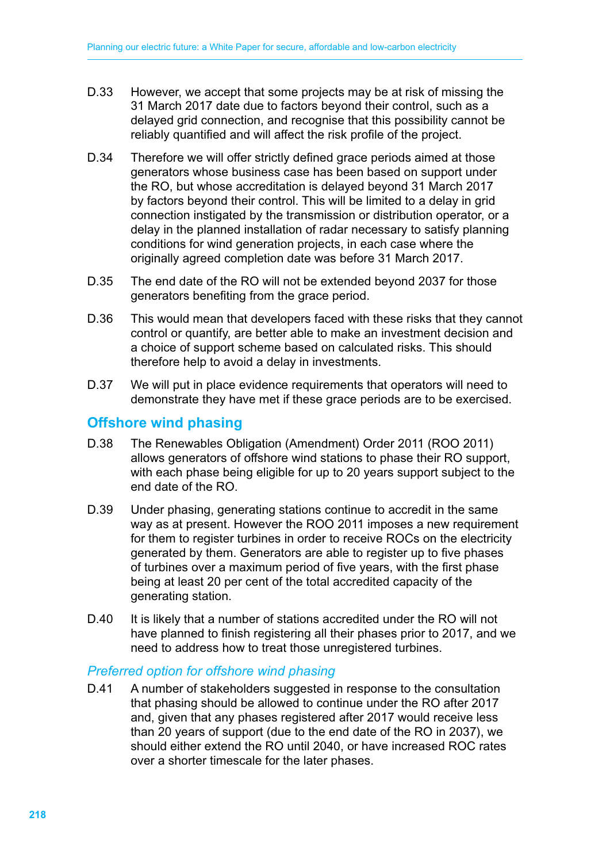- D.33 However, we accept that some projects may be at risk of missing the 31 March 2017 date due to factors beyond their control, such as a delayed grid connection, and recognise that this possibility cannot be reliably quantified and will affect the risk profile of the project.
- D.34 Therefore we will offer strictly defined grace periods aimed at those generators whose business case has been based on support under the RO, but whose accreditation is delayed beyond 31 March 2017 by factors beyond their control. This will be limited to a delay in grid connection instigated by the transmission or distribution operator, or a delay in the planned installation of radar necessary to satisfy planning conditions for wind generation projects, in each case where the originally agreed completion date was before 31 March 2017.
- D.35 The end date of the RO will not be extended beyond 2037 for those generators benefiting from the grace period.
- D.36 This would mean that developers faced with these risks that they cannot control or quantify, are better able to make an investment decision and a choice of support scheme based on calculated risks. This should therefore help to avoid a delay in investments.
- D.37 We will put in place evidence requirements that operators will need to demonstrate they have met if these grace periods are to be exercised.

## **Offshore wind phasing**

- D.38 The Renewables Obligation (Amendment) Order 2011 (ROO 2011) allows generators of offshore wind stations to phase their RO support, with each phase being eligible for up to 20 years support subject to the end date of the RO.
- D.39 Under phasing, generating stations continue to accredit in the same way as at present. However the ROO 2011 imposes a new requirement for them to register turbines in order to receive ROCs on the electricity generated by them. Generators are able to register up to five phases of turbines over a maximum period of five years, with the first phase being at least 20 per cent of the total accredited capacity of the generating station.
- D.40 It is likely that a number of stations accredited under the RO will not have planned to finish registering all their phases prior to 2017, and we need to address how to treat those unregistered turbines.

#### *Preferred option for offshore wind phasing*

D.41 A number of stakeholders suggested in response to the consultation that phasing should be allowed to continue under the RO after 2017 and, given that any phases registered after 2017 would receive less than 20 years of support (due to the end date of the RO in 2037), we should either extend the RO until 2040, or have increased ROC rates over a shorter timescale for the later phases.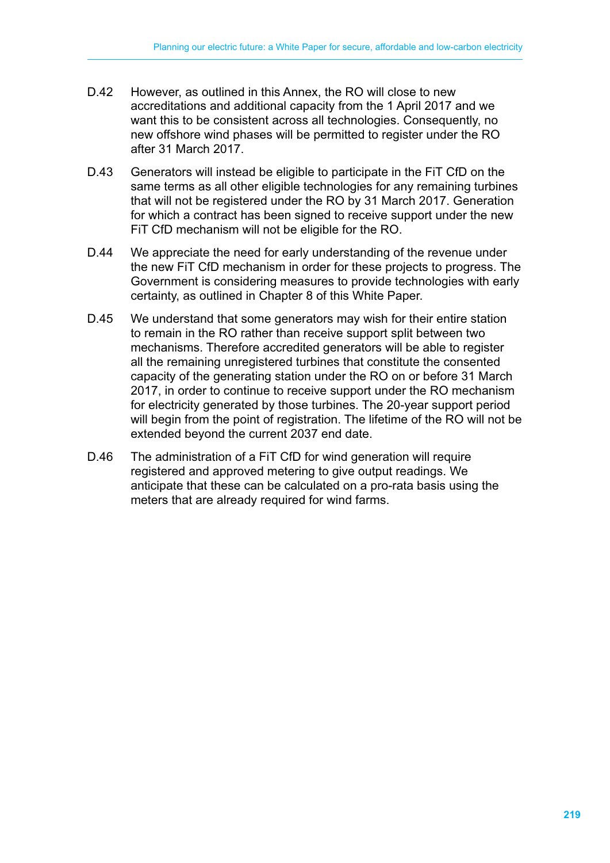- D.42 However, as outlined in this Annex, the RO will close to new accreditations and additional capacity from the 1 April 2017 and we want this to be consistent across all technologies. Consequently, no new offshore wind phases will be permitted to register under the RO after 31 March 2017.
- D.43 Generators will instead be eligible to participate in the FiT CfD on the same terms as all other eligible technologies for any remaining turbines that will not be registered under the RO by 31 March 2017. Generation for which a contract has been signed to receive support under the new FiT CfD mechanism will not be eligible for the RO.
- D.44 We appreciate the need for early understanding of the revenue under the new FiT CfD mechanism in order for these projects to progress. The Government is considering measures to provide technologies with early certainty, as outlined in Chapter 8 of this White Paper.
- D.45 We understand that some generators may wish for their entire station to remain in the RO rather than receive support split between two mechanisms. Therefore accredited generators will be able to register all the remaining unregistered turbines that constitute the consented capacity of the generating station under the RO on or before 31 March 2017, in order to continue to receive support under the RO mechanism for electricity generated by those turbines. The 20-year support period will begin from the point of registration. The lifetime of the RO will not be extended beyond the current 2037 end date.
- D.46 The administration of a FiT CfD for wind generation will require registered and approved metering to give output readings. We anticipate that these can be calculated on a pro-rata basis using the meters that are already required for wind farms.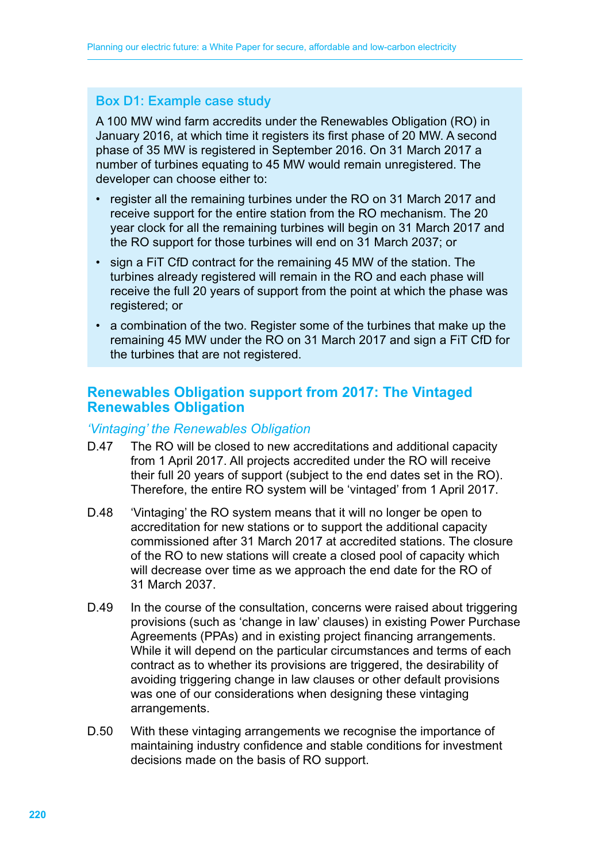## Box D1: Example case study

A 100 MW wind farm accredits under the Renewables Obligation (RO) in January 2016, at which time it registers its first phase of 20 MW. A second phase of 35 MW is registered in September 2016. On 31 March 2017 a number of turbines equating to 45 MW would remain unregistered. The developer can choose either to:

- register all the remaining turbines under the RO on 31 March 2017 and receive support for the entire station from the RO mechanism. The 20 year clock for all the remaining turbines will begin on 31 March 2017 and the RO support for those turbines will end on 31 March 2037; or
- sign a FIT CfD contract for the remaining 45 MW of the station. The turbines already registered will remain in the RO and each phase will receive the full 20 years of support from the point at which the phase was registered; or
- a combination of the two. Register some of the turbines that make up the remaining 45 MW under the RO on 31 March 2017 and sign a FiT CfD for the turbines that are not registered.

## **Renewables Obligation support from 2017: The Vintaged Renewables Obligation**

#### *'Vintaging' the Renewables Obligation*

- D.47 The RO will be closed to new accreditations and additional capacity from 1 April 2017. All projects accredited under the RO will receive their full 20 years of support (subject to the end dates set in the RO). Therefore, the entire RO system will be 'vintaged' from 1 April 2017.
- D.48 'Vintaging' the RO system means that it will no longer be open to accreditation for new stations or to support the additional capacity commissioned after 31 March 2017 at accredited stations. The closure of the RO to new stations will create a closed pool of capacity which will decrease over time as we approach the end date for the RO of 31 March 2037.
- D.49 In the course of the consultation, concerns were raised about triggering provisions (such as 'change in law' clauses) in existing Power Purchase Agreements (PPAs) and in existing project financing arrangements. While it will depend on the particular circumstances and terms of each contract as to whether its provisions are triggered, the desirability of avoiding triggering change in law clauses or other default provisions was one of our considerations when designing these vintaging arrangements.
- D.50 With these vintaging arrangements we recognise the importance of maintaining industry confidence and stable conditions for investment decisions made on the basis of RO support.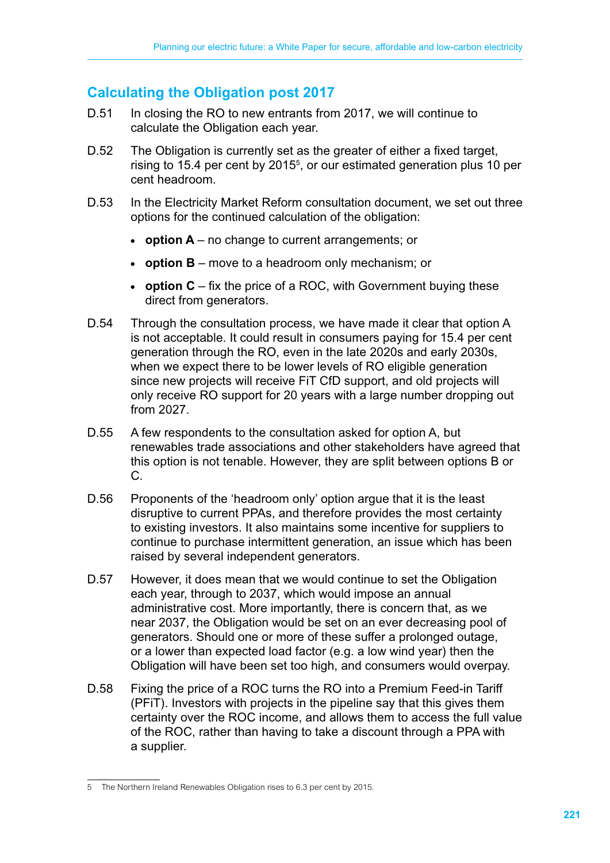## **Calculating the Obligation post 2017**

- D.51 In closing the RO to new entrants from 2017, we will continue to calculate the Obligation each year.
- D.52 The Obligation is currently set as the greater of either a fixed target, rising to 15.4 per cent by 2015<sup>5</sup>, or our estimated generation plus 10 per cent headroom.
- D.53 In the Electricity Market Reform consultation document, we set out three options for the continued calculation of the obligation:
	- $\bullet$  **option A** no change to current arrangements; or
	- **option B** move to a headroom only mechanism; or
	- **option C** fix the price of a ROC, with Government buying these direct from generators.
- D.54 Through the consultation process, we have made it clear that option A is not acceptable. It could result in consumers paying for 15.4 per cent generation through the RO, even in the late 2020s and early 2030s, when we expect there to be lower levels of RO eligible generation since new projects will receive FiT CfD support, and old projects will only receive RO support for 20 years with a large number dropping out from 2027.
- D.55 A few respondents to the consultation asked for option A, but renewables trade associations and other stakeholders have agreed that this option is not tenable. However, they are split between options B or C.
- D.56 Proponents of the 'headroom only' option argue that it is the least disruptive to current PPAs, and therefore provides the most certainty to existing investors. It also maintains some incentive for suppliers to continue to purchase intermittent generation, an issue which has been raised by several independent generators.
- D.57 However, it does mean that we would continue to set the Obligation each year, through to 2037, which would impose an annual administrative cost. More importantly, there is concern that, as we near 2037, the Obligation would be set on an ever decreasing pool of generators. Should one or more of these suffer a prolonged outage, or a lower than expected load factor (e.g. a low wind year) then the Obligation will have been set too high, and consumers would overpay.
- D.58 Fixing the price of a ROC turns the RO into a Premium Feed-in Tariff (PFiT). Investors with projects in the pipeline say that this gives them certainty over the ROC income, and allows them to access the full value of the ROC, rather than having to take a discount through a PPA with a supplier.

<sup>5</sup> The Northern Ireland Renewables Obligation rises to 6.3 per cent by 2015.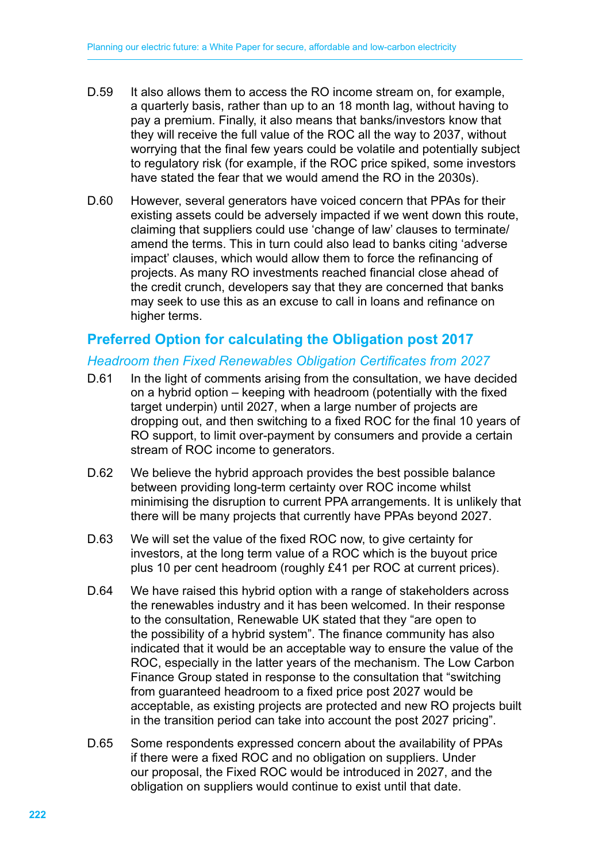- D.59 It also allows them to access the RO income stream on, for example, a quarterly basis, rather than up to an 18 month lag, without having to pay a premium. Finally, it also means that banks/investors know that they will receive the full value of the ROC all the way to 2037, without worrying that the final few years could be volatile and potentially subject to regulatory risk (for example, if the ROC price spiked, some investors have stated the fear that we would amend the RO in the 2030s).
- D.60 However, several generators have voiced concern that PPAs for their existing assets could be adversely impacted if we went down this route, claiming that suppliers could use 'change of law' clauses to terminate/ amend the terms. This in turn could also lead to banks citing 'adverse impact' clauses, which would allow them to force the refinancing of projects. As many RO investments reached financial close ahead of the credit crunch, developers say that they are concerned that banks may seek to use this as an excuse to call in loans and refinance on higher terms.

## **Preferred Option for calculating the Obligation post 2017**

#### *Headroom then Fixed Renewables Obligation Certificates from 2027*

- D.61 In the light of comments arising from the consultation, we have decided on a hybrid option – keeping with headroom (potentially with the fixed target underpin) until 2027, when a large number of projects are dropping out, and then switching to a fixed ROC for the final 10 years of RO support, to limit over-payment by consumers and provide a certain stream of ROC income to generators.
- D.62 We believe the hybrid approach provides the best possible balance between providing long-term certainty over ROC income whilst minimising the disruption to current PPA arrangements. It is unlikely that there will be many projects that currently have PPAs beyond 2027.
- D.63 We will set the value of the fixed ROC now, to give certainty for investors, at the long term value of a ROC which is the buyout price plus 10 per cent headroom (roughly £41 per ROC at current prices).
- D.64 We have raised this hybrid option with a range of stakeholders across the renewables industry and it has been welcomed. In their response to the consultation, Renewable UK stated that they "are open to the possibility of a hybrid system". The finance community has also indicated that it would be an acceptable way to ensure the value of the ROC, especially in the latter years of the mechanism. The Low Carbon Finance Group stated in response to the consultation that "switching from guaranteed headroom to a fixed price post 2027 would be acceptable, as existing projects are protected and new RO projects built in the transition period can take into account the post 2027 pricing".
- D.65 Some respondents expressed concern about the availability of PPAs if there were a fixed ROC and no obligation on suppliers. Under our proposal, the Fixed ROC would be introduced in 2027, and the obligation on suppliers would continue to exist until that date.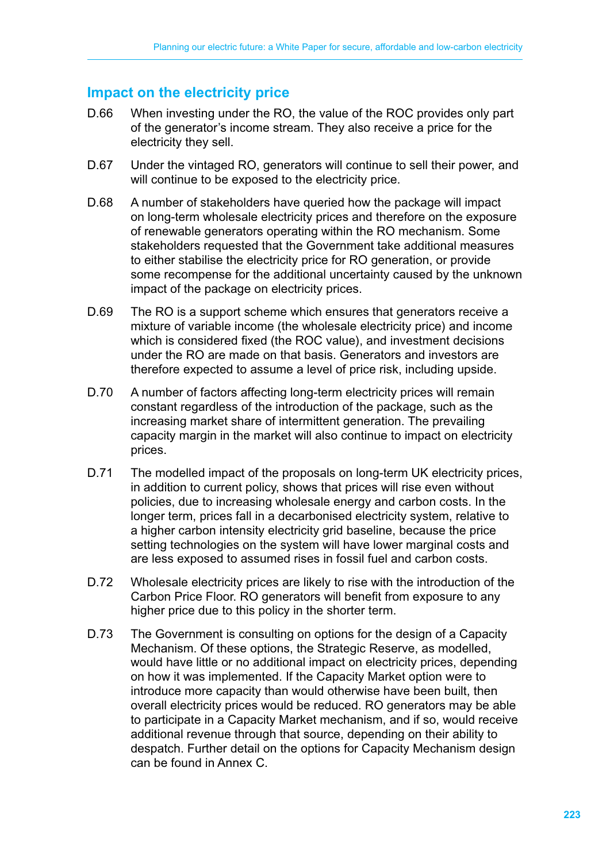## **Impact on the electricity price**

- D.66 When investing under the RO, the value of the ROC provides only part of the generator's income stream. They also receive a price for the electricity they sell.
- D.67 Under the vintaged RO, generators will continue to sell their power, and will continue to be exposed to the electricity price.
- D.68 A number of stakeholders have queried how the package will impact on long-term wholesale electricity prices and therefore on the exposure of renewable generators operating within the RO mechanism. Some stakeholders requested that the Government take additional measures to either stabilise the electricity price for RO generation, or provide some recompense for the additional uncertainty caused by the unknown impact of the package on electricity prices.
- D.69 The RO is a support scheme which ensures that generators receive a mixture of variable income (the wholesale electricity price) and income which is considered fixed (the ROC value), and investment decisions under the RO are made on that basis. Generators and investors are therefore expected to assume a level of price risk, including upside.
- D.70 A number of factors affecting long-term electricity prices will remain constant regardless of the introduction of the package, such as the increasing market share of intermittent generation. The prevailing capacity margin in the market will also continue to impact on electricity prices.
- D.71 The modelled impact of the proposals on long-term UK electricity prices, in addition to current policy, shows that prices will rise even without policies, due to increasing wholesale energy and carbon costs. In the longer term, prices fall in a decarbonised electricity system, relative to a higher carbon intensity electricity grid baseline, because the price setting technologies on the system will have lower marginal costs and are less exposed to assumed rises in fossil fuel and carbon costs.
- D.72 Wholesale electricity prices are likely to rise with the introduction of the Carbon Price Floor. RO generators will benefit from exposure to any higher price due to this policy in the shorter term.
- D.73 The Government is consulting on options for the design of a Capacity Mechanism. Of these options, the Strategic Reserve, as modelled, would have little or no additional impact on electricity prices, depending on how it was implemented. If the Capacity Market option were to introduce more capacity than would otherwise have been built, then overall electricity prices would be reduced. RO generators may be able to participate in a Capacity Market mechanism, and if so, would receive additional revenue through that source, depending on their ability to despatch. Further detail on the options for Capacity Mechanism design can be found in Annex C.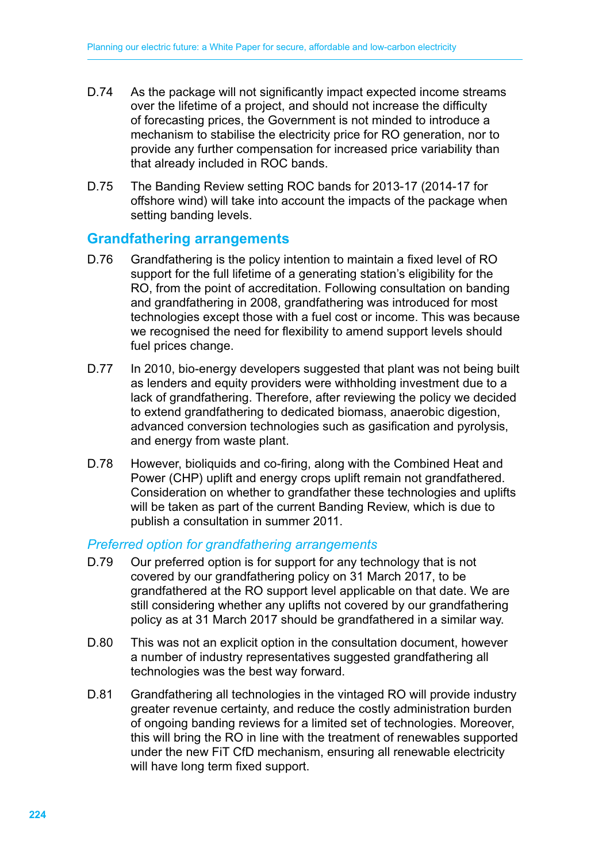- D.74 As the package will not significantly impact expected income streams over the lifetime of a project, and should not increase the difficulty of forecasting prices, the Government is not minded to introduce a mechanism to stabilise the electricity price for RO generation, nor to provide any further compensation for increased price variability than that already included in ROC bands.
- D.75 The Banding Review setting ROC bands for 2013-17 (2014-17 for offshore wind) will take into account the impacts of the package when setting banding levels.

#### **Grandfathering arrangements**

- D.76 Grandfathering is the policy intention to maintain a fixed level of RO support for the full lifetime of a generating station's eligibility for the RO, from the point of accreditation. Following consultation on banding and grandfathering in 2008, grandfathering was introduced for most technologies except those with a fuel cost or income. This was because we recognised the need for flexibility to amend support levels should fuel prices change.
- D.77 In 2010, bio-energy developers suggested that plant was not being built as lenders and equity providers were withholding investment due to a lack of grandfathering. Therefore, after reviewing the policy we decided to extend grandfathering to dedicated biomass, anaerobic digestion, advanced conversion technologies such as gasification and pyrolysis, and energy from waste plant.
- D.78 However, bioliquids and co-firing, along with the Combined Heat and Power (CHP) uplift and energy crops uplift remain not grandfathered. Consideration on whether to grandfather these technologies and uplifts will be taken as part of the current Banding Review, which is due to publish a consultation in summer 2011.

#### *Preferred option for grandfathering arrangements*

- D.79 Our preferred option is for support for any technology that is not covered by our grandfathering policy on 31 March 2017, to be grandfathered at the RO support level applicable on that date. We are still considering whether any uplifts not covered by our grandfathering policy as at 31 March 2017 should be grandfathered in a similar way.
- D.80 This was not an explicit option in the consultation document, however a number of industry representatives suggested grandfathering all technologies was the best way forward.
- D.81 Grandfathering all technologies in the vintaged RO will provide industry greater revenue certainty, and reduce the costly administration burden of ongoing banding reviews for a limited set of technologies. Moreover, this will bring the RO in line with the treatment of renewables supported under the new FiT CfD mechanism, ensuring all renewable electricity will have long term fixed support.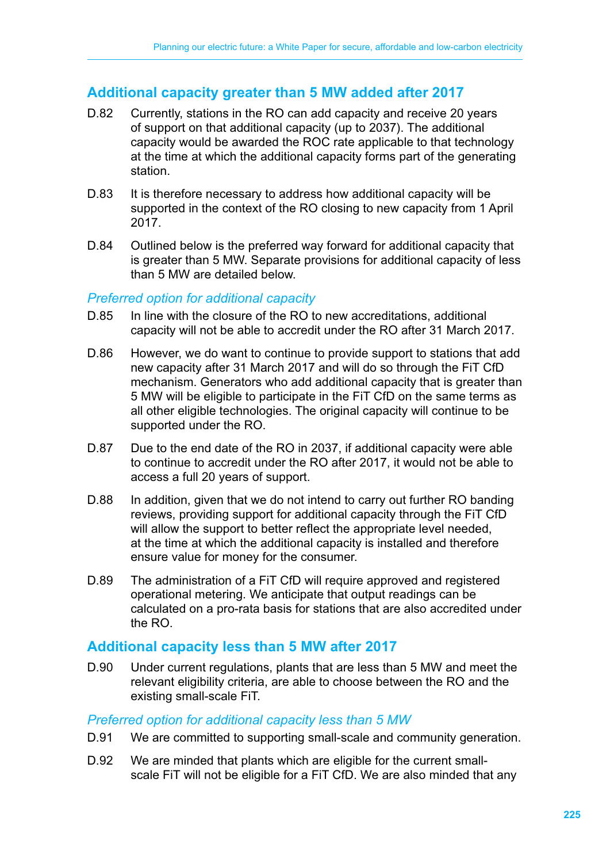## **Additional capacity greater than 5 MW added after 2017**

- D.82 Currently, stations in the RO can add capacity and receive 20 years of support on that additional capacity (up to 2037). The additional capacity would be awarded the ROC rate applicable to that technology at the time at which the additional capacity forms part of the generating station.
- D.83 It is therefore necessary to address how additional capacity will be supported in the context of the RO closing to new capacity from 1 April 2017.
- D.84 Outlined below is the preferred way forward for additional capacity that is greater than 5 MW. Separate provisions for additional capacity of less than 5 MW are detailed below.

#### *Preferred option for additional capacity*

- D.85 In line with the closure of the RO to new accreditations, additional capacity will not be able to accredit under the RO after 31 March 2017.
- D.86 However, we do want to continue to provide support to stations that add new capacity after 31 March 2017 and will do so through the FiT CfD mechanism. Generators who add additional capacity that is greater than 5 MW will be eligible to participate in the FiT CfD on the same terms as all other eligible technologies. The original capacity will continue to be supported under the RO.
- D.87 Due to the end date of the RO in 2037, if additional capacity were able to continue to accredit under the RO after 2017, it would not be able to access a full 20 years of support.
- D.88 In addition, given that we do not intend to carry out further RO banding reviews, providing support for additional capacity through the FiT CfD will allow the support to better reflect the appropriate level needed, at the time at which the additional capacity is installed and therefore ensure value for money for the consumer.
- D.89 The administration of a FiT CfD will require approved and registered operational metering. We anticipate that output readings can be calculated on a pro-rata basis for stations that are also accredited under the RO.

#### **Additional capacity less than 5 MW after 2017**

D.90 Under current regulations, plants that are less than 5 MW and meet the relevant eligibility criteria, are able to choose between the RO and the existing small-scale FiT.

#### *Preferred option for additional capacity less than 5 MW*

- D.91 We are committed to supporting small-scale and community generation.
- D.92 We are minded that plants which are eligible for the current smallscale FiT will not be eligible for a FiT CfD. We are also minded that any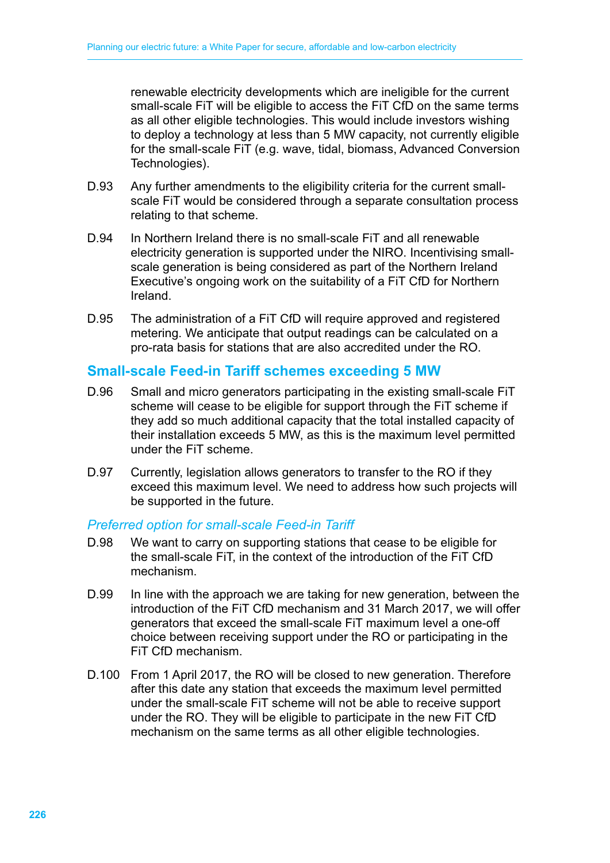renewable electricity developments which are ineligible for the current small-scale FiT will be eligible to access the FiT CfD on the same terms as all other eligible technologies. This would include investors wishing to deploy a technology at less than 5 MW capacity, not currently eligible for the small-scale FiT (e.g. wave, tidal, biomass, Advanced Conversion Technologies).

- D.93 Any further amendments to the eligibility criteria for the current smallscale FiT would be considered through a separate consultation process relating to that scheme.
- D.94 In Northern Ireland there is no small-scale FiT and all renewable electricity generation is supported under the NIRO. Incentivising smallscale generation is being considered as part of the Northern Ireland Executive's ongoing work on the suitability of a FiT CfD for Northern Ireland.
- D.95 The administration of a FiT CfD will require approved and registered metering. We anticipate that output readings can be calculated on a pro-rata basis for stations that are also accredited under the RO.

## **Small-scale Feed-in Tariff schemes exceeding 5 MW**

- D.96 Small and micro generators participating in the existing small-scale FiT scheme will cease to be eligible for support through the FiT scheme if they add so much additional capacity that the total installed capacity of their installation exceeds 5 MW, as this is the maximum level permitted under the FiT scheme.
- D.97 Currently, legislation allows generators to transfer to the RO if they exceed this maximum level. We need to address how such projects will be supported in the future.

#### *Preferred option for small-scale Feed-in Tariff*

- D.98 We want to carry on supporting stations that cease to be eligible for the small-scale FiT, in the context of the introduction of the FiT CfD mechanism.
- D.99 In line with the approach we are taking for new generation, between the introduction of the FiT CfD mechanism and 31 March 2017, we will offer generators that exceed the small-scale FiT maximum level a one-off choice between receiving support under the RO or participating in the FiT CfD mechanism.
- D.100 From 1 April 2017, the RO will be closed to new generation. Therefore after this date any station that exceeds the maximum level permitted under the small-scale FiT scheme will not be able to receive support under the RO. They will be eligible to participate in the new FiT CfD mechanism on the same terms as all other eligible technologies.